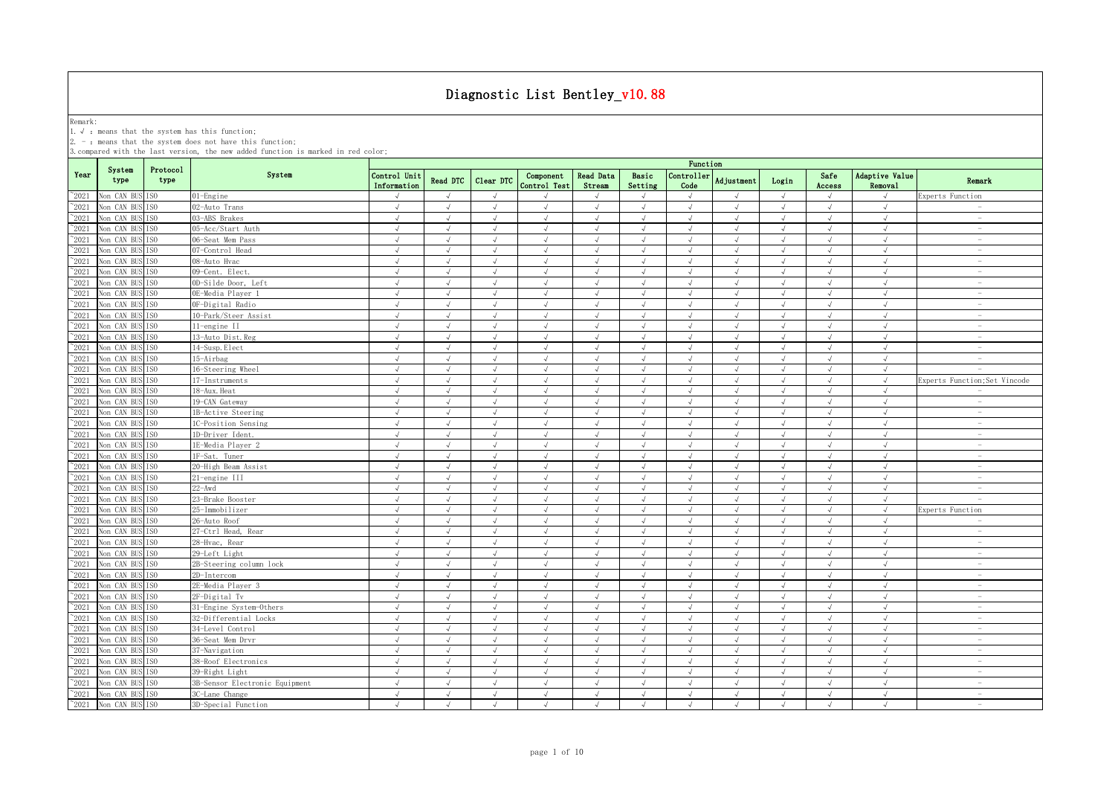Remark:<br>1.√ : means that the system has this function;<br>2. - : means that the system does not have this function;

|                |                 |                  |                                |                             |               |            |                           |                            |                  | Function           |               |            |                |                           |                                 |
|----------------|-----------------|------------------|--------------------------------|-----------------------------|---------------|------------|---------------------------|----------------------------|------------------|--------------------|---------------|------------|----------------|---------------------------|---------------------------------|
| Year           | System<br>type  | Protocol<br>type | System                         | Control Unit<br>Information | Read DTC      | Clear DTC  | Component<br>Control Test | <b>Read Data</b><br>Stream | Basic<br>Setting | Controller<br>Code | Adjustment    | Login      | Safe<br>Access | Adaptive Value<br>Removal | Remark                          |
| $^{\sim}2021$  | Von CAN BUS ISO |                  | $01$ -Engine                   | $\sqrt{ }$                  | $\sqrt{ }$    | $\sqrt{ }$ |                           | $\sqrt{ }$                 | $\sqrt{ }$       | $\sqrt{ }$         | $\sqrt{ }$    | $\sqrt{ }$ | $\sqrt{ }$     | $\sqrt{ }$                | Experts Function                |
| $^{\sim}$ 2021 | Von CAN BUS     | TS <sub>0</sub>  | 02-Auto Trans                  | $\sqrt{ }$                  | $\sqrt{ }$    | $\sqrt{ }$ | $\sqrt{ }$                | $\sqrt{ }$                 | $\sqrt{ }$       | $\sqrt{ }$         | $\sqrt{ }$    | $\sqrt{ }$ | $\sqrt{ }$     | $\sqrt{ }$                | $\sim$                          |
| $^{\sim}$ 2021 | Non CAN BUS ISO |                  | 03-ABS Brakes                  | $\sqrt{ }$                  | $\sqrt{ }$    | $\sqrt{ }$ | $\sqrt{ }$                | $\sqrt{ }$                 | $\sqrt{ }$       | $\sqrt{ }$         | $\sqrt{ }$    | $\sqrt{ }$ | $\sqrt{ }$     | $\sqrt{ }$                | $\sim$                          |
| $^{\sim}$ 2021 | Von CAN BUS     | IS <sub>0</sub>  | 05-Acc/Start Auth              | $\sqrt{ }$                  | $\sqrt{ }$    | $\sqrt{ }$ | $\sqrt{ }$                | $\sqrt{ }$                 | $\sqrt{ }$       | $\sqrt{ }$         | $\sqrt{ }$    | $\sqrt{ }$ | $\sqrt{ }$     | $\sqrt{ }$                | $\sim$                          |
| $^{\circ}2021$ | Non CAN BUS ISO |                  | 06-Seat Mem Pass               | $\sqrt{ }$                  | $\sqrt{ }$    | $\sqrt{ }$ | $\sqrt{ }$                | $\sqrt{ }$                 | $\sqrt{ }$       | $\sqrt{ }$         | $\sqrt{ }$    | $\sqrt{ }$ | $\sqrt{ }$     | $\sqrt{ }$                | $\hspace{0.1mm}-\hspace{0.1mm}$ |
| $^{\sim}$ 2021 | Non CAN BUS     | IS <sub>0</sub>  | 07-Control Head                | $\sqrt{ }$                  | $\sqrt{ }$    | $\sqrt{ }$ | $\sqrt{ }$                | $\sqrt{ }$                 | $\sqrt{ }$       | $\sqrt{ }$         | $\sqrt{ }$    | $\sqrt{ }$ | $\sqrt{ }$     | $\sqrt{ }$                | $\sim$                          |
| $^{\circ}2021$ | Non CAN BUS     | IS <sub>0</sub>  | 08-Auto Hvac                   | $\sqrt{ }$                  | $\sqrt{ }$    | J          | $\sqrt{ }$                | $\sqrt{ }$                 | $\sqrt{ }$       | $\sqrt{ }$         | $\mathcal{L}$ | $\sqrt{}$  | $\sqrt{ }$     | $\sqrt{ }$                | $\sim$                          |
| $^{\sim}$ 2021 | Von CAN BUS     | IS <sub>0</sub>  | 09-Cent. Elect.                | $\sqrt{ }$                  |               | J          | $\mathcal{L}$             | J                          | $\sqrt{ }$       | $\sqrt{ }$         | $\mathcal{L}$ |            |                | $\sqrt{ }$                | $\overline{\phantom{a}}$        |
| $^{\sim}2021$  | Non CAN BUS     | IS <sub>0</sub>  | OD-Silde Door, Left            | $\sqrt{ }$                  | $\mathcal{L}$ |            | $\mathcal{L}$             | $\sqrt{ }$                 | $\sqrt{ }$       | $\mathcal{L}$      |               | $\sqrt{ }$ | $\sqrt{ }$     | $\mathcal{L}$             |                                 |
| $^{\sim}2021$  | Non CAN BUS     | IS <sub>0</sub>  | OE-Media Player 1              | $\sqrt{ }$                  | $\sqrt{ }$    | $\sqrt{ }$ |                           | $\sqrt{ }$                 | $\sqrt{ }$       | $\sqrt{ }$         | J             | $\sqrt{ }$ | $\sqrt{ }$     |                           |                                 |
| $^{\sim}2021$  | Non CAN BUS     | IS <sub>0</sub>  | OF-Digital Radio               | $\sqrt{ }$                  | $\sqrt{ }$    | $\sqrt{ }$ | $\sqrt{ }$                | $\sqrt{ }$                 | $\sqrt{ }$       | $\sqrt{ }$         | $\sqrt{ }$    | $\sqrt{ }$ | $\sqrt{ }$     | $\sqrt{ }$                | $\sim$                          |
| $^{\sim}2021$  | Non CAN BUS     | IS <sub>0</sub>  | 10-Park/Steer Assist           | $\sqrt{ }$                  | $\sqrt{ }$    | $\sqrt{ }$ | $\sqrt{ }$                | $\sqrt{ }$                 | $\sqrt{ }$       | $\sqrt{ }$         | $\sqrt{ }$    | $\sqrt{ }$ | $\sqrt{ }$     | $\sqrt{ }$                | $\sim$                          |
| $^{\sim}2021$  | Non CAN BUS     | IS <sub>0</sub>  | 11-engine II                   | $\sqrt{ }$                  | $\sqrt{ }$    | $\sqrt{ }$ | $\sqrt{ }$                | $\sqrt{ }$                 | $\sqrt{ }$       | $\sqrt{ }$         | $\sqrt{ }$    | $\sqrt{ }$ | $\sqrt{ }$     | $\sqrt{ }$                | $\sim$                          |
| $^{\sim}2021$  | Non CAN BUS     | IS <sub>0</sub>  | 13-Auto Dist. Reg              | $\sqrt{ }$                  | $\sqrt{ }$    | $\sqrt{ }$ | $\sqrt{ }$                | $\sqrt{ }$                 | $\sqrt{ }$       | $\sqrt{ }$         | $\sqrt{ }$    | $\sqrt{ }$ | $\sqrt{ }$     | $\sqrt{ }$                | $\overline{\phantom{a}}$        |
| $^{\sim}2021$  | Non CAN BUS ISO |                  | 14-Susp. Elect                 | $\sqrt{ }$                  | $\sqrt{ }$    | $\sqrt{ }$ | $\sqrt{ }$                | $\sqrt{ }$                 | $\sqrt{ }$       | $\sqrt{ }$         | $\sqrt{ }$    | $\sqrt{ }$ | $\sqrt{ }$     | $\sqrt{ }$                | $\overline{\phantom{a}}$        |
| $^{\sim}$ 2021 | Non CAN BUS ISO |                  | 15-Airbag                      | $\sqrt{ }$                  | $\sqrt{ }$    | $\sqrt{ }$ | $\sqrt{ }$                | $\sqrt{ }$                 | $\sqrt{ }$       | $\sqrt{ }$         | $\sqrt{ }$    | $\sqrt{ }$ | $\sqrt{ }$     | $\sqrt{ }$                | $\overline{\phantom{a}}$        |
| $^{\sim}$ 2021 | Non CAN BUS ISO |                  | 16-Steering Wheel              | $\sqrt{ }$                  | $\sqrt{ }$    | $\sqrt{ }$ | $\sqrt{ }$                | $\sqrt{ }$                 | $\sqrt{ }$       | $\sqrt{ }$         | $\sqrt{ }$    | $\sqrt{ }$ | $\sqrt{ }$     | $\sqrt{ }$                | $\overline{\phantom{a}}$        |
| $^{\sim}$ 2021 | Non CAN BUS ISO |                  | 17-Instruments                 | $\sqrt{ }$                  | $\sqrt{ }$    | $\sqrt{ }$ | $\sqrt{ }$                | $\sqrt{ }$                 | $\sqrt{ }$       | $\sqrt{ }$         | $\sqrt{ }$    | $\sqrt{ }$ | $\sqrt{ }$     | $\sqrt{ }$                | Experts Function; Set Vincode   |
| $^{\sim}$ 2021 | Non CAN BUS     | IS <sub>0</sub>  | 18-Aux. Heat                   | $\sqrt{ }$                  | $\sqrt{ }$    | $\sqrt{ }$ | $\sqrt{ }$                | $\sqrt{ }$                 | $\sqrt{ }$       | $\sqrt{ }$         | $\sqrt{ }$    | $\sqrt{ }$ | $\sqrt{ }$     | $\sqrt{ }$                | $\overline{\phantom{a}}$        |
| $^{\sim}$ 2021 | Non CAN BUS ISO |                  | 19-CAN Gateway                 | $\sqrt{ }$                  |               |            |                           |                            | $\sqrt{ }$       |                    |               |            |                |                           | $\sim$                          |
| $^{\sim}$ 2021 | Von CAN BUS     | IS <sub>0</sub>  | 1B-Active Steering             | $\sqrt{ }$                  | $\sqrt{ }$    | $\sqrt{}$  |                           | √                          | $\sqrt{ }$       | $\sqrt{ }$         | $\sqrt{ }$    | $\sqrt{ }$ | $\sqrt{ }$     | $\sqrt{ }$                | $\sim$                          |
| $^{\sim}$ 2021 | Non CAN BUS     | IS <sub>0</sub>  | 1C-Position Sensing            | $\sqrt{ }$                  | $\sqrt{ }$    | $\sqrt{ }$ | $\sqrt{ }$                | J                          | $\sqrt{ }$       | $\sqrt{ }$         | $\mathcal{L}$ | J          | $\sqrt{ }$     |                           | $\sim$                          |
| $^{\sim}$ 2021 | Non CAN BUS     | ISO              | 1D-Driver Ident.               | $\sqrt{ }$                  | $\sqrt{ }$    | $\sqrt{ }$ | $\sqrt{ }$                | $\sqrt{ }$                 | $\sqrt{ }$       | $\sqrt{ }$         | $\sqrt{ }$    | $\sqrt{ }$ |                | $\sqrt{ }$                | $\overline{\phantom{a}}$        |
| $^{\sim}$ 2021 | Non CAN BUS     | IS <sub>0</sub>  | 1E-Media Player 2              | $\sqrt{ }$                  | $\sqrt{ }$    | $\sqrt{ }$ | $\sqrt{ }$                | $\sqrt{ }$                 | $\sqrt{ }$       | $\sqrt{ }$         | $\sqrt{ }$    | $\sqrt{ }$ | $\sqrt{ }$     | $\sqrt{ }$                | $\overline{\phantom{a}}$        |
| $^{\sim}2021$  | Non CAN BUS     | IS <sub>0</sub>  | 1F-Sat. Tuner                  | $\sqrt{ }$                  | $\sqrt{ }$    | $\sqrt{ }$ |                           | $\sqrt{ }$                 | $\sqrt{ }$       | $\sqrt{ }$         | $\sqrt{ }$    | $\sqrt{ }$ | $\sqrt{ }$     | $\sqrt{ }$                |                                 |
| $^{\sim}2021$  | Non CAN BUS     | TS <sub>0</sub>  | 20-High Beam Assist            | $\sqrt{ }$                  | $\sqrt{ }$    | $\sqrt{ }$ | $\sqrt{ }$                | $\sqrt{ }$                 | $\sqrt{ }$       | $\sqrt{ }$         | $\sqrt{ }$    | $\sqrt{ }$ | $\sqrt{ }$     | $\sqrt{ }$                | $\overline{\phantom{a}}$        |
| $^{\sim}2021$  | Non CAN BUS     | IS <sub>0</sub>  | 21-engine III                  | $\sqrt{ }$                  | $\sqrt{ }$    | $\sqrt{ }$ |                           | $\sqrt{ }$                 | $\sqrt{ }$       | $\sqrt{ }$         | $\sqrt{ }$    | $\sqrt{ }$ | $\sqrt{ }$     |                           | $\sim$                          |
| $^{\sim}2021$  | Non CAN BUS     | IS <sub>0</sub>  | $22 - Awd$                     | $\sqrt{ }$                  | $\sqrt{ }$    | $\sqrt{ }$ | $\sqrt{ }$                | $\sqrt{ }$                 | $\sqrt{ }$       | $\sqrt{ }$         | $\sqrt{ }$    | $\sqrt{ }$ | $\sqrt{ }$     | $\sqrt{ }$                | $\sim$                          |
| $^{\sim}2021$  | Non CAN BUS     | IS <sub>0</sub>  | 23-Brake Booster               | $\sqrt{ }$                  | $\sqrt{ }$    | $\sqrt{ }$ | $\sqrt{ }$                | $\sqrt{ }$                 | $\sqrt{ }$       | $\sqrt{ }$         | $\sqrt{ }$    | $\sqrt{ }$ | $\sqrt{ }$     | $\sqrt{ }$                | $\sim$                          |
| $^{\sim}$ 2021 | Non CAN BUS     | IS <sub>0</sub>  | 25-Immobilizer                 | $\sqrt{ }$                  | $\sqrt{ }$    | $\sqrt{ }$ | $\sqrt{ }$                | $\sqrt{ }$                 | $\sqrt{ }$       | $\sqrt{ }$         | $\sqrt{ }$    | $\sqrt{ }$ | $\sqrt{ }$     | $\sqrt{ }$                | Experts Function                |
| $^{\sim}$ 2021 | Non CAN BUS     | IS <sub>0</sub>  | 26-Auto Roof                   | $\sqrt{ }$                  | $\sqrt{ }$    | $\sqrt{ }$ | $\sqrt{ }$                | $\sqrt{ }$                 | $\sqrt{ }$       | $\sqrt{ }$         | $\sqrt{ }$    | $\sqrt{ }$ | $\sqrt{ }$     | $\sqrt{ }$                | $\overline{\phantom{a}}$        |
| $\degree$ 2021 | Non CAN BUS     | IS <sub>0</sub>  | 27-Ctrl Head, Rear             | $\sqrt{ }$                  | $\sqrt{ }$    | $\sqrt{ }$ | $\sqrt{ }$                | $\sqrt{ }$                 | $\sqrt{ }$       | $\sqrt{ }$         | $\sqrt{ }$    | $\sqrt{ }$ | $\sqrt{ }$     | $\sqrt{ }$                | $\sim$                          |
| $^{\sim}$ 2021 | Non CAN BUS ISO |                  | 28-Hvac, Rear                  | $\sqrt{ }$                  | $\sqrt{ }$    | $\sqrt{ }$ | $\sqrt{ }$                | $\sqrt{ }$                 | $\sqrt{ }$       | $\sqrt{ }$         | $\sqrt{ }$    | $\sqrt{ }$ | $\sqrt{ }$     | $\sqrt{ }$                | $\overline{\phantom{a}}$        |
| $^{\sim}$ 2021 | Non CAN BUS     | IS <sub>0</sub>  | 29-Left Light                  | $\sqrt{ }$                  | $\sqrt{ }$    | $\sqrt{ }$ | $\sqrt{ }$                | $\sqrt{ }$                 | $\sqrt{ }$       | $\sqrt{ }$         | $\sqrt{ }$    | $\sqrt{ }$ | $\sqrt{ }$     | $\sqrt{ }$                | $\overline{\phantom{a}}$        |
| $^{\sim}$ 2021 | Non CAN BUS ISO |                  | 2B-Steering column lock        | $\sqrt{ }$                  | $\sqrt{ }$    | J          |                           | $\sqrt{ }$                 | $\sqrt{ }$       | $\sqrt{ }$         | $\sqrt{ }$    | $\sqrt{ }$ | $\sqrt{ }$     | $\mathcal{L}$             | $\sim$                          |
| $^{\sim}$ 2021 | Non CAN BUS ISO |                  | 2D-Intercom                    | $\sqrt{ }$                  | $\sqrt{ }$    | $\sqrt{ }$ | $\sqrt{ }$                | $\sqrt{ }$                 | $\sqrt{ }$       | $\sqrt{ }$         | $\sqrt{ }$    | $\sqrt{ }$ | $\sqrt{ }$     | $\sqrt{ }$                | $\sim$                          |
| $^{\sim}$ 2021 | Non CAN BUS ISO |                  | 2E-Media Player 3              | $\sqrt{ }$                  |               |            |                           | $\sqrt{2}$                 | $\sqrt{ }$       | $\sqrt{ }$         |               |            | $\sqrt{ }$     |                           |                                 |
| $^{\sim}$ 2021 | Non CAN BUS     | IS <sub>0</sub>  | 2F-Digital Tv                  | $\sqrt{ }$                  |               |            |                           |                            | $\sqrt{ }$       |                    |               |            |                |                           | $\sim$                          |
| $^{\sim}$ 2021 | Non CAN BUS     | IS <sub>0</sub>  | 31-Engine System-Others        | $\sqrt{ }$                  |               |            |                           | IJ                         | $\sqrt{ }$       |                    |               |            |                |                           |                                 |
| $^{\sim}2021$  | Non CAN BUS     | IS <sub>0</sub>  | 32-Differential Locks          | $\sqrt{ }$                  | $\sqrt{ }$    | $\sqrt{ }$ |                           | $\sqrt{ }$                 | $\sqrt{ }$       | $\sqrt{ }$         | $\sqrt{ }$    | $\sqrt{ }$ | $\sqrt{ }$     | $\sqrt{ }$                |                                 |
| $^{\sim}$ 2021 | Non CAN BUS     | IS <sub>0</sub>  | 34-Level Control               | $\sqrt{ }$                  | $\sqrt{ }$    | $\sqrt{ }$ | $\sqrt{ }$                | $\sim$                     | $\sqrt{ }$       | $\sqrt{ }$         | J             | $\sqrt{ }$ | $\sqrt{ }$     | $\sqrt{ }$                |                                 |
| $^{\sim}2021$  | Non CAN BUS     | IS <sub>0</sub>  | 36-Seat Mem Drvr               | $\sqrt{ }$                  | $\sqrt{ }$    | $\sqrt{ }$ | $\sqrt{ }$                | $\sqrt{ }$                 | $\sqrt{ }$       | $\sqrt{ }$         | $\sqrt{ }$    | $\sqrt{ }$ | $\sqrt{ }$     | $\sqrt{ }$                | $\sim$                          |
| $^{\sim}2021$  | Non CAN BUS     | IS <sub>0</sub>  | 37-Navigation                  | $\sqrt{ }$                  | $\sqrt{ }$    | $\sqrt{ }$ | $\sqrt{ }$                | $\sqrt{ }$                 | $\sqrt{ }$       | $\sqrt{ }$         | $\sqrt{ }$    | $\sqrt{ }$ | $\sqrt{ }$     | $\sqrt{ }$                | $\sim$                          |
| $^{\sim}2021$  | Non CAN BUS     | ISO              | 38-Roof Electronics            | $\sqrt{ }$                  | $\sqrt{ }$    | $\sqrt{ }$ | $\sqrt{ }$                | $\sqrt{ }$                 | $\sqrt{ }$       | $\sqrt{ }$         | $\sqrt{ }$    | $\sqrt{ }$ | $\sqrt{ }$     | $\sqrt{ }$                | $\sim$                          |
| $\degree$ 2021 | Non CAN BUS ISO |                  | 39-Right Light                 | $\sqrt{ }$                  | $\sqrt{ }$    | $\sqrt{ }$ | $\sqrt{ }$                | $\sqrt{ }$                 | $\sqrt{ }$       | $\sqrt{ }$         | $\sqrt{ }$    | $\sqrt{ }$ | $\sqrt{ }$     | $\sqrt{ }$                | $\overline{\phantom{a}}$        |
| $^{\sim}$ 2021 | Non CAN BUS ISO |                  | 3B-Sensor Electronic Equipment | $\sqrt{ }$                  | $\sqrt{ }$    | $\sqrt{ }$ | $\mathcal{L}$             | $\sqrt{ }$                 | $\sqrt{ }$       | $\mathcal{L}$      | $\sqrt{ }$    | $\sqrt{ }$ | $\sqrt{ }$     | $\sqrt{ }$                | $\overline{\phantom{a}}$        |
| $^{\sim}$ 2021 | Non CAN BUS ISO |                  | 3C-Lane Change                 | $\sqrt{ }$                  | $\sqrt{ }$    | $\sqrt{ }$ | $\sqrt{ }$                | $\sqrt{ }$                 | $\sqrt{ }$       | $\sqrt{ }$         | $\sqrt{ }$    | $\sqrt{ }$ | $\sqrt{ }$     | $\sqrt{ }$                | $\overline{\phantom{a}}$        |
| $^{\sim}$ 2021 | Non CAN BUS ISO |                  | 3D-Special Function            | $\sqrt{ }$                  | $\sqrt{ }$    | $\sqrt{ }$ | $\sqrt{ }$                | $\sqrt{ }$                 | $\sqrt{ }$       | $\sqrt{ }$         | $\sqrt{ }$    | $\sqrt{ }$ | $\sqrt{ }$     | $\sqrt{ }$                | $\overline{\phantom{a}}$        |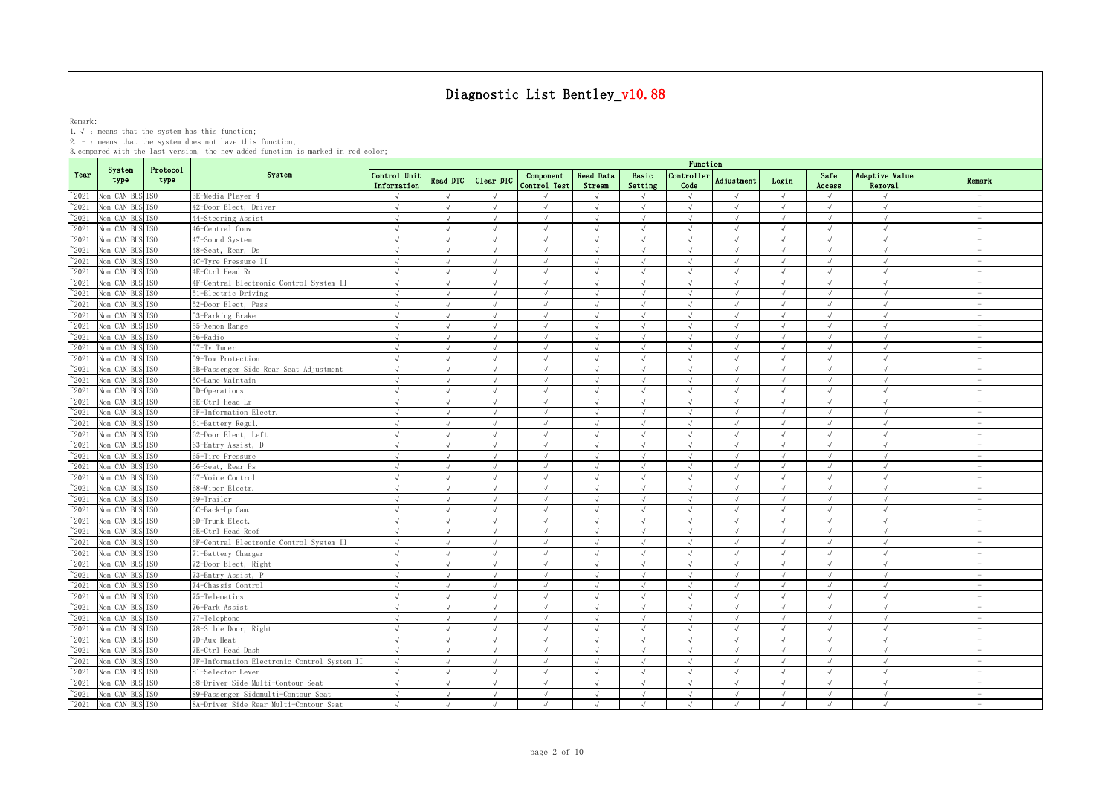Remark:<br>1.√ : means that the system has this function;<br>2. - : means that the system does not have this function;

|                |                               |                  |                                             |                             |            |                |                           |                            |                  | Function                    |                |            |                |                           |                                 |
|----------------|-------------------------------|------------------|---------------------------------------------|-----------------------------|------------|----------------|---------------------------|----------------------------|------------------|-----------------------------|----------------|------------|----------------|---------------------------|---------------------------------|
| Year           | System<br>type                | Protocol<br>type | System                                      | Control Unit<br>Information | Read DTC   | Clear DTC      | Component<br>Control Test | <b>Read Data</b><br>Stream | Basic<br>Setting | Controller<br>Code          | Adjustment     | Login      | Safe<br>Access | Adaptive Value<br>Removal | Remark                          |
| $^{\sim}2021$  | Non CAN BUS ISO               |                  | 3E-Media Player 4                           | $\sqrt{ }$                  | $\sqrt{ }$ | $\sqrt{ }$     |                           | $\sqrt{ }$                 | $\sqrt{ }$       | $\sqrt{ }$                  |                | $\sqrt{ }$ | $\sqrt{ }$     | $\sqrt{ }$                |                                 |
| $^{\sim}2021$  | Non CAN BUS                   | ISO.             | 42-Door Elect, Driver                       | $\sqrt{ }$                  | $\sqrt{ }$ | $\sqrt{ }$     | $\sqrt{ }$                | $\sqrt{ }$                 | $\sqrt{ }$       | $\sqrt{ }$                  | $\sqrt{ }$     | $\sqrt{ }$ | $\sqrt{ }$     | $\sqrt{ }$                | $\sim$                          |
| $^{\sim}2021$  | Non CAN BUS                   | TS <sub>0</sub>  | 44-Steering Assist                          | J                           |            |                |                           | $\sqrt{ }$                 | $\sqrt{ }$       |                             |                |            | $\sqrt{ }$     | $\sqrt{ }$                | $\sim$                          |
| $^{\sim}2021$  | Non CAN BUS                   | IS <sub>0</sub>  | 46-Central Conv                             | $\sqrt{ }$                  | $\sqrt{ }$ | $\sqrt{}$      | $\sqrt{ }$                | $\sqrt{ }$                 | $\sqrt{ }$       | $\sqrt{}$                   | $\sqrt{}$      | $\sqrt{ }$ | $\sqrt{ }$     | $\sqrt{ }$                | $\sim$                          |
| 2021           | Non CAN BUS                   | ISO              | 47-Sound System                             | $\sqrt{ }$                  |            |                |                           | $\sqrt{ }$                 | $\mathcal{A}$    |                             |                |            |                | $\sqrt{ }$                | $\overline{\phantom{a}}$        |
| 2021           | Non CAN BUS                   | TS <sub>0</sub>  | 48-Seat, Rear, Ds                           | $\sqrt{ }$                  | $\sqrt{ }$ | $\sqrt{ }$     |                           | $\sqrt{ }$                 | $\sqrt{ }$       | $\mathcal{N}_{\mathcal{N}}$ |                | $\sqrt{ }$ |                | $\sqrt{ }$                | $\overline{\phantom{a}}$        |
| $^{\sim}$ 2021 | Non CAN BUS                   | IS <sub>0</sub>  | 4C-Tvre Pressure II                         | $\sqrt{ }$                  | $\sqrt{ }$ |                | $\sqrt{ }$                | $\sqrt{ }$                 | $\sqrt{ }$       |                             |                |            | $\sqrt{ }$     | $\sqrt{ }$                | $\overline{\phantom{0}}$        |
| $^{\sim}$ 2021 | Non CAN BUS                   | TS <sub>0</sub>  | 4E-Ctrl Head Rr                             | $\sqrt{ }$                  | $\sqrt{ }$ | $\sqrt{ }$     | $\sqrt{ }$                | $\sqrt{ }$                 | $\sqrt{ }$       | $\sqrt{ }$                  | J              | $\sqrt{ }$ | $\sqrt{ }$     | $\sqrt{ }$                | $\overline{\phantom{0}}$        |
| $^{\sim}$ 2021 | Non CAN BUS                   | IS <sub>0</sub>  | 4F-Central Electronic Control System II     | $\sqrt{ }$                  | $\sqrt{ }$ | $\sqrt{ }$     | $\sqrt{ }$                | $\sqrt{ }$                 | $\sqrt{ }$       | $\sqrt{ }$                  | $\sqrt{ }$     | $\sqrt{ }$ | $\sqrt{ }$     | $\sqrt{ }$                | $\sim$                          |
| $^{\sim}$ 2021 | Non CAN BUS                   | TS <sub>0</sub>  | 51-Electric Driving                         | $\sqrt{ }$                  | $\sqrt{ }$ | $\sqrt{2}$     | $\sqrt{ }$                | $\sqrt{ }$                 | $\sqrt{ }$       | $\sqrt{ }$                  | $\sqrt{ }$     | $\sqrt{ }$ | $\sqrt{ }$     | $\sqrt{ }$                | $\sim$                          |
| $^{\sim}$ 2021 | Non CAN BUS                   | ISO              | 52-Door Elect, Pass                         | $\sqrt{ }$                  | $\sqrt{ }$ | $\sqrt{ }$     | $\sqrt{ }$                | $\sqrt{ }$                 | $\sqrt{ }$       | $\sqrt{ }$                  | $\sqrt{ }$     | $\sqrt{ }$ | $\sqrt{ }$     | $\sqrt{ }$                | $\sim$                          |
| $^{\sim}$ 2021 | Non CAN BUS                   | IS <sub>0</sub>  | 53-Parking Brake                            | $\sqrt{ }$                  | $\sqrt{ }$ | $\sqrt{ }$     | $\sqrt{ }$                | $\sqrt{ }$                 | $\sqrt{ }$       | $\sqrt{ }$                  | $\sqrt{ }$     | $\sqrt{ }$ | $\sqrt{ }$     | $\sqrt{ }$                | $\sim$                          |
| $\degree$ 2021 | Non CAN BUS                   | IS <sub>0</sub>  | 55-Xenon Range                              | $\sqrt{ }$                  | $\sqrt{ }$ | $\sqrt{ }$     | $\sqrt{ }$                | $\sqrt{ }$                 | $\sqrt{ }$       | $\sqrt{ }$                  | $\sqrt{ }$     | $\sqrt{ }$ | $\sqrt{ }$     | $\sqrt{ }$                | $\sim$                          |
| $^{\sim}2021$  | Non CAN BUS                   | IS <sub>0</sub>  | 56-Radio                                    | $\sqrt{ }$                  | $\sqrt{ }$ | $\sqrt{ }$     | $\sqrt{ }$                | $\sqrt{ }$                 | $\sqrt{ }$       | $\sqrt{ }$                  | $\sqrt{ }$     | $\sqrt{ }$ | $\sqrt{ }$     | $\sqrt{ }$                | $\overline{\phantom{a}}$        |
| $^{\sim}2021$  | Non CAN BUS                   | ISO.             | 57-Tv Tuner                                 | $\sqrt{ }$                  | $\sqrt{ }$ | $\sqrt{ }$     | $\sqrt{ }$                | $\sqrt{ }$                 | $\sqrt{ }$       | $\sqrt{ }$                  | $\sqrt{ }$     | $\sqrt{ }$ | $\sqrt{ }$     | $\sqrt{ }$                | $\sim$                          |
| $^{\sim}2021$  | Non CAN BUS                   | TS <sub>0</sub>  | 59-Tow Protection                           | $\sqrt{ }$                  | $\sqrt{ }$ | $\sqrt{ }$     | $\sqrt{ }$                | $\sqrt{ }$                 | $\sqrt{ }$       | $\sqrt{ }$                  | $\sqrt{ }$     | $\sqrt{ }$ | $\sqrt{ }$     | $\sqrt{ }$                | $\overline{\phantom{a}}$        |
| $^{\sim}2021$  | Non CAN BUS                   | TSO.             | 5B-Passenger Side Rear Seat Adjustment      | $\sqrt{ }$                  | $\sqrt{ }$ | $\sqrt{ }$     | $\sqrt{ }$                | $\sqrt{ }$                 | $\sqrt{ }$       | $\sqrt{ }$                  | $\sqrt{ }$     | $\sqrt{ }$ | $\sqrt{ }$     | $\sqrt{ }$                | $\sim$                          |
| $^{\sim}2021$  | Non CAN BUS ISO               |                  | 5C-Lane Maintain                            | $\sqrt{}$                   | $\sqrt{ }$ | $\sqrt{ }$     | $\sqrt{ }$                | $\sqrt{}$                  | $\sqrt{ }$       | $\sqrt{ }$                  | $\sqrt{ }$     | $\sqrt{}$  | $\sqrt{ }$     | $\sqrt{ }$                | $\hspace{0.1mm}-\hspace{0.1mm}$ |
| $^{\sim}2021$  | Non CAN BUS                   | IS <sub>0</sub>  | 5D-Operations                               | $\sqrt{ }$                  | $\sqrt{ }$ | $\sqrt{ }$     | $\sqrt{ }$                | $\sqrt{ }$                 | $\sqrt{ }$       | $\sqrt{ }$                  | $\sqrt{ }$     | $\sqrt{ }$ | $\sqrt{ }$     | $\sqrt{ }$                | $\sim$                          |
| 2021           | Non CAN BUS                   | TS <sub>0</sub>  | 5E-Ctrl Head Lr                             | $\sqrt{ }$                  | $\sqrt{ }$ | $\mathcal{L}$  | J                         | $\sqrt{ }$                 | $\sqrt{ }$       | $\sqrt{ }$                  | J              | $\sqrt{ }$ | $\sqrt{ }$     | $\sqrt{ }$                | $\sim$                          |
| 2021           | Non CAN BUS                   | TS <sub>0</sub>  | 5F-Information Electr.                      | $\sqrt{ }$                  | $\sqrt{ }$ | $\sqrt{ }$     | $\sqrt{ }$                | $\sqrt{ }$                 | $\sqrt{ }$       | $\sqrt{ }$                  | $\sqrt{ }$     | $\sqrt{ }$ | $\sqrt{ }$     | $\sqrt{ }$                | $\overline{\phantom{a}}$        |
| 2021           | Non CAN BUS                   | IS <sub>0</sub>  | 61-Battery Regul.                           | $\sqrt{ }$                  | $\sqrt{ }$ | $\sqrt{ }$     | $\sqrt{ }$                | $\sqrt{ }$                 | $\sqrt{ }$       | $\sqrt{ }$                  | $\sqrt{}$      | $\sqrt{ }$ | $\sqrt{ }$     | $\sqrt{ }$                | $\sim$                          |
| $\degree$ 2021 | Non CAN BUS                   | IS <sub>0</sub>  | 62-Door Elect, Left                         | $\sqrt{ }$                  | $\sqrt{ }$ | $\sqrt{ }$     | $\sqrt{ }$                | $\sqrt{ }$                 | $\sqrt{ }$       | $\sqrt{ }$                  | $\overline{v}$ | $\sqrt{ }$ | $\sqrt{ }$     | $\sqrt{ }$                | $\overline{\phantom{a}}$        |
| $^{\sim}2021$  | Non CAN BUS                   | TS <sub>0</sub>  | 63-Entry Assist, D                          | $\sqrt{ }$                  | $\sqrt{ }$ | $\overline{d}$ | $\sqrt{ }$                | $\sqrt{ }$                 | $\sqrt{ }$       |                             | $\sqrt{ }$     | $\sqrt{ }$ | $\sqrt{ }$     | $\sqrt{ }$                | $\overline{\phantom{a}}$        |
| $^{\sim}$ 2021 | Non CAN BUS                   | IS <sub>0</sub>  | 65-Tire Pressure                            | $\sqrt{ }$                  | $\sqrt{ }$ | $\sqrt{ }$     | $\sqrt{ }$                | $\sqrt{ }$                 | $\sqrt{ }$       | $\sqrt{ }$                  | $\sqrt{ }$     | $\sqrt{ }$ | $\sqrt{ }$     | $\sqrt{ }$                | $\overline{\phantom{a}}$        |
| $\degree$ 2021 | Non CAN BUS                   | IS <sub>0</sub>  | 66-Seat, Rear Ps                            | $\sqrt{ }$                  | $\sqrt{ }$ | $\sqrt{ }$     | $\sqrt{ }$                | $\sqrt{ }$                 | $\sqrt{ }$       | $\sqrt{ }$                  | $\sqrt{ }$     | $\sqrt{ }$ | $\sqrt{ }$     | $\sqrt{ }$                | $\sim$                          |
| $^{\sim}$ 2021 | Non CAN BUS                   | IS <sub>0</sub>  | 67-Voice Control                            | $\sqrt{ }$                  | $\sqrt{ }$ | $\sqrt{ }$     | $\sqrt{ }$                | $\sqrt{ }$                 | $\sqrt{ }$       | $\sqrt{ }$                  | $\sqrt{ }$     | $\sqrt{ }$ | $\sqrt{ }$     | $\sqrt{ }$                | $\sim$                          |
| $\degree$ 2021 | Non CAN BUS                   | IS <sub>0</sub>  | 68-Wiper Electr.                            | $\sqrt{ }$                  | $\sqrt{ }$ | $\sqrt{ }$     | $\sqrt{ }$                | $\sqrt{ }$                 | $\sqrt{ }$       | $\sqrt{ }$                  | $\sqrt{ }$     | $\sqrt{ }$ | $\sqrt{ }$     | $\sqrt{ }$                | $\overline{\phantom{a}}$        |
| $^{\sim}2021$  | Non CAN BUS                   | IS <sub>0</sub>  | 69-Trailer                                  | $\sqrt{ }$                  | $\sqrt{ }$ | $\sqrt{ }$     | $\mathcal{L}$             | $\sqrt{ }$                 | $\sqrt{ }$       | $\sqrt{ }$                  | $\sqrt{ }$     | $\sqrt{ }$ | $\sqrt{ }$     | $\sqrt{ }$                | $\sim$                          |
| $^{\sim}2021$  | Non CAN BUS                   | IS <sub>0</sub>  | 6C-Back-Up Cam.                             | $\sqrt{ }$                  | $\sqrt{ }$ | $\sqrt{ }$     | $\sqrt{ }$                | $\sqrt{ }$                 | $\sqrt{ }$       | $\sqrt{ }$                  | $\sqrt{ }$     | $\sqrt{ }$ | $\sqrt{ }$     | $\sqrt{ }$                | $\sim$                          |
| $^{\sim}2021$  | Non CAN BUS                   | T <sub>SO</sub>  | 6D-Trunk Elect.                             | $\sqrt{ }$                  | $\sqrt{ }$ | $\sqrt{ }$     | $\sqrt{ }$                | $\sqrt{ }$                 | $\sqrt{ }$       | $\sqrt{ }$                  | $\sqrt{ }$     | $\sqrt{ }$ | $\sqrt{ }$     | $\sqrt{ }$                | $\overline{\phantom{a}}$        |
| $\degree$ 2021 | Non CAN BUS                   | IS <sub>0</sub>  | 6E-Ctrl Head Roof                           | $\sqrt{ }$                  | $\sqrt{ }$ | $\sqrt{ }$     | $\sqrt{ }$                | $\sqrt{ }$                 | $\sqrt{ }$       | $\sqrt{ }$                  | $\sqrt{ }$     | $\sqrt{ }$ | $\sqrt{ }$     | $\sqrt{ }$                | $\overline{\phantom{a}}$        |
| $^{\sim}$ 2021 | Non CAN BUS ISO               |                  | 6F-Central Electronic Control System II     | $\sqrt{ }$                  | $\sqrt{ }$ | $\sqrt{ }$     | $\sqrt{ }$                | $\sqrt{ }$                 | $\sqrt{ }$       | $\sqrt{ }$                  | $\sqrt{ }$     | $\sqrt{ }$ | $\sqrt{ }$     | $\sqrt{ }$                | $\overline{\phantom{a}}$        |
| $^{\sim}2021$  | Non CAN BUS                   | TS <sub>0</sub>  | 71-Battery Charger                          | $\sqrt{ }$                  | $\sqrt{ }$ | $\sqrt{ }$     | $\sqrt{ }$                | $\sqrt{ }$                 | $\sqrt{ }$       | $\sqrt{ }$                  | $\sqrt{ }$     | $\sqrt{ }$ | $\sqrt{ }$     | $\sqrt{ }$                | $\sim$                          |
| $^{\sim}2021$  | Non CAN BUS ISO               |                  | 72-Door Elect, Right                        | $\sqrt{ }$                  |            |                |                           | $\sqrt{ }$                 | $\sqrt{ }$       |                             |                |            | $\sqrt{ }$     | $\sqrt{ }$                | $\sim$                          |
| $^{\sim}2021$  | Non CAN BUS ISO               |                  | 73-Entry Assist, B                          | $\sqrt{2}$                  | $\sqrt{ }$ | $\sqrt{ }$     | $\sqrt{ }$                | $\sqrt{}$                  | $\sqrt{ }$       | $\sqrt{ }$                  | $\sqrt{ }$     | $\sqrt{ }$ | $\sqrt{ }$     | $\sqrt{}$                 | $\overline{\phantom{a}}$        |
| 2021           | Non CAN BUS                   | IS <sub>0</sub>  | 74-Chassis Control                          | $\sqrt{ }$                  |            |                |                           | <sup>N</sup>               | $\mathcal{A}$    |                             |                | $\sqrt{ }$ |                | $\sqrt{ }$                | $\overline{\phantom{a}}$        |
| 2021           | Non CAN BUS                   | TS <sub>0</sub>  | 75-Telematics                               | $\sqrt{ }$                  |            | $\sqrt{ }$     |                           | $\sqrt{ }$                 | $\sqrt{ }$       |                             |                | $\sqrt{ }$ |                | $\sqrt{ }$                | $\overline{\phantom{a}}$        |
| $^{\sim}2021$  | Non CAN BUS                   | TS <sub>0</sub>  | 76-Park Assist                              | $\sqrt{ }$                  |            |                |                           | $\sqrt{ }$                 | $\sqrt{ }$       |                             |                |            |                | $\sqrt{ }$                | $\overline{\phantom{0}}$        |
| $^{\sim}$ 2021 | Non CAN BUS                   | IS <sub>0</sub>  | 77-Telephone                                | $\sqrt{ }$                  | $\sqrt{ }$ | $\sqrt{ }$     |                           | $\sqrt{ }$                 | $\sqrt{ }$       | $\sqrt{ }$                  | $\sqrt{ }$     | $\sqrt{ }$ | $\sqrt{ }$     | $\sqrt{ }$                | $\overline{\phantom{0}}$        |
| $\degree$ 2021 | Non CAN BUS                   | IS <sub>0</sub>  | 78-Silde Door, Right                        | $\sqrt{ }$                  | $\sqrt{ }$ | $\sqrt{ }$     | $\sqrt{ }$                | $\sqrt{ }$                 | $\sqrt{ }$       | $\sqrt{ }$                  | $\sqrt{ }$     | $\sqrt{ }$ | $\sqrt{ }$     | $\sqrt{ }$                | $\sim$                          |
| $^{\sim}$ 2021 | Non CAN BUS                   | IS <sub>0</sub>  | 7D-Aux Heat                                 | $\sqrt{ }$                  | $\sqrt{ }$ | $\sqrt{ }$     | $\sqrt{ }$                | $\sqrt{ }$                 | $\sqrt{ }$       | $\sqrt{ }$                  | $\sqrt{ }$     | $\sqrt{ }$ | $\sqrt{ }$     | $\sqrt{ }$                | $\sim$                          |
| $^{\sim}$ 2021 | Non CAN BUS                   | IS <sub>0</sub>  | 7E-Ctrl Head Dash                           | $\sqrt{ }$                  | $\sqrt{ }$ | $\sqrt{ }$     | $\sqrt{ }$                | $\sqrt{ }$                 | $\sqrt{ }$       | $\sqrt{ }$                  | $\sqrt{ }$     | $\sqrt{ }$ | $\sqrt{ }$     | $\sqrt{2}$                | $\sim$                          |
| $^{\sim}$ 2021 | Non CAN BUS                   | IS <sub>0</sub>  | 7F-Information Electronic Control System II | $\sqrt{ }$                  | $\sqrt{ }$ | $\sqrt{ }$     | $\sqrt{ }$                | $\sqrt{ }$                 | $\sqrt{ }$       | $\sqrt{ }$                  | $\sqrt{ }$     | $\sqrt{ }$ | $\sqrt{ }$     | $\sqrt{ }$                | $\sim$                          |
| $^{\sim}$ 2021 | Non CAN BUS ISO               |                  | 81-Selector Lever                           | $\sqrt{ }$                  | $\sqrt{ }$ | $\sqrt{ }$     | $\sqrt{ }$                | $\sqrt{ }$                 | $\sqrt{ }$       | $\sqrt{ }$                  | $\sqrt{ }$     | $\sqrt{ }$ | $\sqrt{ }$     | $\sqrt{2}$                | $\overline{\phantom{a}}$        |
| $^{\sim}2021$  | Non CAN BUS ISO               |                  | 88-Driver Side Multi-Contour Seat           | $\sqrt{ }$                  | $\sqrt{ }$ | $\sqrt{ }$     | $\sqrt{ }$                | $\sqrt{ }$                 | $\sqrt{ }$       | $\sqrt{ }$                  | $\sqrt{ }$     | $\sqrt{ }$ | $\sqrt{ }$     | $\sqrt{ }$                | $\sim$                          |
| $^{\sim}$ 2021 | Non CAN BUS                   | TS <sub>0</sub>  | 89-Passenger Sidemulti-Contour Seat         | $\sqrt{ }$                  | $\sqrt{ }$ | $\sqrt{ }$     | $\sqrt{ }$                | $\sqrt{ }$                 | $\sqrt{ }$       | $\sqrt{ }$                  | $\sqrt{ }$     | $\sqrt{ }$ | $\sqrt{ }$     | $\sqrt{ }$                | $\sim$                          |
|                | $^{\sim}2021$ Non CAN BUS ISO |                  | 8A-Driver Side Rear Multi-Contour Seat      | $\sqrt{ }$                  | $\sqrt{ }$ | $\sqrt{ }$     | $\sqrt{ }$                | $\sqrt{ }$                 | $\sqrt{ }$       | $\sqrt{ }$                  | $\sqrt{ }$     | $\sqrt{ }$ | $\sqrt{ }$     | $\sqrt{ }$                | $\sim$                          |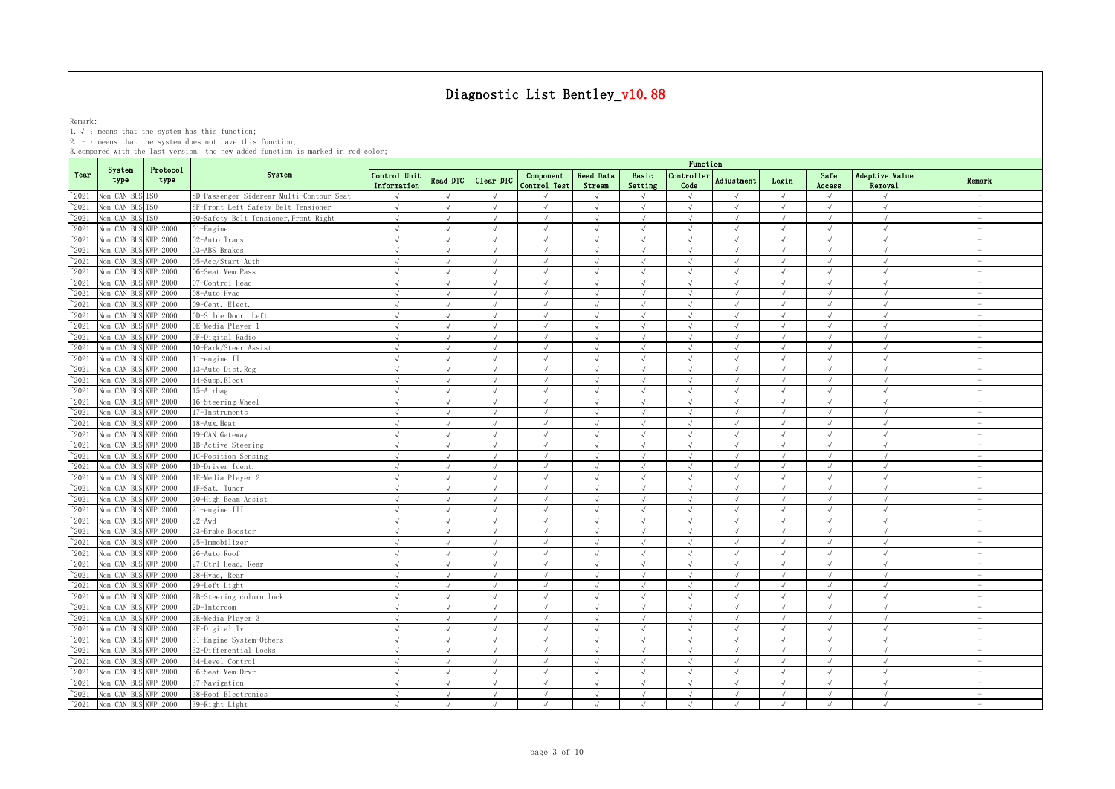Remark:<br>1.√ : means that the system has this function;<br>2. - : means that the system does not have this function;

|                                 |                            |                                    |                                          |                             |                          |                          |                           |                          |                          | Function                 |                          |                          |                          |                           |                                 |
|---------------------------------|----------------------------|------------------------------------|------------------------------------------|-----------------------------|--------------------------|--------------------------|---------------------------|--------------------------|--------------------------|--------------------------|--------------------------|--------------------------|--------------------------|---------------------------|---------------------------------|
| Year                            | System<br>type             | Protocol<br>type                   | System                                   | Control Unit<br>Information | Read DTC                 | Clear DTC                | Component<br>Control Test | Read Data<br>Stream      | Basic<br>Setting         | Controller<br>Code       | Adjustment               | Login                    | Safe<br>Access           | Adaptive Value<br>Removal | Remark                          |
| $^{\circ}2021$                  | Non CAN BUS                | ISO                                | 8D-Passenger Siderear Multi-Contour Seat | $\sqrt{ }$                  | $\sqrt{ }$               | $\sqrt{ }$               | $\mathcal{L}$             |                          | $\sqrt{ }$               | $\sqrt{ }$               | $\sqrt{ }$               | $\sqrt{ }$               | $\sqrt{ }$               | $\sqrt{ }$                | $\sim$                          |
| $^{\sim}2021$                   | Non CAN BU                 | ISO.                               | 8F-Front Left Safety Belt Tensioner      | $\sqrt{ }$                  | $\sqrt{ }$               | $\sqrt{ }$               | $\sqrt{ }$                | $\sqrt{ }$               | $\sqrt{ }$               | $\sqrt{ }$               | $\sqrt{ }$               | $\sqrt{ }$               | $\sqrt{ }$               | $\sqrt{ }$                | $\sim$                          |
| $^{\sim}2021$                   | Non CAN BUS                | ISO.                               | 90-Safety Belt Tensioner, Front Right    | $\sqrt{ }$                  | $\sqrt{ }$               | $\sqrt{ }$               | $\sqrt{ }$                | $\sqrt{ }$               | $\sqrt{ }$               | $\sqrt{ }$               | $\sqrt{ }$               | $\sqrt{ }$               | $\sqrt{ }$               | $\sqrt{ }$                | $\sim$                          |
| $\degree$ 2021                  | Non CAN BUS                | KWP 2000                           | $01$ -Engine                             | $\sqrt{ }$                  | $\sqrt{ }$               | $\sqrt{ }$               | $\sqrt{ }$                | $\sqrt{ }$               | $\sqrt{ }$               | $\sqrt{ }$               | $\sqrt{ }$               | $\sqrt{ }$               | $\sqrt{ }$               | $\sqrt{ }$                | $\sim$                          |
| 2021                            | Non CAN BUS                | KWP 2000                           | 02-Auto Trans                            | $\sqrt{ }$                  | $\sqrt{ }$               | $\sqrt{ }$               | $\sqrt{}$                 | $\sqrt{ }$               | $\sqrt{ }$               | $\sqrt{ }$               | $\sqrt{ }$               | $\sqrt{ }$               | $\sqrt{ }$               | $\sqrt{ }$                | $\sim$                          |
| 2021                            | Non CAN BUS                | KWP 2000                           | 03-ABS Brakes                            | $\sqrt{ }$                  | $\sqrt{ }$               | $\sqrt{ }$               | $\sqrt{ }$                | $\sqrt{ }$               | $\sqrt{ }$               | $\sqrt{ }$               | $\sqrt{ }$               | $\sqrt{ }$               | $\sqrt{ }$               | $\sqrt{ }$                | $\sim$                          |
| $^{\circ}2021$                  | Non CAN BUS                | KWP 2000                           | 05-Acc/Start Auth                        | $\sqrt{ }$                  | $\sqrt{ }$               | $\sqrt{ }$               | $\mathcal{L}$             | $\sqrt{ }$               | $\sqrt{ }$               | $\sqrt{ }$               | J                        | $\sqrt{ }$               | $\sqrt{ }$               | $\sqrt{ }$                | $\sim$                          |
| 2021                            | Non CAN BUS                | <b>KWP 2000</b>                    | 06-Seat Mem Pass                         | $\sqrt{ }$                  |                          | $\sqrt{ }$               | $\sqrt{ }$                | $\sqrt{ }$               | $\sqrt{ }$               | $\sqrt{ }$               |                          | $\sqrt{ }$               |                          | $\sqrt{ }$                | $\overline{\phantom{a}}$        |
| 2021                            | Non CAN BUS                | KWP 2000                           | 07-Control Head                          | $\sqrt{ }$                  |                          |                          | $\mathcal{L}$             | $\sqrt{ }$               | $\mathcal{A}$            |                          | $\mathcal{L}$            | $\sqrt{ }$               | $\sqrt{ }$               | $\sqrt{ }$                | $\overline{\phantom{0}}$        |
| $^{\sim}$ 2021                  | Non CAN BUS                | KWP 2000                           | 08-Auto Hvac                             | $\sqrt{ }$                  | $\sqrt{ }$               | $\sqrt{ }$               |                           | $\sqrt{ }$               | $\sqrt{ }$               | $\sqrt{ }$               | J                        | $\sqrt{ }$               | $\sqrt{ }$               | $\sqrt{ }$                | i.                              |
| $\degree$ 2021                  | Non CAN BUS                | <b>KWP 2000</b>                    | 09-Cent. Elect.                          | $\sqrt{ }$                  | $\sqrt{ }$               | $\sqrt{ }$               | $\sqrt{ }$                | $\sqrt{ }$               | $\sqrt{ }$               | $\sqrt{ }$               | $\sqrt{ }$               | $\sqrt{ }$               | $\sqrt{ }$               | $\sqrt{ }$                | $\sim$                          |
| $^{\sim}$ 2021                  | Non CAN BUS                | <b>KWP 2000</b>                    | 0D-Silde Door, Left                      | $\sqrt{ }$                  | $\sqrt{ }$               | $\sqrt{ }$               | $\sqrt{ }$                | $\sqrt{ }$               | $\sqrt{ }$               | $\sqrt{ }$               | $\sqrt{ }$               | $\sqrt{ }$               | $\sqrt{ }$               | $\sqrt{ }$                | $\sim$                          |
| $\degree$ 2021                  | Non CAN BUS                | <b>KWP 2000</b>                    | OE-Media Plaver 1                        | $\sqrt{ }$                  | $\sqrt{ }$               | $\sqrt{ }$               | $\sqrt{ }$                | $\sqrt{ }$               | $\sqrt{ }$               | $\sqrt{ }$               | $\sqrt{ }$               | $\sqrt{ }$               | $\sqrt{ }$               | $\sqrt{ }$                | $\sim$                          |
| $^{\sim}$ 2021                  | Non CAN BUS                | KWP 2000                           | OF-Digital Radio                         | $\sqrt{ }$                  | $\sqrt{ }$               | $\sqrt{ }$               | $\sqrt{ }$                | $\sqrt{ }$               | $\sqrt{ }$               | $\sqrt{ }$               | $\sqrt{ }$               | $\sqrt{ }$               | $\sqrt{ }$               | $\sqrt{ }$                | $\overline{\phantom{a}}$        |
| $\degree$ 2021                  | Non CAN BUS                | <b>KWP 2000</b>                    | 10-Park/Steer Assist                     | $\sqrt{ }$                  | $\sqrt{ }$               | $\sqrt{ }$               | $\sqrt{ }$                | $\sqrt{ }$               | $\sqrt{ }$               | $\sqrt{ }$               | $\sqrt{ }$               | $\sqrt{ }$               | $\sqrt{ }$               | $\sqrt{ }$                | $\overline{\phantom{a}}$        |
| $\degree$ 2021                  | Non CAN BUS                | <b>KWP 2000</b>                    | 11-engine II                             | $\sqrt{ }$                  | $\sqrt{ }$               | $\sqrt{ }$               | $\sqrt{ }$                | $\sqrt{ }$               | $\sqrt{ }$               | $\sqrt{ }$               | $\sqrt{ }$               | $\sqrt{ }$               | $\sqrt{ }$               | $\sqrt{ }$                | $\overline{\phantom{a}}$        |
| $^{\sim}2021$                   | Non CAN BUS                | KWP 2000                           | 13-Auto Dist.Reg                         | $\sqrt{ }$                  | $\sqrt{ }$               | $\sqrt{ }$               | $\sqrt{ }$                | $\sqrt{ }$               | $\sqrt{ }$               | $\sqrt{ }$               | $\sqrt{ }$               | $\sqrt{ }$               | $\sqrt{ }$               | $\sqrt{ }$                | $\sim$                          |
| $\degree$ 2021                  | Non CAN BUS                | <b>KWP 2000</b>                    | 14-Susp. Elect                           | $\sqrt{ }$                  | $\sqrt{ }$               | $\sqrt{ }$               | $\sqrt{ }$                | $\sqrt{ }$               | $\sqrt{ }$               | $\sqrt{ }$               | $\sqrt{ }$               | $\sqrt{ }$               | $\sqrt{ }$               | $\sqrt{ }$                | $\sim$                          |
| $^{\sim}2021$                   | Non CAN BUS                | <b>KWP 2000</b>                    | 15-Airbag                                | $\sqrt{ }$                  | $\sqrt{ }$               | $\sqrt{ }$               | $\prec$                   | $\sqrt{ }$               | $\sqrt{ }$               | $\sqrt{ }$               | $\sqrt{ }$               | $\sqrt{ }$               | $\sqrt{ }$               | $\sqrt{ }$                | $\sim$                          |
| $\degree$ 2021                  | Non CAN BUS                | <b>KWP 2000</b>                    | 16-Steering Wheel                        | J                           |                          |                          |                           | $\sqrt{ }$               | $\sqrt{ }$               |                          |                          |                          |                          | $\sqrt{ }$                | $\sim$                          |
| 2021                            | Non CAN BUS                | <b>KWP 2000</b>                    | 17-Instruments                           | $\sqrt{ }$                  | $\sqrt{ }$               | $\sqrt{ }$               | $\sqrt{}$                 | $\sqrt{}$                | $\sqrt{ }$               | $\sqrt{ }$               | $\sqrt{ }$               | $\sqrt{ }$               | $\sqrt{ }$               | $\sqrt{ }$                | $\hspace{0.1mm}-\hspace{0.1mm}$ |
| 2021                            | Non CAN BUS                | <b>KWP 2000</b>                    | 18-Aux. Heat                             | $\sqrt{ }$                  | $\sqrt{ }$               |                          | J                         | $\sqrt{}$                | $\sqrt{ }$               | .1                       |                          | $\sqrt{ }$               | $\sqrt{ }$               | $\sqrt{ }$                | $\sim$                          |
| 2021                            | Non CAN BUS                | KWP 2000                           | 19-CAN Gateway                           | $\sqrt{2}$                  | $\sqrt{ }$               | $\sqrt{ }$               | $\sqrt{ }$                | $\sqrt{ }$               | $\sqrt{ }$               | $\sqrt{ }$               | $\sqrt{ }$               | $\sqrt{ }$               | $\sqrt{ }$               | $\sqrt{ }$                | $\overline{\phantom{a}}$        |
| 2021                            | Non CAN BUS                | KWP 2000                           | 1B-Active Steering                       | $\sqrt{ }$                  | $\sqrt{ }$               | $\sqrt{ }$               | $\sqrt{ }$                | $\sqrt{ }$               | $\sqrt{ }$               | $\sqrt{ }$               | $\sqrt{ }$               | $\sqrt{ }$               | $\sqrt{ }$               | $\sqrt{ }$                | $\overline{\phantom{a}}$        |
| $^{\sim}2021$                   | Non CAN BUS                | <b>KWP 2000</b>                    | 1C-Position Sensing                      | $\sqrt{ }$<br>$\sqrt{ }$    | $\sqrt{ }$               | $\sqrt{ }$               | $\sqrt{ }$                | $\sqrt{ }$               | $\sqrt{ }$               | $\sqrt{ }$               | $\sqrt{ }$               | $\sqrt{ }$<br>$\sqrt{ }$ | $\sqrt{ }$               | $\sqrt{ }$                | $\overline{\phantom{0}}$        |
| $\degree$ 2021                  | Non CAN BUS                | <b>KWP 2000</b>                    | 1D-Driver Ident.                         |                             | $\sqrt{ }$               | $\sqrt{ }$               | $\sqrt{ }$                | $\sqrt{ }$               | $\sqrt{ }$               | $\sqrt{ }$               | $\sqrt{ }$               |                          | $\sqrt{ }$               | $\sqrt{ }$                | $\overline{\phantom{a}}$        |
| $^{\sim}$ 2021                  | Non CAN BUS                | KWP 2000                           | 1E-Media Player 2                        | $\sqrt{ }$                  | $\sqrt{ }$               | $\sqrt{2}$               | $\sqrt{ }$                | $\sqrt{ }$               | $\sqrt{ }$               | $\sqrt{ }$               | $\sqrt{ }$               | $\sqrt{ }$               | $\sqrt{ }$               | $\sqrt{ }$                | $\sim$<br>$\sim$                |
| $\degree$ 2021                  | Non CAN BUS                | KWP 2000                           | 1F-Sat. Tuner                            | $\sqrt{ }$<br>$\sqrt{ }$    | $\sqrt{ }$<br>$\sqrt{ }$ | $\sqrt{ }$<br>$\sqrt{ }$ | $\sqrt{ }$<br>$\sqrt{ }$  | $\sqrt{ }$               | $\sqrt{ }$               | $\sqrt{ }$<br>$\sqrt{ }$ | $\sqrt{ }$<br>$\sqrt{ }$ | $\sqrt{ }$               | $\sqrt{ }$<br>$\sqrt{ }$ | $\sqrt{ }$<br>$\sqrt{ }$  | $\sim$                          |
| $\degree$ 2021                  | Non CAN BUS                | KWP 2000                           | 20-High Beam Assist                      |                             |                          |                          |                           | $\sqrt{ }$               | $\sqrt{ }$               |                          |                          | $\sqrt{ }$               |                          |                           | $\overline{\phantom{a}}$        |
| $\degree$ 2021                  | Non CAN BUS                | <b>KWP 2000</b>                    | 21-engine III                            | $\sqrt{ }$<br>$\sqrt{ }$    | $\sqrt{ }$               | $\sqrt{ }$               | $\sqrt{ }$                | $\sqrt{ }$               | $\sqrt{ }$               | $\sqrt{ }$               | $\sqrt{ }$               | $\sqrt{ }$<br>$\sqrt{ }$ | $\sqrt{ }$<br>$\sqrt{ }$ | $\sqrt{ }$<br>$\sqrt{ }$  | $\sim$                          |
| $^{\sim}2021$                   | Non CAN BU                 | KWP 2000                           | $22 - Awd$                               |                             | $\sqrt{ }$               | $\sqrt{ }$               | $\sqrt{ }$                | $\sqrt{ }$               | $\sqrt{ }$               | $\sqrt{ }$               | $\sqrt{ }$               | $\sqrt{ }$               |                          |                           | $\sim$                          |
| $^{\sim}2021$                   | Non CAN BUS                | KWP 2000                           | 23-Brake Booster<br>25-Immobilizer       | $\sqrt{ }$<br>$\sqrt{ }$    | $\sqrt{ }$<br>$\sqrt{ }$ | $\sqrt{ }$<br>$\sqrt{ }$ | $\sqrt{ }$<br>$\sqrt{ }$  | $\sqrt{ }$<br>$\sqrt{ }$ | $\sqrt{ }$<br>$\sqrt{ }$ | $\sqrt{ }$<br>$\sqrt{ }$ | $\sqrt{ }$<br>$\sqrt{ }$ | $\sqrt{ }$               | $\sqrt{ }$<br>$\sqrt{ }$ | $\sqrt{ }$<br>$\sqrt{ }$  | $\overline{\phantom{a}}$        |
| $^{\sim}2021$                   | Non CAN BUS                | <b>KWP 2000</b>                    |                                          | $\sqrt{ }$                  | $\sqrt{ }$               | $\sqrt{ }$               | $\sqrt{ }$                | $\sqrt{ }$               | $\sqrt{ }$               | $\sqrt{ }$               | $\sqrt{ }$               | $\sqrt{ }$               | $\sqrt{ }$               | $\sqrt{ }$                | $\sim$                          |
| $^{\sim}2021$<br>$\degree$ 2021 | Non CAN BUS<br>Non CAN BUS | <b>KWP 2000</b><br><b>KWP 2000</b> | 26-Auto Roof<br>27-Ctrl Head, Rear       | $\sqrt{ }$                  | $\sqrt{ }$               | $\sqrt{ }$               | $\sqrt{ }$                | $\sqrt{ }$               | $\sqrt{ }$               | $\sqrt{ }$               | J                        | $\sqrt{ }$               | $\sqrt{ }$               | $\sqrt{ }$                | $\sim$                          |
| 2021                            | Non CAN BUS                | KWP 2000                           | 28-Hvac, Rear                            | $\sqrt{ }$                  | $\sqrt{ }$               | $\sqrt{2}$               | $\sqrt{ }$                | $\sqrt{ }$               | $\sqrt{ }$               | $\sqrt{ }$               | $\sqrt{ }$               | $\sqrt{ }$               | $\sqrt{ }$               | $\sqrt{ }$                | $\sim$                          |
| $^{\circ}2021$                  | Non CAN BUS                | KWP 2000                           | 29-Left Light                            | $\sqrt{ }$                  |                          |                          |                           | J                        | $\mathcal{A}$            |                          |                          | $\sqrt{ }$               |                          |                           | $\overline{\phantom{a}}$        |
| 2021                            | Non CAN BUS                | <b>KWP 2000</b>                    | 2B-Steering column lock                  | $\sqrt{ }$                  |                          |                          |                           |                          | $\sqrt{ }$               |                          |                          |                          |                          |                           | $\overline{\phantom{a}}$        |
| 2021                            | Non CAN BUS                | KWP 2000                           | 2D-Intercom                              | $\sqrt{ }$                  |                          |                          |                           | $\lambda$                | $\mathcal{A}$            |                          |                          |                          |                          |                           | $\overline{\phantom{0}}$        |
| $^{\sim}$ 2021                  | Non CAN BUS                | KWP 2000                           | 2E-Media Plaver 3                        | $\sqrt{ }$                  | $\sqrt{ }$               | $\sqrt{ }$               | $\sqrt{ }$                | $\sqrt{ }$               | $\sqrt{ }$               | $\sqrt{ }$               | $\sqrt{ }$               | $\sqrt{ }$               | $\sqrt{ }$               | $\sqrt{ }$                | $\overline{\phantom{0}}$        |
| $^{\sim}$ 2021                  | Non CAN BUS                | KWP 2000                           | 2F-Digital Tv                            | $\sqrt{ }$                  | $\sqrt{ }$               | $\sqrt{ }$               | $\sqrt{ }$                | $\sqrt{ }$               | $\sqrt{ }$               | $\sqrt{ }$               | $\sqrt{ }$               | $\sqrt{ }$               | $\sqrt{ }$               | $\sqrt{ }$                | $\sim$                          |
| $^{\sim}$ 2021                  | Non CAN BUS                | <b>KWP 2000</b>                    | 31-Engine System-Others                  | $\sqrt{ }$                  | $\sqrt{ }$               | $\sqrt{ }$               | $\sqrt{ }$                | $\sqrt{ }$               | $\sqrt{ }$               | $\sqrt{ }$               | $\sqrt{ }$               | $\sqrt{ }$               | $\sqrt{ }$               | $\sqrt{ }$                | $\sim$                          |
| $^{\sim}$ 2021                  | Non CAN BUS                | <b>KWP 2000</b>                    | 32-Differential Locks                    | $\sqrt{ }$                  | $\sqrt{ }$               | $\sqrt{ }$               | $\sqrt{ }$                | $\sqrt{ }$               | $\sqrt{ }$               | $\sqrt{2}$               | $\sqrt{ }$               | $\sqrt{ }$               | $\sqrt{ }$               | $\sqrt{ }$                | $\sim$                          |
| $^{\sim}$ 2021                  | Non CAN BUS                | KWP 2000                           | 34-Level Control                         | $\sqrt{ }$                  | $\sqrt{ }$               | $\sqrt{ }$               | $\sqrt{ }$                | $\sqrt{ }$               | $\sqrt{ }$               | $\sqrt{ }$               | $\sqrt{ }$               | $\sqrt{ }$               | $\sqrt{ }$               | $\sqrt{ }$                | $\sim$                          |
| $\degree$ 2021                  | Non CAN BUS                | <b>KWP 2000</b>                    | 36-Seat Mem Drvr                         | $\sqrt{ }$                  | $\sqrt{ }$               | $\sqrt{ }$               | $\sqrt{ }$                | $\sqrt{ }$               | $\sqrt{ }$               | $\sqrt{ }$               | $\sqrt{ }$               | $\sqrt{ }$               | $\sqrt{ }$               | $\sqrt{2}$                | $\overline{\phantom{a}}$        |
| $^{\sim}2021$                   | Non CAN BUS                | <b>KWP 2000</b>                    | 37-Navigation                            | $\sqrt{ }$                  | $\sqrt{ }$               | $\sqrt{ }$               | $\sqrt{ }$                | $\sqrt{ }$               | $\sqrt{ }$               | $\sqrt{ }$               | $\sqrt{ }$               | $\sqrt{ }$               | $\sqrt{ }$               | $\sqrt{ }$                | $\overline{\phantom{a}}$        |
| $^{\sim}2021$                   | Non CAN BUS                | <b>KWP 2000</b>                    | 38-Roof Electronics                      | $\sqrt{ }$                  | $\sqrt{ }$               | $\sqrt{ }$               | $\sqrt{ }$                | $\sqrt{ }$               | $\sqrt{ }$               | $\sqrt{ }$               | $\sqrt{ }$               | $\sqrt{ }$               | $\sqrt{ }$               | $\sqrt{ }$                | $\sim$                          |
| $^{\sim}$ 2021                  | Non CAN BUS KWP 2000       |                                    | 39-Right Light                           | $\sqrt{ }$                  | $\sqrt{ }$               | $\sqrt{ }$               | $\sqrt{ }$                | $\sqrt{ }$               | $\sqrt{ }$               | $\sqrt{ }$               | $\sqrt{ }$               | $\sqrt{ }$               | $\sqrt{ }$               | $\sqrt{ }$                | $\sim$                          |
|                                 |                            |                                    |                                          |                             |                          |                          |                           |                          |                          |                          |                          |                          |                          |                           |                                 |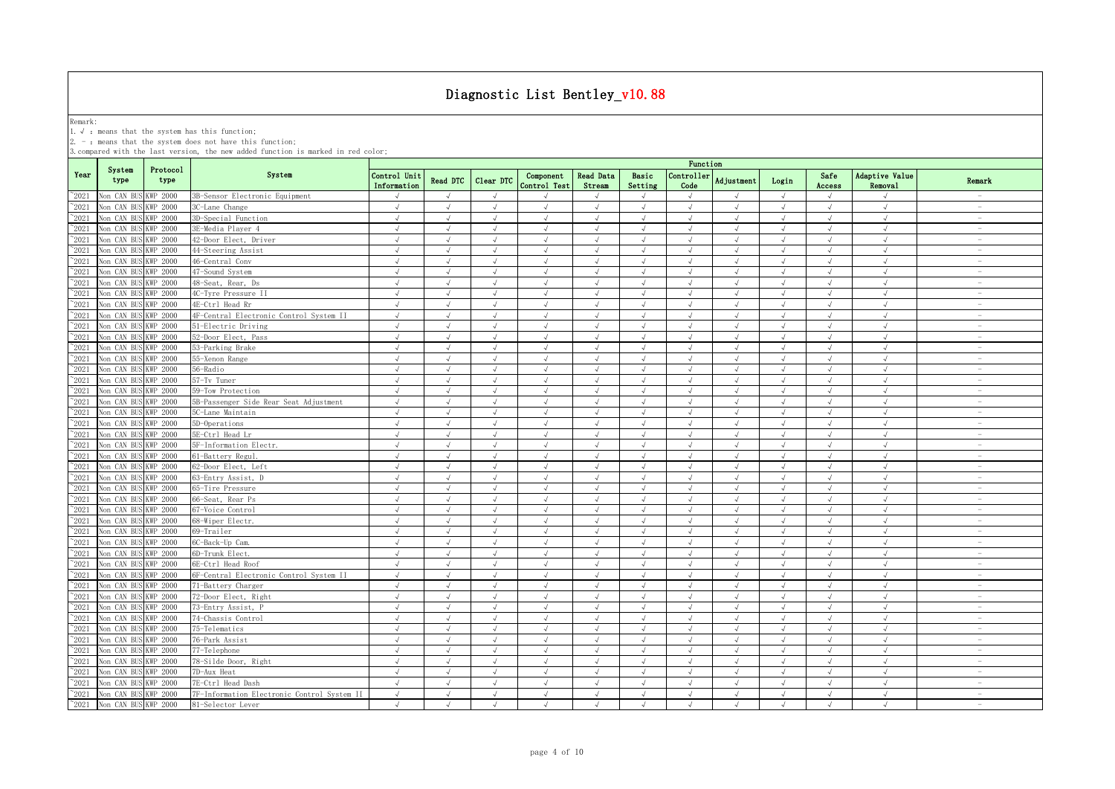Remark:<br>1.√ : means that the system has this function;<br>2. - : means that the system does not have this function;

|                |                      |                  |                                             | Function                    |               |               |                           |                            |                  |                             |                |            |                |                           |                          |
|----------------|----------------------|------------------|---------------------------------------------|-----------------------------|---------------|---------------|---------------------------|----------------------------|------------------|-----------------------------|----------------|------------|----------------|---------------------------|--------------------------|
| Year           | System<br>type       | Protocol<br>type | System                                      | Control Unit<br>Information | Read DTC      | Clear DTC     | Component<br>Control Test | <b>Read Data</b><br>Stream | Basic<br>Setting | Controller<br>Code          | Adjustment     | Login      | Safe<br>Access | Adaptive Value<br>Removal | Remark                   |
| $^{\sim}2021$  | Von CAN BUS KWP 2000 |                  | 3B-Sensor Electronic Equipment              | $\sqrt{ }$                  | $\sqrt{ }$    | $\sqrt{ }$    |                           | $\sqrt{ }$                 | $\sqrt{ }$       | $\sqrt{ }$                  | $\sqrt{ }$     | $\sqrt{ }$ | $\sqrt{ }$     | $\sqrt{ }$                |                          |
| $^{\sim}$ 2021 | Non CAN BUS KWP 2000 |                  | 3C-Lane Change                              | $\sqrt{ }$                  | $\sqrt{ }$    | $\sqrt{ }$    | $\sqrt{ }$                | $\sqrt{ }$                 | $\sqrt{ }$       | $\sqrt{ }$                  | $\sqrt{ }$     | $\sqrt{ }$ | $\sqrt{ }$     | $\sqrt{ }$                | $\sim$                   |
| $^{\sim}$ 2021 | Non CAN BUS KWP 2000 |                  | 3D-Special Function                         | $\sqrt{ }$                  | $\sqrt{ }$    |               |                           | $\sqrt{ }$                 |                  | $\sqrt{ }$                  |                |            | $\sqrt{ }$     | $\sqrt{ }$                | $\sim$                   |
| $^{\sim}$ 2021 | Non CAN BUS KWP 2000 |                  | 3E-Media Player 4                           | $\sqrt{ }$                  | $\sqrt{ }$    | $\sqrt{}$     | $\sqrt{ }$                | $\sqrt{}$                  | $\sqrt{ }$       | √                           | $\sqrt{ }$     | $\sqrt{ }$ | $\sqrt{ }$     | $\sqrt{ }$                | $\sim$                   |
| $\degree$ 2021 | Non CAN BUS I        | KWP 2000         | 42-Door Elect, Driver                       | $\sqrt{ }$                  | $\sqrt{ }$    |               |                           | $\sqrt{ }$                 | $\sqrt{ }$       | $\sqrt{ }$                  | $\overline{a}$ | $\sqrt{ }$ |                | $\sqrt{ }$                | $\sim$                   |
| $\degree$ 2021 | Non CAN BUS KWP 2000 |                  | 44-Steering Assist                          | $\sqrt{ }$                  | $\sqrt{ }$    | $\mathcal{L}$ |                           |                            |                  | $\sqrt{ }$                  | $\mathcal{L}$  | $\sqrt{ }$ |                | $\sqrt{ }$                | $\overline{\phantom{a}}$ |
| $^{\sim}$ 2021 | Non CAN BUS KWP 2000 |                  | 46-Central Conv                             | J                           | $\sqrt{ }$    |               | $\sqrt{ }$                | $\sqrt{ }$                 |                  | $\sqrt{ }$                  | $\overline{v}$ | $\sqrt{ }$ | $\sqrt{ }$     | $\sqrt{ }$                |                          |
| $^{\sim}$ 2021 | Non CAN BUS          | KWP 2000         | 47-Sound System                             | $\sqrt{ }$                  | $\sqrt{ }$    | $\sqrt{ }$    | $\sqrt{ }$                | $\sqrt{ }$                 | $\sqrt{ }$       | $\sqrt{ }$                  | $\sqrt{ }$     | $\sqrt{ }$ | $\sqrt{ }$     | $\sqrt{ }$                | $\overline{\phantom{0}}$ |
| $^{\sim}$ 2021 | Non CAN BUS KWP 2000 |                  | 48-Seat, Rear, Ds                           | $\sqrt{ }$                  | $\sqrt{ }$    | $\sqrt{ }$    | $\sqrt{ }$                | $\sqrt{ }$                 | $\sqrt{ }$       | $\sqrt{ }$                  | $\sqrt{ }$     | $\sqrt{ }$ | $\sqrt{ }$     | $\sqrt{ }$                | $\sim$                   |
| $^{\sim}2021$  | Non CAN BUS KWP 2000 |                  | 4C-Tyre Pressure II                         | $\sqrt{ }$                  | $\sqrt{ }$    | $\sqrt{ }$    | $\sqrt{ }$                | $\sqrt{ }$                 | $\sqrt{ }$       | $\sqrt{ }$                  | $\sqrt{ }$     | $\sqrt{ }$ | $\sqrt{ }$     | $\sqrt{ }$                | $\overline{\phantom{a}}$ |
| $^{\sim}$ 2021 | Non CAN BUS KWP 2000 |                  | 4E-Ctrl Head Rr                             | $\sqrt{ }$                  | $\sqrt{ }$    | $\sqrt{}$     | $\sqrt{ }$                | $\sqrt{ }$                 | $\sqrt{ }$       | $\sqrt{ }$                  | $\sqrt{ }$     | $\sqrt{ }$ | $\sqrt{ }$     | $\sqrt{2}$                | $\sim$                   |
| $^{\sim}2021$  | Non CAN BUS          | KWP 2000         | 4F-Central Electronic Control System II     | $\sqrt{ }$                  | $\sqrt{ }$    | $\sqrt{ }$    | $\sqrt{ }$                | $\sqrt{ }$                 | $\sqrt{ }$       | $\sqrt{ }$                  | $\sqrt{ }$     | $\sqrt{ }$ | $\sqrt{ }$     | $\sqrt{ }$                | $\sim$                   |
| $^{\sim}$ 2021 | Non CAN BUS KWP 2000 |                  | 51-Electric Driving                         | $\sqrt{ }$                  | $\sqrt{ }$    | $\sqrt{ }$    | $\sqrt{ }$                | $\sqrt{ }$                 | $\sqrt{ }$       | $\sqrt{ }$                  | $\sqrt{ }$     | $\sqrt{ }$ | $\sqrt{ }$     | $\sqrt{2}$                | $\sim$                   |
| $^{\sim}$ 2021 | Non CAN BUS KWP 2000 |                  | 52-Door Elect, Pass                         | $\sqrt{ }$                  | $\sqrt{ }$    | $\sqrt{ }$    | $\sqrt{ }$                | $\sqrt{ }$                 | $\sqrt{ }$       | $\sqrt{ }$                  | $\sqrt{ }$     | $\sqrt{ }$ | $\sqrt{ }$     | $\sqrt{ }$                | $\overline{\phantom{a}}$ |
| $^{\sim}$ 2021 | Non CAN BUS KWP 2000 |                  | 53-Parking Brake                            | $\sqrt{ }$                  | $\sqrt{ }$    | $\sqrt{ }$    | $\sqrt{ }$                | $\sqrt{ }$                 | $\sqrt{ }$       | $\sqrt{ }$                  | $\sqrt{ }$     | $\sqrt{ }$ | $\sqrt{ }$     | $\sqrt{ }$                | $\overline{\phantom{a}}$ |
| $^{\sim}$ 2021 | Von CAN BUS KWP 2000 |                  | 55-Xenon Range                              | $\sqrt{ }$                  | $\sqrt{ }$    | $\sqrt{ }$    | $\sqrt{ }$                | $\sqrt{ }$                 | $\sqrt{ }$       | $\sqrt{ }$                  | $\sqrt{ }$     | $\sqrt{ }$ | $\sqrt{ }$     | $\sqrt{ }$                | $\sim$                   |
| $^{\sim}$ 2021 | Von CAN BUS KWP 2000 |                  | 56-Radio                                    | $\sqrt{ }$                  | $\sqrt{ }$    | $\sqrt{ }$    | $\sqrt{ }$                | $\sqrt{ }$                 | $\sqrt{ }$       | $\sqrt{ }$                  | $\sqrt{ }$     | $\sqrt{ }$ | $\sqrt{ }$     | $\sqrt{ }$                | $\sim$                   |
| $^{\sim}2021$  | Non CAN BUS KWP 2000 |                  | 57-Tv Tuner                                 | $\sqrt{ }$                  | $\sqrt{ }$    | $\sqrt{ }$    | $\sqrt{ }$                | $\sqrt{}$                  | $\sqrt{ }$       | $\sqrt{ }$                  | $\sqrt{ }$     | $\sqrt{}$  | $\sqrt{ }$     | $\sqrt{ }$                | $\sim$                   |
| $^{\sim}$ 2021 | Non CAN BUS KWP 2000 |                  | 59-Tow Protection                           | $\sqrt{ }$                  | $\sqrt{ }$    | $\sqrt{ }$    | $\sqrt{ }$                | $\sqrt{ }$                 | $\sqrt{ }$       | $\sqrt{2}$                  | $\sqrt{ }$     | $\sqrt{ }$ | $\sqrt{ }$     | $\sqrt{2}$                | $\sim$                   |
| $^{\sim}2021$  | Non CAN BUS          | KWP 2000         | 5B-Passenger Side Rear Seat Adjustment      | $\sqrt{ }$                  | $\sqrt{ }$    | $\mathcal{L}$ | $\sqrt{ }$                | J                          | $\sqrt{ }$       | $\sqrt{ }$                  | J              | $\sqrt{ }$ | $\sqrt{ }$     | $\sqrt{ }$                | $\sim$                   |
| $^{\sim}$ 2021 | Non CAN BUS KWP 2000 |                  | 5C-Lane Maintain                            | $\sqrt{ }$                  | $\sqrt{ }$    | $\sqrt{ }$    | $\sqrt{ }$                | $\sqrt{ }$                 | $\sqrt{ }$       | $\sqrt{ }$                  | $\sqrt{ }$     | $\sqrt{ }$ | $\sqrt{ }$     | $\sqrt{ }$                | $\overline{\phantom{a}}$ |
| $^{\circ}2021$ | Non CAN BUS KWP 2000 |                  | 5D-Operations                               | $\sqrt{ }$                  | $\sqrt{ }$    | J             | $\mathcal{L}$             | $\sqrt{}$                  | $\sqrt{ }$       | $\sqrt{ }$                  | J              | $\sqrt{ }$ | $\sqrt{ }$     | $\sqrt{ }$                | $\sim$                   |
| $^{\sim}$ 2021 | Non CAN BUS          | KWP 2000         | 5E-Ctrl Head Lr                             | $\sqrt{ }$                  | $\sqrt{ }$    | $\sqrt{ }$    | $\mathcal{L}$             | $\sqrt{ }$                 |                  | $\sqrt{ }$                  | J              | $\sqrt{ }$ |                | $\sqrt{ }$                | $\overline{\phantom{a}}$ |
| $^{\sim}$ 2021 | Non CAN BUS KWP 2000 |                  | 5F-Information Electr.                      | $\sqrt{ }$                  | $\sqrt{ }$    |               | $\mathcal{A}$             | $\sqrt{ }$                 | $\sqrt{ }$       | $\mathcal{N}_{\mathcal{N}}$ | $\sqrt{ }$     | $\sqrt{ }$ | $\sqrt{ }$     | $\sqrt{ }$                | $\overline{\phantom{a}}$ |
| $^{\sim}2021$  | Non CAN BUS KWP 2000 |                  | 61-Battery Regul                            | $\sqrt{ }$                  | $\sqrt{ }$    | $\sqrt{ }$    | $\sqrt{ }$                | $\sqrt{ }$                 | $\sqrt{ }$       | $\sqrt{ }$                  | $\sqrt{ }$     | $\sqrt{ }$ | $\sqrt{ }$     | $\sqrt{ }$                | $\overline{\phantom{a}}$ |
| $^{\sim}$ 2021 | Non CAN BUS KWP 2000 |                  | 62-Door Elect, Left                         | $\sqrt{ }$                  | $\sqrt{ }$    | $\sqrt{ }$    | $\sqrt{ }$                | $\sqrt{ }$                 | $\sqrt{ }$       | $\sqrt{ }$                  | $\sqrt{ }$     | $\sqrt{ }$ | $\sqrt{ }$     | $\sqrt{ }$                | $\sim$                   |
| $^{\sim}2021$  | Non CAN BUS          | <b>KWP 2000</b>  | 63-Entry Assist, D                          | $\sqrt{ }$                  | $\sqrt{ }$    | $\sqrt{ }$    | $\sqrt{ }$                | $\sqrt{ }$                 | $\sqrt{ }$       | $\sqrt{ }$                  | $\sqrt{ }$     | $\sqrt{ }$ | $\sqrt{ }$     | $\sqrt{ }$                | $\sim$                   |
| $^{\sim}$ 2021 | Non CAN BUS KWP 2000 |                  | 65-Tire Pressure                            | $\sqrt{ }$                  | $\sqrt{ }$    | $\sqrt{ }$    | $\sqrt{ }$                | $\sqrt{ }$                 | $\sqrt{ }$       | $\sqrt{ }$                  | $\sqrt{ }$     | $\sqrt{ }$ | $\sqrt{ }$     | $\sqrt{ }$                | $\overline{\phantom{a}}$ |
| $^{\sim}$ 2021 | Non CAN BUS KWP 2000 |                  | 66-Seat, Rear Ps                            | $\sqrt{ }$                  | $\sqrt{ }$    | $\sqrt{ }$    | $\sqrt{ }$                | $\sqrt{ }$                 | $\sqrt{ }$       | $\sqrt{ }$                  | $\sqrt{ }$     | $\sqrt{ }$ | $\sqrt{ }$     | $\sqrt{ }$                | $\overline{\phantom{a}}$ |
| $^{\sim}2021$  | Non CAN BUS KWP 2000 |                  | 67-Voice Control                            | $\sqrt{ }$                  | $\sqrt{ }$    | $\sqrt{ }$    | $\sqrt{ }$                | $\sqrt{ }$                 | $\sqrt{ }$       | $\sqrt{ }$                  | $\sqrt{ }$     | $\sqrt{ }$ | $\sqrt{ }$     | $\sqrt{ }$                | $\sim$                   |
| $^{\sim}$ 2021 | Non CAN BUS KWP 2000 |                  | 68-Wiper Electr.                            | $\sqrt{ }$                  | $\sqrt{ }$    | $\lambda$     | $\sqrt{ }$                | $\sqrt{ }$                 | $\sqrt{ }$       | $\sqrt{ }$                  | $\sqrt{ }$     | $\sqrt{ }$ | $\sqrt{ }$     | $\sqrt{ }$                | $\overline{\phantom{a}}$ |
| $^{\sim}$ 2021 | Non CAN BUS KWP 2000 |                  | 69-Trailer                                  | $\sqrt{ }$                  | $\sqrt{ }$    | $\sqrt{ }$    | $\sqrt{ }$                | $\sqrt{ }$                 | $\sqrt{ }$       | $\sqrt{ }$                  | $\sqrt{ }$     | $\sqrt{ }$ | $\sqrt{ }$     | $\sqrt{ }$                | $\overline{\phantom{a}}$ |
| $^{\sim}$ 2021 | Non CAN BUS KWP 2000 |                  | 6C-Back-Up Cam.                             | $\sqrt{ }$                  | $\sqrt{ }$    | J             | $\sqrt{ }$                | $\sqrt{ }$                 | $\sqrt{ }$       | $\sqrt{ }$                  | $\sqrt{ }$     | $\sqrt{ }$ | $\sqrt{ }$     | $\sqrt{ }$                | $\overline{\phantom{a}}$ |
| $^{\sim}$ 2021 | Non CAN BUS KWP 2000 |                  | 6D-Trunk Elect.                             | $\sqrt{ }$                  | $\sqrt{ }$    | $\sqrt{ }$    | $\sqrt{ }$                | $\sqrt{ }$                 | $\sqrt{ }$       | $\sqrt{ }$                  | $\sqrt{ }$     | $\sqrt{ }$ | $\sqrt{ }$     | $\sqrt{ }$                | $\sim$                   |
| $^{\sim}$ 2021 | Non CAN BUS KWP 2000 |                  | 6E-Ctrl Head Roof                           | $\lambda$                   | $\sqrt{ }$    | $\sqrt{ }$    |                           | J                          | $\sqrt{ }$       | $\sqrt{ }$                  |                | $\sqrt{ }$ | $\sqrt{ }$     | $\sqrt{ }$                | $\sim$                   |
| $^{\sim}2021$  | Non CAN BUS KWP 2000 |                  | 6F-Central Electronic Control System II     | $\sqrt{ }$                  | $\sqrt{ }$    | $\sqrt{}$     | $\sqrt{ }$                | $\sqrt{ }$                 | $\sqrt{ }$       | √                           | $\sqrt{ }$     | $\sqrt{ }$ | $\sqrt{ }$     | √                         | $\overline{\phantom{a}}$ |
| $\degree$ 2021 | Non CAN BUS KWP 2000 |                  | 71-Battery Charger                          | $\sqrt{ }$                  | $\mathcal{L}$ |               | $\mathcal{L}$             |                            | $\sqrt{ }$       | $\sqrt{ }$                  |                | $\sqrt{ }$ |                |                           | $\overline{\phantom{a}}$ |
| $^{\sim}$ 2021 | Non CAN BUS KWP 2000 |                  | 72-Door Elect, Right                        | $\sqrt{ }$                  | $\sqrt{ }$    | $\sqrt{ }$    |                           |                            |                  |                             | $\mathcal{L}$  | $\sqrt{ }$ |                |                           | $\overline{\phantom{a}}$ |
| $^{\sim}$ 2021 | Non CAN BUS KWP 2000 |                  | 73-Entry Assist, P                          |                             | $\sqrt{ }$    |               |                           | $\sqrt{ }$                 |                  |                             |                |            |                |                           |                          |
| $^{\sim}2021$  | Non CAN BUS KWP 2000 |                  | 74-Chassis Control                          | $\sqrt{ }$                  | $\sqrt{ }$    | J             |                           | $\sqrt{ }$                 | $\sqrt{ }$       | $\sqrt{ }$                  | $\sqrt{ }$     | $\sqrt{ }$ |                | $\sqrt{ }$                | $\overline{\phantom{0}}$ |
| $^{\sim}$ 2021 | Non CAN BUS KWP 2000 |                  | 75-Telematics                               | $\sqrt{ }$                  | $\sqrt{ }$    | $\sqrt{ }$    | $\sqrt{ }$                | $\sqrt{ }$                 | $\sqrt{ }$       | $\sqrt{ }$                  | $\sqrt{ }$     | $\sqrt{ }$ | $\sqrt{ }$     | $\sqrt{ }$                | $\sim$                   |
| $^{\sim}2021$  | Non CAN BUS KWP 2000 |                  | 76-Park Assist                              | $\sqrt{ }$                  | $\sqrt{ }$    | $\sqrt{ }$    | $\mathcal{L}$             | $\sqrt{ }$                 | $\sqrt{ }$       | $\sqrt{ }$                  | $\sqrt{ }$     | $\sqrt{ }$ | $\sqrt{ }$     | $\sqrt{ }$                | $\sim$                   |
| $^{\sim}2021$  | Non CAN BUS KWP 2000 |                  | 77-Telephone                                | $\sqrt{ }$                  | $\sqrt{ }$    | $\sqrt{ }$    | $\sqrt{ }$                | $\sqrt{ }$                 | $\sqrt{ }$       | $\sqrt{ }$                  | $\sqrt{ }$     | $\sqrt{ }$ | $\sqrt{ }$     | $\sqrt{ }$                | $\sim$                   |
| $^{\sim}2021$  | Non CAN BUS KWP 2000 |                  | 78-Silde Door, Right                        | $\sqrt{ }$                  | $\sqrt{ }$    | $\sqrt{ }$    | $\mathcal{L}$             | $\sqrt{ }$                 | $\sqrt{ }$       | $\sqrt{ }$                  | $\sqrt{ }$     | $\sqrt{ }$ | $\sqrt{ }$     | $\sqrt{ }$                | $\sim$                   |
| $^{\sim}$ 2021 | Non CAN BUS KWP 2000 |                  | 7D-Aux Heat                                 | $\sqrt{ }$                  | $\sqrt{ }$    | $\sqrt{ }$    | $\sqrt{ }$                | $\sqrt{ }$                 | $\sqrt{ }$       | $\sqrt{ }$                  | $\sqrt{ }$     | $\sqrt{ }$ | $\sqrt{ }$     | $\sqrt{2}$                | $\overline{\phantom{a}}$ |
| $^{\sim}$ 2021 | Non CAN BUS KWP 2000 |                  | 7E-Ctrl Head Dash                           | $\sqrt{ }$                  | $\sqrt{ }$    | $\sqrt{ }$    | $\sqrt{ }$                | $\sqrt{ }$                 | $\sqrt{ }$       | $\sqrt{ }$                  | $\sqrt{ }$     | $\sqrt{ }$ | $\sqrt{ }$     | $\sqrt{ }$                | $\sim$                   |
| $^{\sim}$ 2021 | Non CAN BUS KWP 2000 |                  | 7F-Information Electronic Control System II | $\sqrt{ }$                  | $\sqrt{ }$    | $\sqrt{ }$    | $\sqrt{ }$                | $\sqrt{ }$                 | $\sqrt{ }$       | $\sqrt{ }$                  | $\sqrt{ }$     | $\sqrt{ }$ | $\sqrt{ }$     | $\sqrt{ }$                | $\sim$                   |
| $^{\sim}2021$  | Non CAN BUS KWP 2000 |                  | 81-Selector Lever                           | $\sqrt{ }$                  | $\sqrt{ }$    | $\sqrt{ }$    | $\sqrt{ }$                | $\sqrt{ }$                 | $\sqrt{ }$       | $\sqrt{ }$                  | $\sqrt{ }$     | $\sqrt{ }$ | $\sqrt{ }$     | $\sqrt{ }$                | $\sim$                   |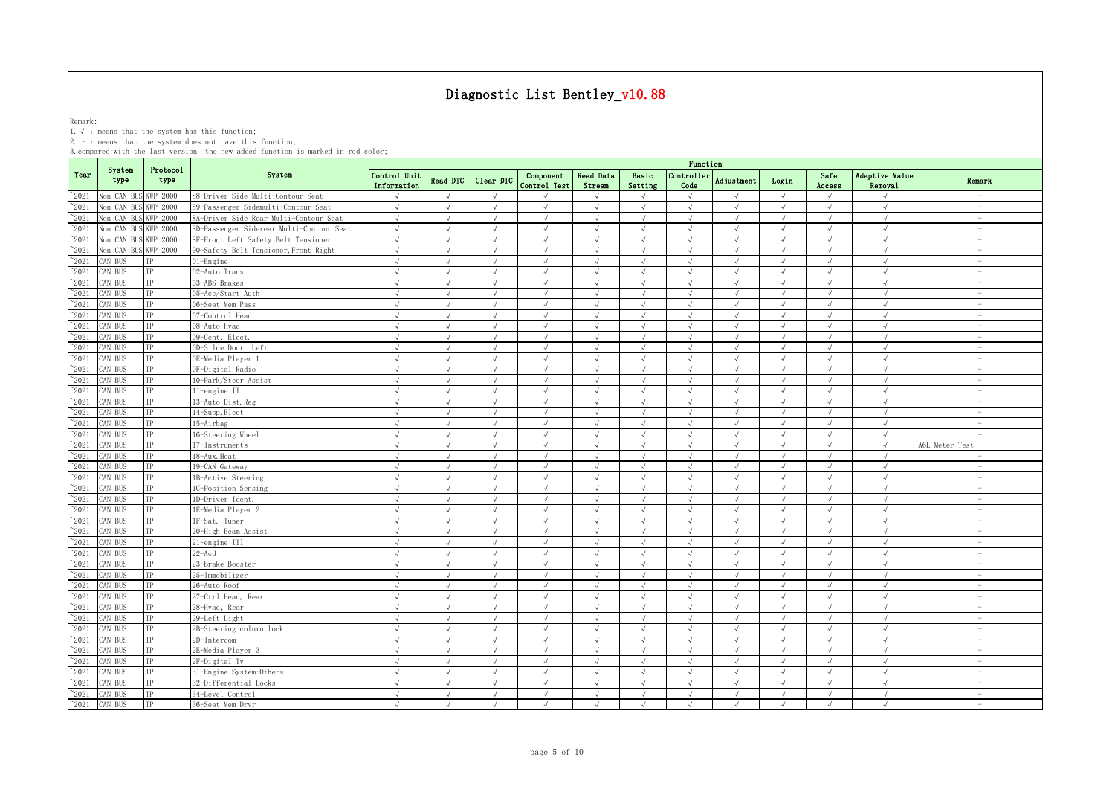Remark:<br>1.√ : means that the system has this function;<br>2. - : means that the system does not have this function;

|                |                |                  |                                          | Function                    |                |               |                           |                            |                  |                    |                   |            |                |                           |                                 |
|----------------|----------------|------------------|------------------------------------------|-----------------------------|----------------|---------------|---------------------------|----------------------------|------------------|--------------------|-------------------|------------|----------------|---------------------------|---------------------------------|
| Year           | System<br>type | Protocol<br>type | System                                   | Control Unit<br>Information | Read DTC       | Clear DTC     | Component<br>Control Test | <b>Read Data</b><br>Stream | Basic<br>Setting | Controller<br>Code | <b>Adjustment</b> | Login      | Safe<br>Access | Adaptive Value<br>Removal | Remark                          |
| $^{\circ}2021$ | Non CAN BU     | KWP 2000         | 88-Driver Side Multi-Contour Seat        | $\sqrt{}$                   | $\sqrt{ }$     | $\sqrt{ }$    | $\mathcal{L}$             |                            | $\sqrt{ }$       | $\sqrt{ }$         | $\sqrt{ }$        | $\sqrt{ }$ | $\sqrt{ }$     | $\sqrt{ }$                | $\sim$                          |
| $^{\sim}2021$  | Non CAN BU     | WP 2000          | 89-Passenger Sidemulti-Contour Seat      | $\sqrt{ }$                  | $\sqrt{ }$     | $\sqrt{ }$    | $\sqrt{ }$                | $\sqrt{ }$                 | $\sqrt{ }$       | $\sqrt{ }$         | $\sqrt{ }$        | $\sqrt{ }$ | $\sqrt{ }$     | $\sqrt{ }$                | $\sim$                          |
| $^{\sim}2021$  | Non CAN BUS    | <b>KWP 2000</b>  | 8A-Driver Side Rear Multi-Contour Seat   | $\sqrt{ }$                  | $\sqrt{ }$     | $\sqrt{ }$    | $\sqrt{ }$                | $\sqrt{ }$                 | $\sqrt{ }$       | $\sqrt{ }$         | $\sqrt{ }$        | $\sqrt{ }$ | $\sqrt{ }$     | $\sqrt{ }$                | $\sim$                          |
| $^{\sim}2021$  | Non CAN BUS    | WP 2000          | 8D-Passenger Siderear Multi-Contour Seat | $\sqrt{ }$                  | $\sqrt{ }$     | $\sqrt{ }$    | $\sqrt{ }$                | $\sqrt{ }$                 | $\sqrt{ }$       | $\sqrt{ }$         | $\sqrt{ }$        | $\sqrt{ }$ | $\sqrt{ }$     | $\sqrt{ }$                | $\sim$                          |
| 2021           | Non CAN BUS    | <b>KWP 2000</b>  | 8F-Front Left Safety Belt Tensioner      | $\sqrt{ }$                  | $\sqrt{ }$     | $\sqrt{ }$    | $\sqrt{ }$                | $\sqrt{ }$                 | $\sqrt{ }$       | $\sqrt{ }$         | $\sqrt{ }$        | $\sqrt{ }$ | $\sqrt{ }$     | $\sqrt{ }$                | $\hspace{0.1mm}-\hspace{0.1mm}$ |
| 2021           | Non CAN BUS    | <b>KWP 2000</b>  | 90-Safety Belt Tensioner, Front Right    | $\sqrt{ }$                  | $\sqrt{ }$     | $\sqrt{ }$    | $\sqrt{ }$                | $\sqrt{ }$                 | $\sqrt{ }$       | $\sqrt{ }$         | $\sqrt{ }$        | $\sqrt{ }$ | $\sqrt{ }$     | $\sqrt{ }$                | $\sim$                          |
| 2021           | CAN BUS        |                  | 01-Engine                                | $\sqrt{ }$                  | $\sqrt{ }$     | $\sqrt{ }$    | $\mathcal{L}$             | $\sqrt{ }$                 | $\sqrt{ }$       | $\sqrt{ }$         | J                 | $\sqrt{ }$ | $\sqrt{ }$     | $\sqrt{ }$                | $\sim$                          |
| 2021           | CAN BUS        | TP               | 02-Auto Trans                            | $\sqrt{ }$                  |                | $\sqrt{ }$    | $\sqrt{ }$                | $\sqrt{ }$                 | $\sqrt{ }$       | $\sqrt{ }$         |                   | $\sqrt{ }$ |                | $\sqrt{ }$                | $\sim$                          |
| $\degree$ 2021 | CAN BUS        | TP               | 03-ABS Brakes                            | $\sqrt{ }$                  |                |               | $\mathcal{L}$             | $\sqrt{ }$                 | $\sqrt{ }$       |                    | $\mathcal{L}$     | $\sqrt{ }$ |                | $\sqrt{ }$                | $\overline{\phantom{0}}$        |
| $^{\sim}$ 2021 | CAN BUS        | TP               | 05-Acc/Start Auth                        | $\sqrt{ }$                  | $\sqrt{ }$     | $\sqrt{ }$    |                           | $\sqrt{ }$                 | $\sqrt{ }$       | $\sqrt{ }$         | J                 | $\sqrt{ }$ | $\sqrt{ }$     | $\sqrt{ }$                | i.                              |
| $^{\sim}$ 2021 | CAN BUS        | TP               | 06-Seat Mem Pass                         | $\sqrt{ }$                  | $\sqrt{ }$     | $\sqrt{ }$    | $\sqrt{ }$                | $\sqrt{ }$                 | $\sqrt{ }$       | $\sqrt{ }$         | $\sqrt{ }$        | $\sqrt{ }$ | $\sqrt{ }$     | $\sqrt{ }$                | $\sim$                          |
| $^{\sim}$ 2021 | CAN BUS        | TP               | 07-Control Head                          | $\sqrt{ }$                  | $\sqrt{ }$     | $\sqrt{ }$    | $\sqrt{ }$                | $\sqrt{ }$                 | $\sqrt{ }$       | $\sqrt{ }$         | $\sqrt{ }$        | $\sqrt{ }$ | $\sqrt{ }$     | $\sqrt{ }$                | $\sim$                          |
| $^{\sim}$ 2021 | CAN BUS        | TP               | 08-Auto Hvac                             | $\sqrt{ }$                  | $\sqrt{ }$     | $\sqrt{ }$    | $\sqrt{ }$                | $\sqrt{ }$                 | $\sqrt{ }$       | $\sqrt{ }$         | $\sqrt{ }$        | $\sqrt{ }$ | $\sqrt{ }$     | $\sqrt{ }$                | $\sim$                          |
| $^{\sim}$ 2021 | CAN BUS        | TP               | 09-Cent. Elect.                          | $\sqrt{ }$                  | $\sqrt{ }$     | $\sqrt{ }$    | $\sqrt{ }$                | $\sqrt{ }$                 | $\sqrt{ }$       | $\sqrt{ }$         | $\sqrt{ }$        | $\sqrt{ }$ | $\sqrt{ }$     | $\sqrt{ }$                | $\sim$                          |
| $^{\sim}$ 2021 | CAN BUS        | TP               | OD-Silde Door, Left                      | $\sqrt{ }$                  | $\sqrt{ }$     | $\sqrt{ }$    | $\sqrt{ }$                | $\sqrt{ }$                 | $\sqrt{ }$       | $\sqrt{ }$         | $\sqrt{ }$        | $\sqrt{ }$ | $\sqrt{ }$     | $\sqrt{ }$                | $\sim$                          |
| $^{\sim}$ 2021 | CAN BUS        | TP               | OE-Media Plaver 1                        | $\sqrt{ }$                  | $\sqrt{ }$     | $\sqrt{ }$    | $\sqrt{ }$                | $\sqrt{ }$                 | $\sqrt{ }$       | $\sqrt{ }$         | $\sqrt{ }$        | $\sqrt{ }$ | $\sqrt{ }$     | $\sqrt{ }$                | $\sim$                          |
| $^{\sim}$ 2021 | CAN BUS        | TP               | OF-Digital Radio                         | $\sqrt{ }$                  | $\sqrt{ }$     | $\sqrt{ }$    | $\sqrt{ }$                | $\sqrt{ }$                 | $\sqrt{ }$       | $\sqrt{ }$         | $\sqrt{ }$        | $\sqrt{ }$ | $\sqrt{ }$     | $\sqrt{ }$                | $\overline{\phantom{a}}$        |
| $\degree$ 2021 | CAN BUS        | TP               | 10-Park/Steer Assist                     | $\sqrt{ }$                  | $\sqrt{ }$     | $\sqrt{ }$    | $\sqrt{ }$                | $\sqrt{ }$                 | $\sqrt{ }$       | $\sqrt{ }$         | $\sqrt{ }$        | $\sqrt{ }$ | $\sqrt{ }$     | $\sqrt{ }$                | $\sim$                          |
| $^{\sim}$ 2021 | CAN BUS        | TP               | 11-engine II                             | $\sqrt{ }$                  | $\sqrt{ }$     | $\sqrt{ }$    | $\sqrt{ }$                | $\sqrt{ }$                 | $\sqrt{ }$       | $\sqrt{ }$         | $\sqrt{ }$        | $\sqrt{ }$ | $\sqrt{ }$     | $\sqrt{ }$                | $\sim$                          |
| $\degree$ 2021 | AN BUS         | TP               | 13-Auto Dist. Reg                        | J                           |                |               |                           | J                          |                  |                    |                   |            |                | $\sqrt{ }$                | $\sim$                          |
| $\degree$ 2021 | AN BUS         | TP               | 14-Susp. Elect                           | $\sqrt{ }$                  | $\sqrt{ }$     | J             | $\sqrt{}$                 | $\sqrt{ }$                 | $\sqrt{ }$       | $\sqrt{ }$         | $\sqrt{ }$        | $\sqrt{ }$ | $\sqrt{ }$     | $\sqrt{ }$                | $\hspace{0.1mm}-\hspace{0.1mm}$ |
| $\degree$ 2021 | AN BUS         |                  | 15-Airbag                                | $\sqrt{ }$                  | $\overline{ }$ |               | J                         | $\sqrt{ }$                 | $\mathcal{A}$    |                    | $\overline{v}$    | $\sqrt{ }$ | $\sqrt{ }$     | $\sqrt{ }$                | $\sim$                          |
| 2021           | CAN BUS        | ГP               | 16-Steering Wheel                        | $\sqrt{2}$                  | $\sqrt{ }$     | $\sqrt{ }$    | $\sqrt{ }$                | $\sqrt{ }$                 | $\sqrt{ }$       | $\sqrt{ }$         | $\sqrt{ }$        | $\sqrt{ }$ | $\sqrt{ }$     | $\sqrt{ }$                | i.                              |
| $\degree$ 2021 | CAN BUS        | TР               | 17-Instruments                           | $\sqrt{ }$                  | $\sqrt{ }$     | $\sqrt{ }$    | $\sqrt{ }$                | $\sqrt{ }$                 | $\sqrt{ }$       | $\sqrt{ }$         | $\sqrt{ }$        | $\sqrt{ }$ | $\sqrt{ }$     | $\sqrt{ }$                | A6L Meter Test                  |
| $^{\sim}$ 2021 | CAN BUS        | TP               | 18-Aux. Heat                             | $\sqrt{ }$                  | $\sqrt{ }$     | $\sqrt{ }$    | $\sqrt{ }$                | $\sqrt{ }$                 | $\sqrt{ }$       | $\sqrt{ }$         | $\sqrt{ }$        | $\sqrt{ }$ | $\sqrt{ }$     | $\sqrt{ }$                |                                 |
| $^{\sim}$ 2021 | CAN BUS        | TP               | 19-CAN Gateway                           | $\sqrt{ }$                  | $\sqrt{ }$     | $\sqrt{ }$    | $\sqrt{ }$                | $\sqrt{ }$                 | $\sqrt{ }$       | $\sqrt{ }$         | $\sqrt{ }$        | $\sqrt{ }$ | $\sqrt{ }$     | $\sqrt{ }$                | $\overline{\phantom{a}}$        |
| $^{\sim}$ 2021 | CAN BUS        | TP               | 1B-Active Steering                       | $\sqrt{ }$                  | $\sqrt{ }$     | $\sqrt{ }$    | $\sqrt{ }$                | $\sqrt{ }$                 | $\sqrt{ }$       | $\sqrt{ }$         | $\sqrt{ }$        | $\sqrt{ }$ | $\sqrt{ }$     | $\sqrt{ }$                | $\sim$                          |
| $^{\sim}$ 2021 | AN BUS         | TP               | 1C-Position Sensing                      | $\sqrt{ }$                  | $\sqrt{ }$     | $\sqrt{ }$    | $\sqrt{ }$                | $\sqrt{ }$                 | $\sqrt{ }$       | $\sqrt{ }$         | $\sqrt{ }$        | $\sqrt{ }$ | $\sqrt{ }$     | $\sqrt{ }$                | $\sim$                          |
| $^{\sim}$ 2021 | CAN BUS        | TP               | 1D-Driver Ident.                         | $\sqrt{ }$                  | $\sqrt{ }$     | $\sqrt{ }$    | $\sqrt{ }$                | $\sqrt{ }$                 | $\sqrt{ }$       | $\sqrt{ }$         | $\sqrt{ }$        | $\sqrt{ }$ | $\sqrt{ }$     | $\sqrt{ }$                | $\sim$                          |
| $\degree$ 2021 | CAN BUS        | TP               | 1E-Media Plaver 2                        | $\sqrt{ }$                  | $\sqrt{ }$     | $\sqrt{ }$    | $\sqrt{ }$                | $\sqrt{ }$                 | $\sqrt{ }$       | $\sqrt{ }$         | $\sqrt{ }$        | $\sqrt{ }$ | $\sqrt{ }$     | $\sqrt{ }$                | $\overline{\phantom{a}}$        |
| $\degree$ 2021 | CAN BUS        | TP               | 1F-Sat. Tuner                            | $\sqrt{ }$                  | $\sqrt{ }$     | $\sqrt{ }$    | $\sqrt{ }$                | $\sqrt{ }$                 | $\sqrt{ }$       | $\sqrt{ }$         | $\sqrt{ }$        | $\sqrt{ }$ | $\sqrt{ }$     | $\sqrt{ }$                | $\overline{\phantom{a}}$        |
| $^{\sim}2021$  | CAN BUS        | TP               | 20-High Beam Assist                      | $\sqrt{ }$                  | $\sqrt{ }$     | $\sqrt{ }$    | $\sqrt{ }$                | $\sqrt{ }$                 | $\sqrt{ }$       | $\sqrt{ }$         | $\sqrt{ }$        | $\sqrt{ }$ | $\sqrt{ }$     | $\sqrt{ }$                | $\sim$                          |
| $^{\sim}$ 2021 | CAN BUS        | TP               | 21-engine III                            | $\sqrt{ }$                  | $\sqrt{ }$     | $\sqrt{ }$    | $\sqrt{ }$                | $\sqrt{ }$                 | $\sqrt{ }$       | $\sqrt{ }$         | $\sqrt{ }$        | $\sqrt{ }$ | $\sqrt{ }$     | $\sqrt{ }$                | $\overline{\phantom{a}}$        |
| $^{\sim}2021$  | CAN BUS        | TP               | $22 - Awd$                               | $\sqrt{ }$                  | $\sqrt{ }$     | $\sqrt{ }$    | $\sqrt{ }$                | $\sqrt{ }$                 | $\sqrt{ }$       | $\sqrt{ }$         | $\sqrt{ }$        | $\sqrt{ }$ | $\sqrt{ }$     | $\sqrt{ }$                | $\sim$                          |
| $^{\sim}2021$  | CAN BUS        | TP               | 23-Brake Booster                         | $\sqrt{ }$                  | $\sqrt{ }$     | $\sqrt{ }$    | $\mathcal{L}$             | $\sqrt{ }$                 | $\sqrt{ }$       | $\sqrt{ }$         | J                 | $\sqrt{ }$ | $\sqrt{ }$     | $\sqrt{ }$                | $\sim$                          |
| $^{\sim}2021$  | CAN BUS        | TP               | 25-Immobilizer                           | $\sqrt{ }$                  | $\sqrt{ }$     | $\sqrt{ }$    | $\sqrt{ }$                | $\sqrt{ }$                 | $\sqrt{ }$       | $\sqrt{ }$         | $\sqrt{ }$        | $\sqrt{ }$ | $\sqrt{ }$     | $\sqrt{ }$                | $\overline{\phantom{a}}$        |
| $\degree$ 2021 | CAN BUS        |                  | 26-Auto Roof                             | $\sqrt{ }$                  |                |               |                           | <sup>N</sup>               | $\sqrt{ }$       |                    |                   |            |                |                           | $\sim$                          |
| $\degree$ 2021 | CAN BUS        | TP               | 27-Ctrl Head, Rear                       | $\sqrt{ }$                  |                |               |                           |                            | $\sqrt{ }$       |                    |                   | $\sqrt{ }$ |                |                           | $\overline{\phantom{a}}$        |
| $\degree$ 2021 | CAN BUS        | TP               | 28-Hvac, Rear                            | $\sqrt{ }$                  |                |               |                           | $\mathcal{A}$              | $\cdot$          |                    |                   |            |                |                           | $\overline{\phantom{a}}$        |
| $^{\sim}$ 2021 | CAN BUS        | TP               | 29-Left Light                            | $\sqrt{ }$                  | $\sqrt{ }$     | $\sqrt{ }$    | $\sqrt{ }$                | $\sqrt{ }$                 | $\sqrt{ }$       | $\sqrt{ }$         | $\sqrt{ }$        | $\sqrt{ }$ | $\sqrt{ }$     | $\sqrt{ }$                | $\overline{\phantom{0}}$        |
| $^{\sim}$ 2021 | CAN BUS        | TP               | 2B-Steering column lock                  | $\sqrt{ }$                  | $\sqrt{ }$     | $\sqrt{ }$    | $\sqrt{ }$                | $\sqrt{ }$                 | $\sqrt{ }$       | $\sqrt{ }$         | J                 | $\sqrt{ }$ | $\sqrt{ }$     | $\sqrt{ }$                | $\sim$                          |
| $^{\sim}$ 2021 | CAN BUS        | TP               | 2D-Intercom                              | $\sqrt{ }$                  | $\sqrt{ }$     | $\sqrt{ }$    | $\sqrt{ }$                | $\sqrt{ }$                 | $\sqrt{ }$       | $\sqrt{ }$         | $\sqrt{ }$        | $\sqrt{ }$ | $\sqrt{ }$     | $\sqrt{ }$                | $\sim$                          |
| $^{\sim}$ 2021 | CAN BUS        | TP               | 2E-Media Plaver 3                        | $\sqrt{ }$                  | $\sqrt{ }$     | $\sqrt{ }$    | $\sqrt{ }$                | $\sqrt{ }$                 | $\sqrt{ }$       | $\sqrt{2}$         | $\sqrt{ }$        | $\sqrt{ }$ | $\sqrt{ }$     | $\sqrt{ }$                | $\sim$                          |
| $^{\sim}$ 2021 | CAN BUS        | TP               | 2F-Digital Tv                            | $\sqrt{ }$                  | $\sqrt{ }$     | $\sqrt{ }$    | $\sqrt{ }$                | $\sqrt{ }$                 | $\sqrt{ }$       | $\sqrt{ }$         | $\sqrt{ }$        | $\sqrt{ }$ | $\sqrt{ }$     | $\sqrt{ }$                | $\sim$                          |
| $\degree$ 2021 | CAN BUS        | TP               | 31-Engine System-Others                  | $\sqrt{ }$                  | $\sqrt{ }$     | $\sqrt{ }$    | $\sqrt{ }$                | $\sqrt{ }$                 | $\sqrt{ }$       | $\sqrt{ }$         | $\sqrt{ }$        | $\sqrt{ }$ | $\sqrt{ }$     | $\sqrt{2}$                | $\overline{\phantom{a}}$        |
| $^{\sim}$ 2021 | CAN BUS        | TP               | 32-Differential Locks                    | $\sqrt{ }$                  | $\mathcal{L}$  | $\mathcal{L}$ | $\sqrt{ }$                | $\sqrt{ }$                 | $\sqrt{ }$       | $\sqrt{ }$         | $\sqrt{ }$        | $\sqrt{ }$ | $\sqrt{ }$     | $\sqrt{ }$                | $\sim$                          |
| $^{\sim}$ 2021 | CAN BUS        | TP               | 34-Level Control                         | $\sqrt{ }$                  | $\sqrt{ }$     | $\sqrt{ }$    | $\sqrt{ }$                | $\sqrt{ }$                 | $\sqrt{ }$       | $\sqrt{ }$         | $\sqrt{ }$        | $\sqrt{ }$ | $\sqrt{ }$     | $\sqrt{ }$                | $\sim$                          |
| $^{\sim}$ 2021 | CAN BUS        | TP               | 36-Seat Mem Drvr                         | $\sqrt{ }$                  | $\sqrt{ }$     | $\sqrt{ }$    | $\sqrt{ }$                | $\sqrt{ }$                 | $\sqrt{ }$       | $\sqrt{ }$         | $\sqrt{ }$        | $\sqrt{ }$ | $\sqrt{ }$     | $\sqrt{ }$                | $\sim$                          |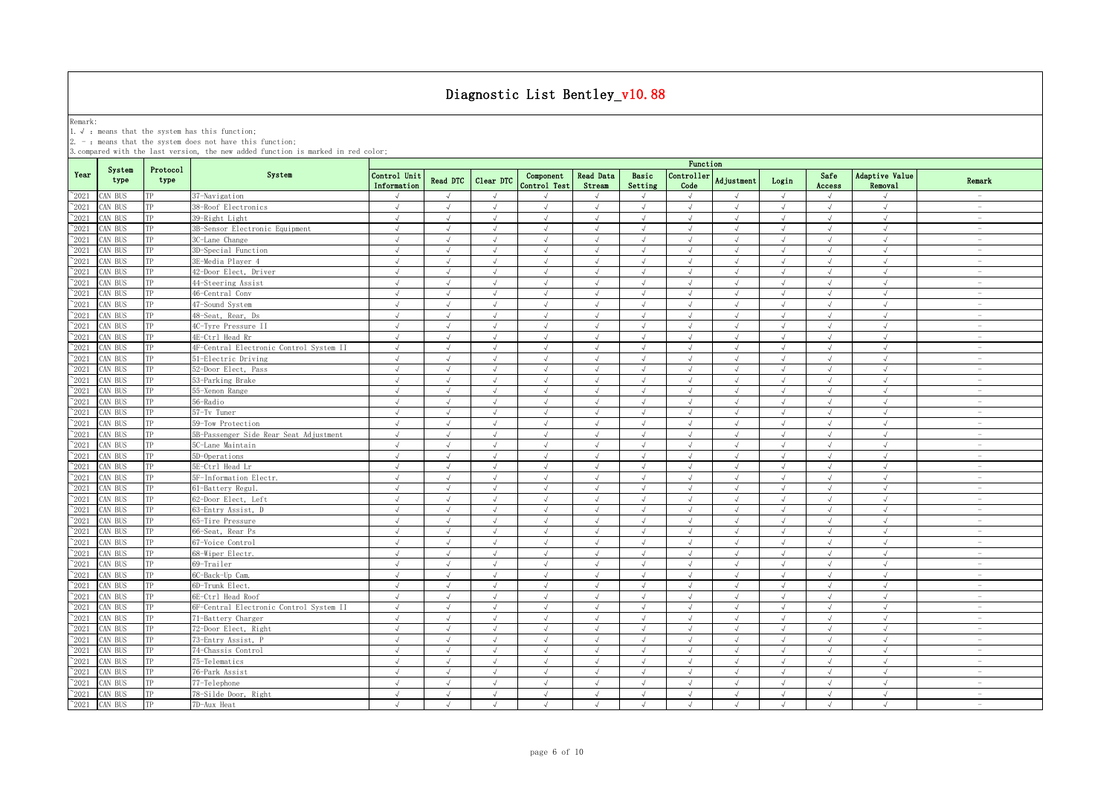Remark:<br>1.√ : means that the system has this function;<br>2. - : means that the system does not have this function;

|                 |                |                  |                                         | Function                    |               |               |                           |                            |                  |                             |                   |            |                |                           |                                 |
|-----------------|----------------|------------------|-----------------------------------------|-----------------------------|---------------|---------------|---------------------------|----------------------------|------------------|-----------------------------|-------------------|------------|----------------|---------------------------|---------------------------------|
| Year            | System<br>type | Protocol<br>type | System                                  | Control Unit<br>Information | Read DTC      | Clear DTC     | Component<br>Control Test | <b>Read Data</b><br>Stream | Basic<br>Setting | Controller<br>Code          | <b>Adjustment</b> | Login      | Safe<br>Access | Adaptive Value<br>Removal | Remark                          |
| $^{\sim}2021$   | CAN BUS        | TP               | 37-Navigation                           | $\sqrt{ }$                  | $\sqrt{ }$    | $\sqrt{ }$    |                           | $\sqrt{ }$                 | $\sqrt{ }$       | $\sqrt{ }$                  | $\sqrt{ }$        | $\sqrt{ }$ | $\sqrt{ }$     | $\sqrt{ }$                | $\sim$                          |
| $^{\sim}$ 2021  | AN BUS         | TP               | 38-Roof Electronics                     | $\sqrt{ }$                  | $\sqrt{ }$    | $\sqrt{ }$    | $\sqrt{ }$                | $\sqrt{ }$                 | $\sqrt{ }$       | $\sqrt{ }$                  | $\sqrt{ }$        | $\sqrt{ }$ | $\sqrt{ }$     | $\sqrt{ }$                | $\sim$                          |
| $^{\sim}$ 2021  | CAN BUS        | TP               | 39-Right Light                          | $\sqrt{ }$                  | $\sqrt{ }$    | $\sqrt{ }$    | $\sqrt{ }$                | $\sqrt{ }$                 | $\sqrt{ }$       | $\sqrt{ }$                  | $\sqrt{ }$        | $\sqrt{ }$ | $\sqrt{ }$     | $\sqrt{ }$                | $\sim$                          |
| $^{\sim}$ 2021  | AN BUS         | TP               | 3B-Sensor Electronic Equipment          | $\sqrt{ }$                  | $\sqrt{ }$    | $\sqrt{ }$    | $\sqrt{ }$                | $\sqrt{ }$                 | $\sqrt{ }$       | $\sqrt{ }$                  | $\sqrt{ }$        | $\sqrt{ }$ | $\sqrt{ }$     | $\sqrt{ }$                | $\sim$                          |
| $^{\sim}$ 2021  | CAN BUS        | TP               | 3C-Lane Change                          | $\sqrt{ }$                  | $\sqrt{ }$    | $\sqrt{ }$    | $\sqrt{ }$                | $\sqrt{ }$                 | $\sqrt{ }$       | $\sqrt{ }$                  | $\sqrt{ }$        | $\sqrt{}$  | $\sqrt{ }$     | $\sqrt{ }$                | $\hspace{0.1mm}-\hspace{0.1mm}$ |
| $^{\sim}$ 2021  | AN BUS         | TP               | 3D-Special Function                     | $\sqrt{ }$                  | $\sqrt{ }$    | $\sqrt{ }$    | $\sqrt{ }$                | $\sqrt{ }$                 | $\sqrt{ }$       | $\sqrt{ }$                  | $\sqrt{ }$        | $\sqrt{ }$ | $\sqrt{ }$     | $\sqrt{ }$                | $\sim$                          |
| $^{\sim}$ 2021  | AN BUS         | TP               | 3E-Media Player 4                       | $\sqrt{ }$                  | $\sqrt{ }$    | J             | $\sqrt{ }$                | $\sqrt{ }$                 | $\sqrt{ }$       | $\sqrt{}$                   | J                 | $\sqrt{ }$ | $\sqrt{ }$     | $\sqrt{ }$                | $\sim$                          |
| $^{\sim}$ 2021  | AN BUS         | TP               | 42-Door Elect, Driver                   | $\sqrt{ }$                  | $\mathcal{L}$ | J             | $\sqrt{ }$                | $\sqrt{ }$                 |                  | $\sqrt{ }$                  | $\overline{v}$    | $\sqrt{ }$ | $\sqrt{ }$     | $\sqrt{ }$                | $\sim$                          |
| $\gamma_{2021}$ | CAN BUS        | TP               | 44-Steering Assist                      | $\sqrt{ }$                  | $\sqrt{ }$    | $\mathcal{L}$ | $\sqrt{ }$                | J                          | $\sqrt{ }$       | $\cdot$                     | $\sqrt{ }$        | $\sqrt{ }$ | $\sqrt{ }$     | $\sqrt{ }$                | $\overline{\phantom{0}}$        |
| $^{\sim}$ 2021  | AN BUS         | TP               | 46-Central Conv                         | J                           | $\sqrt{ }$    |               |                           | $\sqrt{ }$                 |                  |                             |                   | $\sqrt{ }$ |                | $\sqrt{ }$                | $\overline{a}$                  |
| $^{\sim}$ 2021  | AN BUS         | TP               | 47-Sound System                         | $\sqrt{ }$                  | $\sqrt{ }$    | $\sqrt{ }$    | $\sqrt{ }$                | $\sqrt{ }$                 | $\sqrt{ }$       | $\sqrt{ }$                  | $\sqrt{ }$        | $\sqrt{ }$ | $\sqrt{ }$     | $\sqrt{ }$                | $\sim$                          |
| $^{\sim}2021$   | CAN BUS        | TP               | 48-Seat, Rear, Ds                       | $\sqrt{ }$                  | $\sqrt{ }$    | $\sqrt{ }$    | $\sqrt{ }$                | $\sqrt{ }$                 | $\sqrt{ }$       | $\sqrt{ }$                  | $\sqrt{ }$        | $\sqrt{ }$ | $\sqrt{ }$     | $\sqrt{ }$                | $\sim$                          |
| $^{\sim}$ 2021  | CAN BUS        | TP               | 4C-Tyre Pressure II                     | $\sqrt{ }$                  | $\sqrt{ }$    | $\sqrt{ }$    | $\sqrt{ }$                | $\sqrt{ }$                 | $\sqrt{ }$       | $\sqrt{ }$                  | $\sqrt{ }$        | $\sqrt{ }$ | $\sqrt{ }$     | $\sqrt{ }$                | $\sim$                          |
| $^{\sim}$ 2021  | CAN BUS        | TP               | 4E-Ctrl Head Rr                         | $\sqrt{ }$                  | $\sqrt{ }$    | $\sqrt{ }$    | $\sqrt{ }$                | $\sqrt{ }$                 | $\sqrt{ }$       | $\sqrt{}$                   | $\sqrt{ }$        | $\sqrt{ }$ | $\sqrt{ }$     | $\sqrt{ }$                | $\overline{\phantom{a}}$        |
| $\gamma_{2021}$ | CAN BUS        | TP               | 4F-Central Electronic Control System II | $\sqrt{ }$                  | $\sqrt{ }$    | $\sqrt{ }$    | $\sqrt{ }$                | $\sqrt{ }$                 | $\sqrt{ }$       | $\sqrt{ }$                  | $\sqrt{ }$        | $\sqrt{ }$ | $\sqrt{ }$     | $\sqrt{ }$                | $\overline{\phantom{a}}$        |
| $^\sim\!\!2021$ | CAN BUS        | TP               | 51-Electric Driving                     | $\sqrt{ }$                  | $\sqrt{ }$    | $\lambda$     | $\mathcal{L}$             | $\sqrt{ }$                 | $\sqrt{ }$       | $\sqrt{ }$                  | $\sqrt{ }$        | $\sqrt{ }$ | $\sqrt{ }$     | $\sqrt{ }$                | $\sim$                          |
| $^{\sim}$ 2021  | AN BUS         | TP               | 52-Door Elect, Pass                     | $\sqrt{ }$                  | $\sqrt{ }$    | $\sqrt{ }$    | $\sqrt{ }$                | $\sqrt{ }$                 | $\sqrt{ }$       | $\sqrt{ }$                  | $\sqrt{ }$        | $\sqrt{ }$ | $\sqrt{ }$     | $\sqrt{ }$                | $\sim$                          |
| $^{\sim}$ 2021  | CAN BUS        | TP               | 53-Parking Brake                        | $\sqrt{ }$                  | $\sqrt{ }$    | $\sqrt{ }$    | $\sqrt{ }$                | $\sqrt{ }$                 | $\sqrt{ }$       | $\sqrt{ }$                  | $\sqrt{ }$        | $\sqrt{ }$ | $\sqrt{ }$     | $\sqrt{ }$                | $\overline{\phantom{a}}$        |
| $^{\sim}$ 2021  | AN BUS         | TP               | 55-Xenon Range                          | $\sqrt{ }$                  | $\sqrt{ }$    | $\sqrt{ }$    | $\sqrt{ }$                | $\sqrt{ }$                 | $\sqrt{ }$       | $\sqrt{ }$                  | $\sqrt{ }$        | $\sqrt{ }$ | $\sqrt{ }$     | $\sqrt{ }$                | $\sim$                          |
| $^{\sim}$ 2021  | CAN BUS        | TP               | 56-Radio                                | $\sqrt{ }$                  | $\sqrt{ }$    | J             | $\sqrt{ }$                | $\sqrt{ }$                 | $\sqrt{ }$       | $\sqrt{ }$                  | J                 | $\sqrt{ }$ | $\sqrt{ }$     | $\sqrt{ }$                | $\sim$                          |
| $^{\sim}$ 2021  | AN BUS         | TP               | 57-Tv Tuner                             | $\sqrt{ }$                  | $\sqrt{ }$    | $\sqrt{ }$    | $\sqrt{ }$                | $\sqrt{ }$                 | $\sqrt{ }$       | $\sqrt{ }$                  | $\sqrt{ }$        | $\sqrt{ }$ | $\sqrt{ }$     | $\sqrt{ }$                | $\sim$                          |
| $^{\sim}$ 2021  | AN BUS         | TP               | 59-Tow Protection                       |                             |               |               |                           |                            |                  |                             |                   |            |                |                           | $\sim$                          |
| $^{\sim}2021$   | CAN BUS        | TP               | 5B-Passenger Side Rear Seat Adjustment  | $\sqrt{ }$                  | $\sqrt{ }$    | $\sqrt{}$     |                           | $\sqrt{ }$                 | $\sqrt{ }$       | √                           | $\sqrt{ }$        | $\sqrt{ }$ | $\sqrt{ }$     | $\sqrt{ }$                | $\overline{\phantom{a}}$        |
| $^{\sim}$ 2021  | CAN BUS        | TP               | 5C-Lane Maintain                        |                             |               |               |                           |                            |                  |                             |                   | $\sqrt{ }$ |                |                           | $\overline{\phantom{a}}$        |
| $^\sim\!\!2021$ | CAN BUS        | TP               | 5D-Operations                           | $\sqrt{ }$                  | $\sqrt{ }$    | $\sqrt{ }$    |                           | $\sqrt{ }$                 |                  | $\sqrt{ }$                  |                   | $\sqrt{ }$ |                | $\sqrt{ }$                | $\overline{\phantom{0}}$        |
| $^{\sim}$ 2021  | CAN BUS        | TP               | 5E-Ctrl Head Lr                         | $\sqrt{ }$                  | $\sqrt{ }$    |               | $\sqrt{ }$                | $\sqrt{ }$                 | $\sqrt{ }$       | $\mathcal{N}_{\mathcal{N}}$ | $\overline{v}$    | $\sqrt{ }$ | $\sqrt{ }$     | $\sqrt{ }$                | $\overline{\phantom{0}}$        |
| $\gamma_{2021}$ | CAN BUS        | TP               | 5F-Information Electr.                  | $\sqrt{ }$                  | $\sqrt{ }$    | $\sqrt{ }$    | $\sqrt{ }$                | $\sqrt{ }$                 | $\sqrt{ }$       | $\sqrt{ }$                  | $\sqrt{ }$        | $\sqrt{ }$ | $\sqrt{ }$     | $\sqrt{ }$                | $\overline{\phantom{a}}$        |
| $^{\sim}$ 2021  | AN BUS         | TP               | 61-Battery Regul.                       | $\sqrt{ }$                  | $\sqrt{ }$    | $\sqrt{ }$    | $\sqrt{ }$                | $\sqrt{ }$                 | $\sqrt{ }$       | $\sqrt{ }$                  | $\sqrt{ }$        | $\sqrt{ }$ | $\sqrt{ }$     | $\sqrt{ }$                | $\sim$                          |
| $^{\sim}2021$   | CAN BUS        | TP               | 62-Door Elect, Left                     | $\sqrt{ }$                  | $\sqrt{ }$    | $\sqrt{ }$    | $\sqrt{ }$                | $\sqrt{ }$                 | $\sqrt{ }$       | $\sqrt{ }$                  | $\sqrt{ }$        | $\sqrt{ }$ | $\sqrt{ }$     | $\sqrt{ }$                | $\sim$                          |
| $\gamma_{2021}$ | AN BUS         | TP               | 63-Entry Assist, D                      | $\sqrt{ }$                  | $\sqrt{ }$    | $\sqrt{ }$    | $\sqrt{ }$                | $\sqrt{ }$                 | $\sqrt{ }$       | $\sqrt{ }$                  | $\sqrt{ }$        | $\sqrt{ }$ | $\sqrt{ }$     | $\sqrt{2}$                | $\sim$                          |
| $\gamma_{2021}$ | CAN BUS        | TP               | 65-Tire Pressure                        | $\sqrt{ }$                  | $\sqrt{ }$    | $\sqrt{ }$    | $\sqrt{ }$                | $\sqrt{ }$                 | $\sqrt{ }$       | $\sqrt{ }$                  | $\sqrt{ }$        | $\sqrt{ }$ | $\sqrt{ }$     | $\sqrt{ }$                | $\sim$                          |
| $\gamma_{2021}$ | AN BUS         | TP               | 66-Seat, Rear Ps                        | $\sqrt{ }$                  | $\sqrt{ }$    | $\sqrt{ }$    | $\sqrt{ }$                | $\sqrt{ }$                 | $\sqrt{ }$       | $\sqrt{ }$                  | $\sqrt{ }$        | $\sqrt{ }$ | $\sqrt{ }$     | $\sqrt{ }$                | $\sim$                          |
| $^{\sim}$ 2021  | CAN BUS        | TP               | 67-Voice Control                        | $\sqrt{ }$                  | $\sqrt{ }$    | $\sqrt{ }$    | $\sqrt{ }$                | $\sqrt{ }$                 | $\sqrt{ }$       | $\sqrt{ }$                  | $\sqrt{ }$        | $\sqrt{ }$ | $\sqrt{ }$     | $\sqrt{ }$                | $\sim$                          |
| $^{\sim}$ 2021  | AN BUS         | TP               | 68-Wiper Electr.                        | $\sqrt{ }$                  | $\sqrt{ }$    | $\sqrt{ }$    | $\sqrt{ }$                | $\sqrt{ }$                 | $\sqrt{ }$       | $\sqrt{ }$                  | $\sqrt{ }$        | $\sqrt{ }$ | $\sqrt{ }$     | $\sqrt{ }$                | $\sim$                          |
| $^{\sim}$ 2021  | CAN BUS        | TP               | 69-Trailer                              | $\sqrt{ }$                  | $\sqrt{ }$    | $\sqrt{ }$    | $\sqrt{ }$                | $\sqrt{ }$                 | $\sqrt{ }$       | $\sqrt{ }$                  | $\sqrt{ }$        | $\sqrt{ }$ | $\sqrt{ }$     | $\sqrt{ }$                | $\sim$                          |
| $^{\sim}$ 2021  | AN BUS         | TP               | 6C-Back-Up Cam.                         | $\sqrt{ }$                  | $\sqrt{ }$    | $\sqrt{}$     | $\sqrt{ }$                | $\sqrt{ }$                 | $\sqrt{ }$       | $\sqrt{ }$                  | $\sqrt{ }$        | $\sqrt{ }$ | $\sqrt{ }$     | $\sqrt{ }$                | $\sim$                          |
| $\degree$ 2021  | CAN BUS        | TP               | 6D-Trunk Elect.                         | $\sqrt{ }$                  | $\sqrt{ }$    | $\sqrt{ }$    | $\sqrt{ }$                | $\sqrt{ }$                 | $\sqrt{ }$       | $\sqrt{ }$                  | $\sqrt{ }$        | $\sqrt{}$  | $\sqrt{ }$     | $\sqrt{ }$                | $\hspace{0.1mm}-\hspace{0.1mm}$ |
| $^{\sim}$ 2021  | AN BUS         | TP               | 6E-Ctrl Head Roof                       | $\sqrt{ }$                  | $\sqrt{ }$    | $\sqrt{ }$    | $\sqrt{ }$                | $\sqrt{ }$                 | $\sqrt{ }$       | $\sqrt{ }$                  | $\sqrt{ }$        | $\sqrt{ }$ | $\sqrt{ }$     | $\sqrt{ }$                | $\sim$                          |
| $^{\sim}$ 2021  | AN BUS         | TP               | 6F-Central Electronic Control System II | $\sqrt{ }$                  | $\sqrt{ }$    | $\mathcal{L}$ | $\sqrt{ }$                | J                          | $\mathcal{L}$    | $\sqrt{ }$                  | $\mathcal{L}$     | $\sqrt{ }$ | $\sqrt{ }$     | $\sqrt{ }$                | $\sim$                          |
| $\gamma_{2021}$ | CAN BUS        | TP               | 71-Battery Charger                      | $\sqrt{ }$                  | $\sqrt{ }$    | J             | $\sqrt{ }$                | $\sqrt{ }$                 | $\sqrt{ }$       | $\sqrt{ }$                  | $\sqrt{ }$        | $\sqrt{ }$ | $\sqrt{ }$     | $\sqrt{ }$                | $\overline{\phantom{a}}$        |
| $^{\sim}$ 2021  | CAN BUS        | TP               | 72-Door Elect, Right                    | $\sqrt{ }$                  | $\sqrt{ }$    | J             | $\sqrt{ }$                | $\sqrt{ }$                 | $\sqrt{ }$       | $\sqrt{ }$                  | $\sqrt{ }$        | $\sqrt{ }$ | $\sqrt{ }$     | $\sqrt{ }$                | $\overline{\phantom{a}}$        |
| $^{\sim}$ 2021  | AN BUS         | TP               | 73-Entry Assist, P                      | $\sqrt{ }$                  | $\sqrt{ }$    | $\mathcal{L}$ | $\sqrt{ }$                | $\sqrt{ }$                 |                  | $\mathcal{N}_{\mathcal{N}}$ | $\mathcal{A}$     | $\sqrt{ }$ |                | $\sqrt{ }$                | $\overline{\phantom{0}}$        |
| $^{\sim}$ 2021  | <b>CAN BUS</b> | TP               | 74-Chassis Control                      | $\sqrt{ }$                  | $\sqrt{ }$    | $\sqrt{ }$    | $\sqrt{ }$                | $\sqrt{ }$                 | $\sqrt{ }$       | $\sqrt{ }$                  | $\sqrt{ }$        | $\sqrt{ }$ | $\sqrt{ }$     | $\sqrt{ }$                | $\sim$                          |
| $^{\sim}$ 2021  | CAN BUS        | TP               | 75-Telematics                           | $\sqrt{ }$                  | $\sqrt{ }$    | $\sqrt{ }$    |                           | $\sqrt{ }$                 | $\sqrt{ }$       | $\sqrt{ }$                  | $\sqrt{ }$        | $\sqrt{ }$ | $\sqrt{ }$     | $\sqrt{ }$                | $\overline{\phantom{a}}$        |
| $^{\sim}$ 2021  | CAN BUS        | TP               | 76-Park Assist                          | $\sqrt{ }$                  | $\sqrt{ }$    | $\sqrt{ }$    | $\sqrt{ }$                | $\sqrt{ }$                 | $\sqrt{ }$       | $\sqrt{ }$                  | $\sqrt{ }$        | $\sqrt{ }$ | $\sqrt{ }$     | $\sqrt{ }$                | $\sim$                          |
| $\gamma_{2021}$ | AN BUS         | TP               | 77-Telephone                            | $\sqrt{ }$                  | $\sqrt{ }$    | $\sqrt{ }$    | $\sqrt{ }$                | $\sqrt{ }$                 | $\sqrt{ }$       | $\sqrt{2}$                  | $\sqrt{ }$        | $\sqrt{ }$ | $\sqrt{ }$     | $\sqrt{ }$                | $\sim$                          |
| $^{\sim}$ 2021  | CAN BUS        | TP               | 78-Silde Door, Right                    | $\sqrt{ }$                  | $\sqrt{ }$    | $\sqrt{ }$    | $\sqrt{ }$                | $\sqrt{ }$                 | $\sqrt{ }$       | $\sqrt{ }$                  | $\sqrt{ }$        | $\sqrt{ }$ | $\sqrt{ }$     | $\sqrt{ }$                | $\sim$                          |
| $^{\sim}$ 2021  | CAN BUS        | TP               | 7D-Aux Heat                             | $\sqrt{ }$                  | $\mathcal{L}$ | $\sqrt{ }$    | $\mathcal{L}$             | $\sqrt{ }$                 | $\sqrt{ }$       | $\sqrt{ }$                  | $\sqrt{ }$        | $\sqrt{ }$ | $\sqrt{ }$     | $\sqrt{ }$                | $\sim$                          |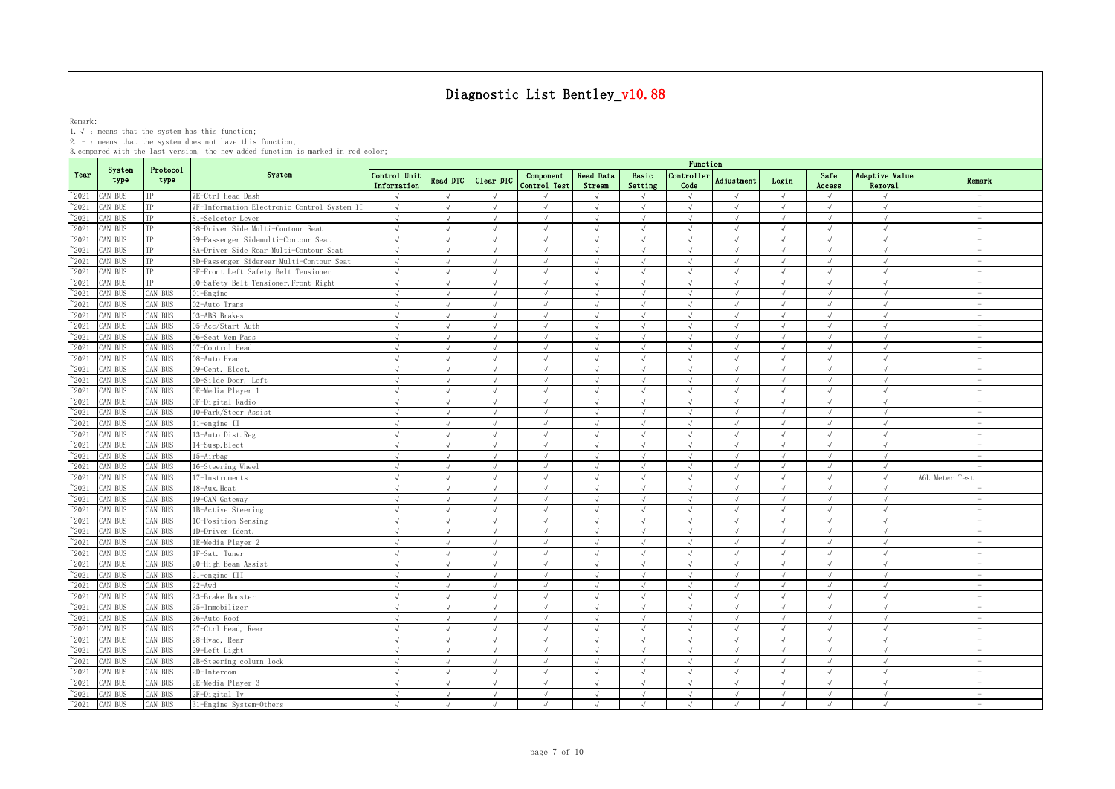Remark:<br>1.√ : means that the system has this function;<br>2. - : means that the system does not have this function;

|                |                |                  |                                             |                             |            |            |                           |                            |                  | Function                    |                   |            |                |                           |                                 |
|----------------|----------------|------------------|---------------------------------------------|-----------------------------|------------|------------|---------------------------|----------------------------|------------------|-----------------------------|-------------------|------------|----------------|---------------------------|---------------------------------|
| Year           | System<br>type | Protocol<br>type | System                                      | Control Unit<br>Information | Read DTC   | Clear DTC  | Component<br>Control Test | <b>Read Data</b><br>Stream | Basic<br>Setting | Controller<br>Code          | <b>Adjustment</b> | Login      | Safe<br>Access | Adaptive Value<br>Removal | Remark                          |
| $^{\circ}2021$ | CAN BUS        | TP               | 7E-Ctrl Head Dash                           | $\sqrt{ }$                  | $\sqrt{ }$ | $\sqrt{ }$ | $\mathcal{L}$             |                            | $\sqrt{ }$       | $\sqrt{ }$                  | $\sqrt{ }$        | $\sqrt{ }$ | $\sqrt{ }$     | $\sqrt{ }$                | $\sim$                          |
| $\degree$ 2021 | CAN BUS        | TP               | 7F-Information Electronic Control System II | $\sqrt{ }$                  | $\sqrt{ }$ | $\sqrt{ }$ | $\sqrt{ }$                | $\sqrt{ }$                 | $\sqrt{ }$       | $\sqrt{ }$                  | $\sqrt{ }$        | $\sqrt{ }$ | $\sqrt{ }$     | $\sqrt{ }$                | $\sim$                          |
| $^{\sim}2021$  | CAN BUS        | TP               | 81-Selector Lever                           | $\sqrt{ }$                  | $\sqrt{ }$ | $\sqrt{ }$ | $\sqrt{ }$                | $\sqrt{ }$                 | $\sqrt{ }$       | $\sqrt{ }$                  | $\sqrt{ }$        | $\sqrt{ }$ | $\sqrt{ }$     | $\sqrt{ }$                | $\sim$                          |
| $\degree$ 2021 | CAN BUS        | TP               | 88-Driver Side Multi-Contour Seat           | $\sqrt{ }$                  | $\sqrt{ }$ | $\sqrt{ }$ | $\sqrt{ }$                | $\sqrt{ }$                 | $\sqrt{ }$       | $\sqrt{ }$                  | $\sqrt{ }$        | $\sqrt{ }$ | $\sqrt{ }$     | $\sqrt{ }$                | $\sim$                          |
| $^{\sim}2021$  | CAN BUS        | TP               | 89-Passenger Sidemulti-Contour Seat         | $\sqrt{ }$                  | $\sqrt{ }$ | $\sqrt{ }$ | $\sqrt{}$                 | $\sqrt{ }$                 | $\sqrt{ }$       | $\sqrt{ }$                  | $\sqrt{ }$        | $\sqrt{ }$ | $\sqrt{ }$     | $\sqrt{ }$                | $\overline{\phantom{a}}$        |
| $\degree$ 2021 | CAN BUS        | TP               | 8A-Driver Side Rear Multi-Contour Seat      | $\sqrt{ }$                  | $\sqrt{ }$ | $\sqrt{ }$ | $\sqrt{ }$                | $\sqrt{ }$                 | $\sqrt{ }$       | $\sqrt{ }$                  | $\sqrt{ }$        | $\sqrt{ }$ | $\sqrt{ }$     | $\sqrt{ }$                | $\sim$                          |
| 2021           | CAN BUS        |                  | 8D-Passenger Siderear Multi-Contour Seat    | $\sqrt{ }$                  |            | $\sqrt{ }$ | $\sqrt{ }$                | $\sqrt{ }$                 | $\sqrt{ }$       | $\overline{ }$              |                   | $\sqrt{ }$ | $\sqrt{ }$     | $\sqrt{ }$                | $\overline{\phantom{a}}$        |
| $^{\sim}$ 2021 | CAN BUS        | TP               | BF-Front Left Safety Belt Tensioner         | $\sqrt{ }$                  |            |            |                           | $\sqrt{ }$                 | $\sqrt{ }$       |                             |                   | $\sqrt{ }$ |                | $\sqrt{ }$                | $\overline{\phantom{a}}$        |
| $^{\sim}$ 2021 | CAN BUS        | TP               | 90-Safety Belt Tensioner, Front Right       | $\sqrt{ }$                  | $\sqrt{ }$ | $\sqrt{ }$ | $\sqrt{ }$                | $\sqrt{ }$                 | $\sqrt{ }$       | $\sqrt{ }$                  | $\sqrt{ }$        | $\sqrt{ }$ | $\sqrt{ }$     | $\sqrt{ }$                | $\sim$                          |
| $^{\sim}$ 2021 | CAN BUS        | <b>CAN BUS</b>   | 01-Engine                                   | $\sqrt{ }$                  | $\sqrt{ }$ | J          |                           | $\sqrt{ }$                 | $\sqrt{ }$       | $\sqrt{ }$                  | J                 | $\sqrt{ }$ |                | J                         |                                 |
| $^{\sim}$ 2021 | CAN BUS        | <b>CAN BUS</b>   | 02-Auto Trans                               | $\sqrt{ }$                  | $\sqrt{ }$ | $\sqrt{ }$ | $\sqrt{ }$                | $\sqrt{ }$                 | $\sqrt{ }$       | $\sqrt{ }$                  | $\sqrt{ }$        | $\sqrt{ }$ | $\sqrt{ }$     | $\sqrt{ }$                | $\sim$                          |
| $^{\sim}$ 2021 | CAN BUS        | <b>CAN BUS</b>   | 03-ABS Brakes                               | $\sqrt{2}$                  | $\sqrt{2}$ | $\sqrt{ }$ |                           | $\sqrt{ }$                 | $\sqrt{ }$       | $\sqrt{2}$                  | J                 | $\sqrt{ }$ | $\sqrt{ }$     | $\sqrt{2}$                | $\sim$                          |
| $\degree$ 2021 | CAN BUS        | CAN BUS          | 05-Acc/Start Auth                           | $\sqrt{ }$                  | $\sqrt{ }$ | $\sqrt{ }$ | $\sqrt{ }$                | $\sqrt{ }$                 | $\sqrt{ }$       | $\sqrt{ }$                  | $\sqrt{ }$        | $\sqrt{ }$ | $\sqrt{ }$     | $\sqrt{ }$                | $\sim$                          |
| $\degree$ 2021 | CAN BUS        | CAN BUS          | 06-Seat Mem Pass                            | $\sqrt{ }$                  | $\sqrt{ }$ | $\sqrt{ }$ | $\mathcal{L}$             | $\sqrt{ }$                 | $\sqrt{ }$       | $\sqrt{ }$                  | $\sqrt{ }$        | $\sqrt{ }$ | $\sqrt{ }$     | $\sqrt{ }$                | $\sim$                          |
| $\degree$ 2021 | CAN BUS        | CAN BUS          | 07-Control Head                             | $\sqrt{ }$                  | $\sqrt{ }$ | $\sqrt{ }$ | $\sqrt{ }$                | $\sqrt{ }$                 | $\sqrt{ }$       | $\sqrt{ }$                  | $\sqrt{ }$        | $\sqrt{ }$ | $\sqrt{ }$     | $\sqrt{ }$                | $\sim$                          |
| $^{\sim}$ 2021 | CAN BUS        | CAN BUS          | 08-Auto Hvac                                | $\sqrt{ }$                  | $\sqrt{ }$ | $\sqrt{ }$ | $\sqrt{ }$                | $\sqrt{ }$                 | $\sqrt{ }$       | $\sqrt{ }$                  | $\sqrt{ }$        | $\sqrt{ }$ | $\sqrt{ }$     | $\sqrt{ }$                | $\overline{\phantom{a}}$        |
| $\degree$ 2021 | CAN BUS        | CAN BUS          | 09-Cent. Elect.                             | $\sqrt{ }$                  | $\sqrt{ }$ | $\sqrt{ }$ | $\sqrt{ }$                | $\sqrt{ }$                 | $\sqrt{ }$       | $\sqrt{ }$                  | $\sqrt{ }$        | $\sqrt{ }$ | $\sqrt{ }$     | $\sqrt{ }$                | $\sim$                          |
| $\degree$ 2021 | AN BUS         | <b>CAN BUS</b>   | OD-Silde Door, Left                         | $\sqrt{ }$                  | $\sqrt{ }$ | $\sqrt{ }$ | $\sqrt{ }$                | $\sqrt{ }$                 | $\sqrt{ }$       | $\sqrt{ }$                  | $\sqrt{ }$        | $\sqrt{ }$ | $\sqrt{ }$     | $\sqrt{ }$                | $\sim$                          |
| $\degree$ 2021 | AN BUS         | CAN BUS          | OE-Media Player 1                           | $\sqrt{ }$                  | $\sqrt{ }$ | $\sqrt{ }$ | $\sqrt{ }$                | $\sqrt{ }$                 | $\sqrt{ }$       | $\sqrt{ }$                  | $\sqrt{ }$        | $\sqrt{}$  | $\sqrt{ }$     | $\sqrt{ }$                | $\sim$                          |
| $\degree$ 2021 | AN BUS         | <b>CAN BUS</b>   | OF-Digital Radio                            | $\sqrt{ }$                  |            |            |                           | $\sqrt{ }$                 | $\mathcal{L}$    |                             |                   |            |                | $\sqrt{ }$                | $\sim$                          |
| 2021           | AN BUS         | <b>CAN BUS</b>   | 10-Park/Steer Assist                        | $\sqrt{ }$                  | $\sqrt{ }$ | $\sqrt{ }$ | $\sqrt{ }$                | $\sqrt{ }$                 | $\sqrt{ }$       | $\sqrt{ }$                  | J                 | $\sqrt{ }$ | $\sqrt{ }$     | $\sqrt{ }$                | $\sim$                          |
| 2021           | AN BUS         | AN BUS           | 11-engine II                                | $\sqrt{ }$                  |            |            | $\sqrt{ }$                | $\sqrt{ }$                 | $\sqrt{ }$       |                             |                   | $\sqrt{ }$ | $\sqrt{ }$     | $\mathcal{L}$             | $\sim$                          |
| $^{\sim}$ 2021 | CAN BUS        | AN BUS           | 13-Auto Dist. Reg                           | $\sqrt{ }$                  | $\sqrt{ }$ |            | $\sqrt{ }$                | $\sqrt{ }$                 | $\sqrt{ }$       |                             | $\overline{v}$    | $\sqrt{ }$ |                | $\sqrt{ }$                | $\overline{\phantom{0}}$        |
| $^{\sim}$ 2021 | CAN BUS        | AN BUS           | 14-Susp. Elect                              | $\sqrt{ }$                  | $\sqrt{ }$ | $\sqrt{ }$ | $\sqrt{ }$                | $\sqrt{ }$                 | $\sqrt{ }$       | $\sqrt{ }$                  | $\sqrt{ }$        | $\sqrt{ }$ | $\sqrt{ }$     | $\sqrt{ }$                | $\overline{\phantom{a}}$        |
| $^{\sim}$ 2021 | CAN BUS        | <b>CAN BUS</b>   | 15-Airbag                                   | $\sqrt{ }$                  | $\sqrt{ }$ | $\sqrt{ }$ | $\sqrt{ }$                | $\sqrt{ }$                 | $\sqrt{ }$       | $\sqrt{ }$                  | $\sqrt{ }$        | $\sqrt{ }$ | $\sqrt{ }$     | $\sqrt{ }$                | $\sim$                          |
| $^{\sim}$ 2021 | CAN BUS        | <b>AN BUS</b>    | 16-Steering Wheel                           | $\sqrt{ }$                  | $\sqrt{ }$ | $\sqrt{ }$ | $\sqrt{ }$                | $\sqrt{ }$                 | $\sqrt{ }$       | $\sqrt{ }$                  | $\sqrt{ }$        | $\sqrt{ }$ | $\sqrt{ }$     | $\sqrt{ }$                | $\sim$                          |
| $^{\sim}$ 2021 | CAN BUS        | CAN BUS          | 17-Instruments                              | $\sqrt{ }$                  | $\sqrt{ }$ | $\sqrt{ }$ | $\sqrt{ }$                | $\sqrt{ }$                 | $\sqrt{ }$       | $\sqrt{ }$                  | $\sqrt{ }$        | $\sqrt{ }$ | $\sqrt{ }$     | $\sqrt{ }$                | A6L Meter Test                  |
| $^{\sim}$ 2021 | CAN BUS        | CAN BUS          | 18-Aux. Heat                                | $\sqrt{ }$                  | $\sqrt{ }$ | $\sqrt{ }$ | $\sqrt{ }$                | $\sqrt{ }$                 | $\sqrt{ }$       | $\sqrt{ }$                  | $\sqrt{ }$        | $\sqrt{ }$ | $\sqrt{ }$     | $\sqrt{ }$                | $\overline{\phantom{a}}$        |
| $\degree$ 2021 | CAN BUS        | CAN BUS          | 19-CAN Gateway                              | $\sqrt{ }$                  | $\sqrt{ }$ | $\sqrt{ }$ | $\sqrt{ }$                | $\sqrt{ }$                 | $\sqrt{ }$       | $\sqrt{ }$                  | $\sqrt{ }$        | $\sqrt{ }$ | $\sqrt{ }$     | $\sqrt{ }$                | $\overline{\phantom{a}}$        |
| $\degree$ 2021 | CAN BUS        | CAN BUS          | 1B-Active Steering                          | $\sqrt{ }$                  | $\sqrt{ }$ | $\sqrt{ }$ | $\sqrt{ }$                | $\sqrt{ }$                 | $\sqrt{ }$       | $\sqrt{ }$                  | $\sqrt{ }$        | $\sqrt{ }$ | $\sqrt{ }$     | $\sqrt{ }$                | $\overline{\phantom{a}}$        |
| $^{\sim}$ 2021 | CAN BUS        | CAN BUS          | 1C-Position Sensing                         | $\sqrt{ }$                  | $\sqrt{ }$ | $\sqrt{ }$ | $\sqrt{ }$                | $\sqrt{ }$                 | $\sqrt{ }$       | $\sqrt{ }$                  | $\sqrt{ }$        | $\sqrt{ }$ | $\sqrt{ }$     | $\sqrt{ }$                | $\sim$                          |
| $\degree$ 2021 | CAN BUS        | CAN BUS          | 1D-Driver Ident.                            | $\sqrt{ }$                  | $\sqrt{ }$ | $\sqrt{ }$ | $\sqrt{ }$                | $\sqrt{ }$                 | $\sqrt{ }$       | $\sqrt{ }$                  | $\sqrt{ }$        | $\sqrt{ }$ | $\sqrt{ }$     | $\sqrt{ }$                | $\sim$                          |
| $^{\sim}$ 2021 | CAN BUS        | <b>CAN BUS</b>   | 1E-Media Player 2                           | $\sqrt{ }$                  | $\sqrt{ }$ | $\sqrt{ }$ | $\sqrt{ }$                | $\sqrt{ }$                 | $\sqrt{ }$       | $\sqrt{ }$                  | $\sqrt{ }$        | $\sqrt{ }$ | $\sqrt{ }$     | $\sqrt{ }$                | $\sim$                          |
| $\degree$ 2021 | AN BUS         | <b>CAN BUS</b>   | 1F-Sat. Tuner                               | $\sqrt{2}$                  | $\sqrt{ }$ |            | J                         | $\sqrt{ }$                 | $\sqrt{ }$       | J                           | $\sqrt{ }$        | $\sqrt{ }$ | $\sqrt{ }$     | $\sqrt{}$                 | $\overline{a}$                  |
| $\degree$ 2021 | AN BUS         | AN BUS           | 20-High Beam Assist                         | $\sqrt{ }$                  |            |            |                           | $\sqrt{ }$                 | $\sqrt{ }$       |                             |                   |            | $\sqrt{ }$     | $\sqrt{ }$                | $\sim$                          |
| 2021           | AN BUS         | CAN BUS          | 21-engine III                               | $\sqrt{ }$                  | $\sqrt{ }$ | $\sqrt{ }$ | $\sqrt{ }$                | $\sqrt{ }$                 | $\sqrt{ }$       | $\sqrt{ }$                  | $\sqrt{ }$        | $\sqrt{ }$ | $\sqrt{ }$     | $\sqrt{ }$                | $\sim$                          |
| 2021           | CAN BUS        | CAN BUS          | $22 - Awd$                                  | $\sqrt{ }$                  | $\sqrt{ }$ | $\sqrt{ }$ | $\sqrt{ }$                | $\sqrt{ }$                 | $\sqrt{ }$       | $\sqrt{ }$                  | $\sqrt{ }$        | $\sqrt{ }$ | $\sqrt{ }$     | $\sqrt{ }$                | $\overline{\phantom{a}}$        |
| $^{\sim}2021$  | CAN BUS        | CAN BUS          | 23-Brake Booster                            | $\sqrt{ }$                  | $\sqrt{ }$ | $\sqrt{ }$ | $\sqrt{ }$                | $\sqrt{ }$                 | $\sqrt{ }$       | $\sqrt{ }$                  | $\sqrt{ }$        | $\sqrt{ }$ | $\sqrt{ }$     | $\sqrt{ }$                | $\overline{\phantom{a}}$        |
| $^{\sim}$ 2021 | CAN BUS        | <b>CAN BUS</b>   | 25-Immobilizer                              | $\sqrt{ }$                  | $\sqrt{ }$ | $\sqrt{ }$ | $\sqrt{ }$                | $\sqrt{ }$                 | $\sqrt{ }$       | $\mathcal{N}_{\mathcal{N}}$ | $\sqrt{ }$        | $\sqrt{ }$ | $\sqrt{ }$     | $\sqrt{ }$                | $\overline{\phantom{0}}$        |
| $^{\sim}$ 2021 | CAN BUS        | <b>CAN BUS</b>   | 26-Auto Roof                                | $\sqrt{ }$                  | $\sqrt{ }$ | $\sqrt{2}$ | $\sqrt{ }$                | $\sqrt{ }$                 | $\sqrt{ }$       | $\sqrt{ }$                  | $\sqrt{ }$        | $\sqrt{ }$ | $\sqrt{ }$     | $\sqrt{ }$                | $\sim$                          |
| $^{\sim}$ 2021 | CAN BUS        | <b>CAN BUS</b>   | 27-Ctrl Head, Rear                          | $\sqrt{ }$                  | $\sqrt{ }$ | $\sqrt{ }$ | $\sqrt{ }$                | $\sqrt{ }$                 | $\sqrt{ }$       | $\sqrt{ }$                  | $\sqrt{ }$        | $\sqrt{ }$ | $\sqrt{ }$     | $\sqrt{ }$                | $\sim$                          |
| $^{\sim}$ 2021 | AN BUS         | CAN BUS          | 28-Hvac, Rear                               | $\sqrt{ }$                  | $\sqrt{ }$ | $\sqrt{ }$ | $\sqrt{ }$                | $\sqrt{ }$                 | $\sqrt{ }$       | $\sqrt{ }$                  | $\sqrt{ }$        | $\sqrt{ }$ | $\sqrt{ }$     | $\sqrt{2}$                | $\sim$                          |
| $\degree$ 2021 | CAN BUS        | CAN BUS          | 29-Left Light                               | $\sqrt{ }$                  | $\sqrt{ }$ | $\sqrt{ }$ | $\sqrt{ }$                | $\sqrt{ }$                 | $\sqrt{ }$       | $\sqrt{ }$                  | $\sqrt{ }$        | $\sqrt{ }$ | $\sqrt{ }$     | $\sqrt{ }$                | $\overline{\phantom{a}}$        |
| $\degree$ 2021 | CAN BUS        | CAN BUS          | 2B-Steering column lock                     | $\sqrt{ }$                  | $\sqrt{ }$ | $\sqrt{ }$ | $\sqrt{ }$                | $\sqrt{ }$                 | $\sqrt{ }$       | $\sqrt{ }$                  | $\sqrt{ }$        | $\sqrt{ }$ | $\sqrt{ }$     | $\sqrt{ }$                | $\sim$                          |
| $\degree$ 2021 | CAN BUS        | CAN BUS          | 2D-Intercom                                 | $\sqrt{ }$                  | $\sqrt{ }$ | $\sqrt{ }$ | $\sqrt{ }$                | $\sqrt{ }$                 | $\sqrt{ }$       | $\sqrt{ }$                  | $\sqrt{ }$        | $\sqrt{ }$ | $\sqrt{ }$     | $\sqrt{ }$                | $\sim$                          |
| $^{\sim}2021$  | CAN BUS        | CAN BUS          | 2E-Media Player 3                           | $\sqrt{ }$                  | $\sqrt{ }$ | $\sqrt{ }$ | $\sqrt{ }$                | $\sqrt{ }$                 | $\sqrt{ }$       | $\sqrt{ }$                  | $\sqrt{ }$        | $\sqrt{ }$ | $\sqrt{ }$     | $\sqrt{ }$                | $\overline{\phantom{a}}$        |
| $^{\sim}2021$  | CAN BUS        | CAN BUS          | 2F-Digital Tv                               | $\sqrt{ }$                  | $\sqrt{ }$ | $\sqrt{ }$ | $\sqrt{ }$                | $\sqrt{ }$                 | $\sqrt{ }$       | $\sqrt{ }$                  | $\sqrt{ }$        | $\sqrt{ }$ | $\sqrt{ }$     | $\sqrt{ }$                | $\sim$                          |
| $^{\sim}$ 2021 | CAN BUS        | CAN BUS          | 31-Engine System-Others                     | $\sqrt{ }$                  | $\sqrt{ }$ | $\sqrt{ }$ | $\sqrt{ }$                | $\sqrt{ }$                 | $\sqrt{ }$       | $\sqrt{ }$                  | $\sqrt{ }$        | $\sqrt{ }$ | $\sqrt{ }$     | $\sqrt{ }$                | $\hspace{0.1mm}-\hspace{0.1mm}$ |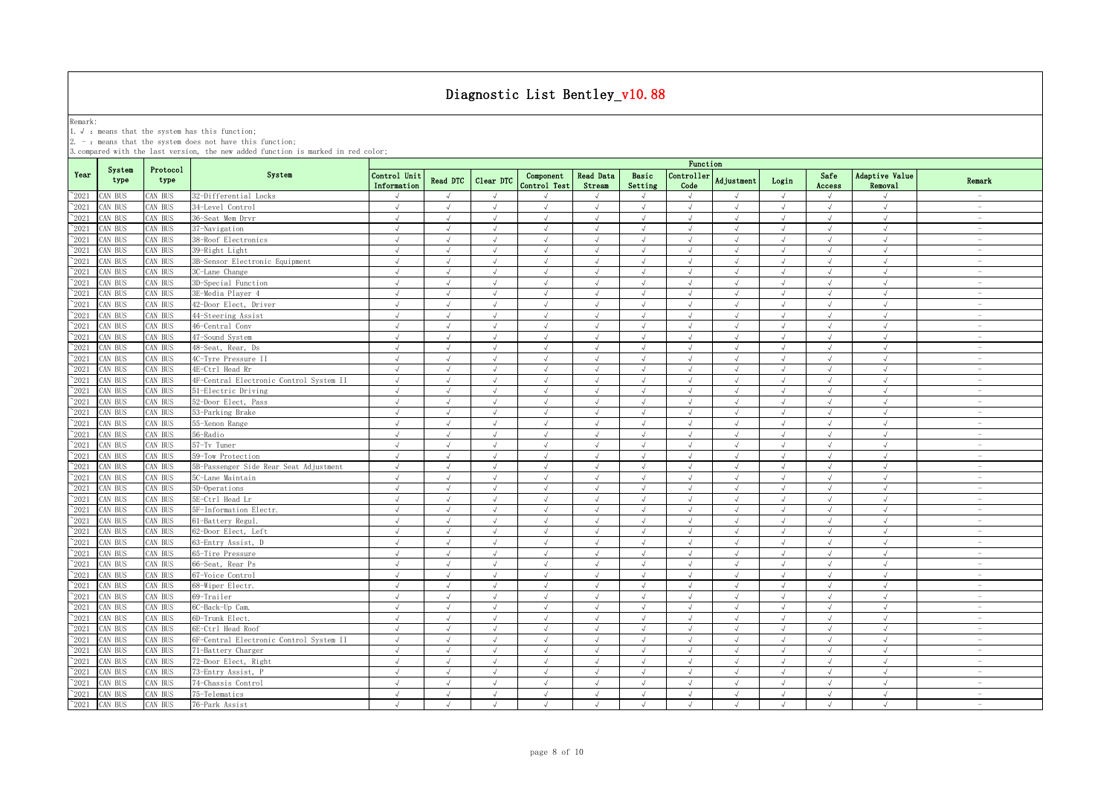Remark:<br>1.√ : means that the system has this function;<br>2. - : means that the system does not have this function;

|                |                |                  |                                         |                             |                |                |                           |                            |                  | Function           |               |            |                |                           |                                 |
|----------------|----------------|------------------|-----------------------------------------|-----------------------------|----------------|----------------|---------------------------|----------------------------|------------------|--------------------|---------------|------------|----------------|---------------------------|---------------------------------|
| Year           | System<br>type | Protocol<br>type | System                                  | Control Unit<br>Information | Read DTC       | Clear DTC      | Component<br>Control Test | <b>Read Data</b><br>Stream | Basic<br>Setting | Controller<br>Code | Adjustment    | Login      | Safe<br>Access | Adaptive Value<br>Removal | Remark                          |
| $^{\sim}2021$  | AN BUS         | CAN BUS          | 32-Differential Locks                   | $\sqrt{ }$                  | $\sqrt{ }$     | $\sqrt{ }$     |                           | $\sqrt{ }$                 | $\sqrt{ }$       | $\sqrt{ }$         | $\sqrt{ }$    | $\sqrt{ }$ | $\sqrt{ }$     | $\sqrt{ }$                | $\overline{\phantom{a}}$        |
| $^{\sim}2021$  | CAN BUS        | AN BUS           | 34-Level Control                        | $\sqrt{ }$                  | $\sqrt{ }$     | $\sqrt{ }$     | $\sqrt{ }$                | $\sqrt{ }$                 | $\sqrt{ }$       | $\sqrt{ }$         | $\sqrt{ }$    | $\sqrt{ }$ | $\sqrt{ }$     | $\sqrt{ }$                | $\sim$                          |
| $^{\sim}2021$  | AN BUS         | AN BUS           | 36-Seat Mem Drvr                        | √                           |                |                |                           | $\sqrt{ }$                 | $\sqrt{ }$       |                    |               |            | $\sqrt{ }$     | $\sqrt{ }$                | $\sim$                          |
| $\degree$ 2021 | AN BUS         | CAN BUS          | 37-Navigation                           | $\sqrt{ }$                  | $\sqrt{}$      | J              | $\sqrt{ }$                | $\sqrt{ }$                 | $\sqrt{ }$       | $\sqrt{}$          | $\sqrt{}$     | $\sqrt{ }$ | $\sqrt{ }$     | $\sqrt{ }$                | $\hspace{0.1mm}-\hspace{0.1mm}$ |
| 2021           | AN BUS         | AN BUS           | 38-Roof Electronics                     | $\sqrt{ }$                  |                |                |                           | $\sqrt{ }$                 | $\sqrt{ }$       |                    |               |            |                | $\sqrt{ }$                | $\overline{\phantom{a}}$        |
| 2021           | CAN BUS        | <b>CAN BUS</b>   | 39-Right Light                          | $\sqrt{ }$                  | $\sqrt{ }$     | $\sqrt{ }$     |                           | $\sqrt{ }$                 | $\sqrt{ }$       | $\sqrt{ }$         |               | $\sqrt{ }$ |                | $\sqrt{ }$                | $\overline{\phantom{a}}$        |
| $^{\sim}$ 2021 | CAN BUS        | CAN BUS          | 3B-Sensor Electronic Equipment          | $\sqrt{ }$                  |                |                | $\sqrt{ }$                | $\sqrt{ }$                 | $\sqrt{ }$       |                    |               |            | $\sqrt{ }$     | $\sqrt{ }$                | $\overline{\phantom{0}}$        |
| $^{\sim}$ 2021 | CAN BUS        | <b>CAN BUS</b>   | 3C-Lane Change                          | $\sqrt{ }$                  | $\sqrt{ }$     | $\sqrt{ }$     | $\sqrt{ }$                | $\sqrt{ }$                 | $\sqrt{ }$       | $\sqrt{ }$         | J             | $\sqrt{ }$ | $\sqrt{ }$     | $\sqrt{ }$                | $\overline{\phantom{0}}$        |
| $\degree$ 2021 | CAN BUS        | AN BUS           | 3D-Special Function                     | $\sqrt{ }$                  | $\sqrt{ }$     | $\sqrt{ }$     | $\sqrt{ }$                | $\sqrt{ }$                 | $\sqrt{ }$       | $\sqrt{ }$         | $\sqrt{ }$    | $\sqrt{ }$ | $\sqrt{ }$     | $\sqrt{ }$                | $\sim$                          |
| $^{\sim}$ 2021 | CAN BUS        | <b>CAN BUS</b>   | 3E-Media Plaver 4                       | $\sqrt{ }$                  | $\sqrt{ }$     | $\sqrt{ }$     | $\sqrt{ }$                | $\sqrt{ }$                 | $\sqrt{ }$       | $\sqrt{ }$         | $\sqrt{ }$    | $\sqrt{ }$ | $\sqrt{ }$     | $\sqrt{ }$                | $\overline{\phantom{a}}$        |
| $^{\sim}$ 2021 | AN BUS         | CAN BUS          | 42-Door Elect, Driver                   | $\sqrt{ }$                  | $\sqrt{ }$     | $\sqrt{ }$     | $\sqrt{ }$                | $\sqrt{ }$                 | $\sqrt{ }$       | $\sqrt{ }$         | $\sqrt{ }$    | $\sqrt{ }$ | $\sqrt{ }$     | $\sqrt{ }$                | $\sim$                          |
| $^{\sim}$ 2021 | AN BUS         | CAN BUS          | 44-Steering Assist                      | $\sqrt{ }$                  | $\sqrt{ }$     | $\sqrt{ }$     | $\sqrt{ }$                | $\sqrt{ }$                 | $\sqrt{ }$       | $\sqrt{ }$         | $\sqrt{ }$    | $\sqrt{ }$ | $\sqrt{ }$     | $\sqrt{ }$                | $\sim$                          |
| $\degree$ 2021 | AN BUS         | CAN BUS          | 46-Central Conv                         | $\sqrt{ }$                  | $\sqrt{ }$     | $\sqrt{ }$     | $\sqrt{ }$                | $\sqrt{ }$                 | $\sqrt{ }$       | $\sqrt{ }$         | $\sqrt{ }$    | $\sqrt{ }$ | $\sqrt{ }$     | $\sqrt{ }$                | $\sim$                          |
| $\degree$ 2021 | CAN BUS        | CAN BUS          | 47-Sound System                         | $\sqrt{ }$                  | $\sqrt{ }$     | $\sqrt{ }$     | $\sqrt{ }$                | $\sqrt{ }$                 | $\sqrt{ }$       | $\sqrt{ }$         | $\sqrt{ }$    | $\sqrt{ }$ | $\sqrt{ }$     | $\sqrt{ }$                | $\overline{\phantom{a}}$        |
| $\degree$ 2021 | CAN BUS        | CAN BUS          | 48-Seat, Rear, Ds                       | $\sqrt{ }$                  | $\sqrt{ }$     | $\sqrt{ }$     | $\sqrt{ }$                | $\sqrt{ }$                 | $\sqrt{ }$       | $\sqrt{ }$         | $\sqrt{ }$    | $\sqrt{ }$ | $\sqrt{ }$     | $\sqrt{ }$                | $\overline{\phantom{a}}$        |
| $\degree$ 2021 | CAN BUS        | CAN BUS          | 4C-Tyre Pressure II                     | $\sqrt{ }$                  | $\sqrt{ }$     | $\sqrt{ }$     | $\sqrt{ }$                | $\sqrt{ }$                 | $\sqrt{ }$       | $\sqrt{ }$         | $\sqrt{ }$    | $\sqrt{ }$ | $\sqrt{ }$     | $\sqrt{ }$                | $\overline{\phantom{a}}$        |
| $\degree$ 2021 | CAN BUS        | AN BUS           | 4E-Ctrl Head Rr                         | $\sqrt{ }$                  | $\sqrt{ }$     | $\sqrt{ }$     | $\sqrt{ }$                | $\sqrt{ }$                 | $\sqrt{ }$       | $\sqrt{ }$         | $\sqrt{ }$    | $\sqrt{ }$ | $\sqrt{ }$     | $\sqrt{ }$                | $\sim$                          |
| $^{\sim}2021$  | AN BUS         | <b>CAN BUS</b>   | 4F-Central Electronic Control System II | $\sqrt{}$                   | $\sqrt{ }$     | $\sqrt{ }$     | $\sqrt{ }$                | $\sqrt{}$                  | $\sqrt{ }$       | $\sqrt{ }$         | $\sqrt{ }$    | $\sqrt{}$  | $\sqrt{ }$     | $\sqrt{ }$                | $\hspace{0.1mm}-\hspace{0.1mm}$ |
| $\degree$ 2021 | AN BUS         | CAN BUS          | 51-Electric Driving                     | $\sqrt{ }$                  | $\sqrt{ }$     | $\sqrt{ }$     | $\sqrt{ }$                | $\sqrt{ }$                 | $\sqrt{ }$       | $\sqrt{ }$         | $\sqrt{2}$    | $\sqrt{ }$ | $\sqrt{ }$     | $\sqrt{ }$                | $\sim$                          |
| 2021           | AN BUS         | AN BUS           | 52-Door Elect, Pass                     | $\sqrt{ }$                  | $\sqrt{ }$     |                | J                         | $\sqrt{ }$                 | $\sqrt{ }$       | $\cdot$            | J             | $\sqrt{ }$ | $\sqrt{ }$     | $\sqrt{ }$                | $\sim$                          |
| 2021           | AN BUS         | AN BUS           | 53-Parking Brake                        | $\sqrt{ }$                  | $\sqrt{ }$     | $\sqrt{ }$     | $\sqrt{ }$                | $\sqrt{ }$                 | $\sqrt{ }$       | $\sqrt{ }$         | $\sqrt{ }$    | $\sqrt{ }$ | $\sqrt{ }$     | $\sqrt{ }$                | $\overline{\phantom{a}}$        |
| 2021           | CAN BUS        | AN BUS           | 55-Xenon Range                          | $\sqrt{ }$                  | $\overline{ }$ | $\sqrt{ }$     | $\mathcal{L}$             | $\sqrt{ }$                 | $\sqrt{ }$       | $\sqrt{ }$         | $\sqrt{ }$    | $\sqrt{ }$ | $\sqrt{ }$     | $\sqrt{ }$                | $\sim$                          |
| $^{\sim}2021$  | AN BUS         | AN BUS           | 56-Radio                                | $\sqrt{ }$                  | $\sqrt{ }$     | $\sqrt{ }$     | $\sqrt{ }$                | $\sqrt{ }$                 | $\mathcal{A}$    | $\mathcal{A}$      | À.            | $\sqrt{ }$ | $\sqrt{ }$     | $\sqrt{ }$                | $\overline{\phantom{0}}$        |
| $\degree$ 2021 | CAN BUS        | AN BUS           | 57-Tv Tuner                             | $\sqrt{ }$                  | $\sqrt{ }$     | $\overline{d}$ | $\sqrt{ }$                | $\sqrt{ }$                 | $\sqrt{ }$       |                    | $\sqrt{ }$    | $\sqrt{ }$ | $\sqrt{ }$     | $\sqrt{ }$                | $\overline{\phantom{a}}$        |
| $^{\sim}$ 2021 | CAN BUS        | <b>CAN BUS</b>   | 59-Tow Protection                       | $\sqrt{ }$                  | $\sqrt{ }$     | $\sqrt{ }$     | $\sqrt{ }$                | $\sqrt{ }$                 | $\sqrt{ }$       | $\sqrt{ }$         | $\sqrt{ }$    | $\sqrt{ }$ | $\sqrt{ }$     | $\sqrt{ }$                | $\overline{\phantom{a}}$        |
| $\degree$ 2021 | CAN BUS        | <b>CAN BUS</b>   | 5B-Passenger Side Rear Seat Adjustment  | $\sqrt{ }$                  | $\sqrt{ }$     | $\sqrt{ }$     | $\sqrt{ }$                | $\sqrt{ }$                 | $\sqrt{ }$       | $\sqrt{ }$         | $\sqrt{ }$    | $\sqrt{ }$ | $\sqrt{ }$     | $\sqrt{ }$                | $\sim$                          |
| $^{\sim}$ 2021 | AN BUS         | CAN BUS          | 5C-Lane Maintain                        | $\sqrt{ }$                  | $\sqrt{ }$     | $\sqrt{ }$     | $\sqrt{ }$                | $\sqrt{ }$                 | $\sqrt{ }$       | $\sqrt{ }$         | $\sqrt{ }$    | $\sqrt{ }$ | $\sqrt{ }$     | $\sqrt{ }$                | $\sim$                          |
| $\degree$ 2021 | AN BUS         | CAN BUS          | 5D-Operations                           | $\sqrt{ }$                  | $\sqrt{ }$     | $\sqrt{ }$     | $\sqrt{ }$                | $\sqrt{ }$                 | $\sqrt{ }$       | $\sqrt{ }$         | $\sqrt{ }$    | $\sqrt{ }$ | $\sqrt{ }$     | $\sqrt{ }$                | $\overline{\phantom{a}}$        |
| $^{\sim}$ 2021 | CAN BUS        | CAN BUS          | 5E-Ctrl Head Lr                         | $\sqrt{ }$                  | $\sqrt{ }$     | $\sqrt{ }$     | $\mathcal{L}$             | $\sqrt{ }$                 | $\sqrt{ }$       | $\sqrt{ }$         | $\sqrt{ }$    | $\sqrt{ }$ | $\sqrt{ }$     | $\sqrt{ }$                | $\overline{\phantom{a}}$        |
| $\degree$ 2021 | CAN BUS        | CAN BUS          | 5F-Information Electr.                  | $\sqrt{ }$                  | $\sqrt{ }$     | $\sqrt{ }$     | $\sqrt{ }$                | $\sqrt{ }$                 | $\sqrt{ }$       | $\sqrt{ }$         | $\sqrt{ }$    | $\sqrt{ }$ | $\sqrt{ }$     | $\sqrt{ }$                | $\sim$                          |
| $\degree$ 2021 | CAN BUS        | CAN BUS          | 61-Battery Regul.                       | $\sqrt{ }$                  | $\sqrt{ }$     | $\sqrt{ }$     | $\sqrt{ }$                | $\sqrt{ }$                 | $\mathcal{A}$    | $\sqrt{ }$         | $\sqrt{ }$    | $\sqrt{ }$ | $\sqrt{ }$     | $\sqrt{ }$                | $\overline{\phantom{a}}$        |
| $\degree$ 2021 | CAN BUS        | CAN BUS          | 62-Door Elect, Left                     | $\sqrt{ }$                  | $\sqrt{ }$     | $\sqrt{ }$     | $\sqrt{ }$                | $\sqrt{ }$                 | $\sqrt{ }$       | $\sqrt{ }$         | $\sqrt{ }$    | $\sqrt{ }$ | $\sqrt{ }$     | $\sqrt{ }$                | $\overline{\phantom{a}}$        |
| $^{\sim}$ 2021 | CAN BUS        | CAN BUS          | 63-Entry Assist, D                      | $\sqrt{ }$                  | $\sqrt{ }$     | $\sqrt{ }$     | $\sqrt{ }$                | $\sqrt{ }$                 | $\sqrt{ }$       | $\sqrt{ }$         | $\sqrt{ }$    | $\sqrt{ }$ | $\sqrt{ }$     | $\sqrt{ }$                | $\overline{\phantom{a}}$        |
| $^{\sim}2021$  | CAN BUS        | AN BUS           | 65-Tire Pressure                        | $\sqrt{ }$                  | $\sqrt{ }$     | $\sqrt{ }$     | $\sqrt{ }$                | $\sqrt{ }$                 | $\sqrt{ }$       | $\sqrt{ }$         | $\sqrt{ }$    | $\sqrt{ }$ | $\sqrt{ }$     | $\sqrt{ }$                | $\sim$                          |
| $^{\sim}2021$  | AN BUS         | <b>CAN BUS</b>   | 66-Seat, Rear Ps                        | $\sqrt{ }$                  |                |                |                           | $\sqrt{ }$                 | $\sqrt{ }$       |                    |               |            | $\sqrt{ }$     | $\sqrt{ }$                | $\sim$                          |
| $\degree$ 2021 | CAN BUS        | AN BUS           | 67-Voice Control                        | $\sqrt{2}$                  | $\sqrt{ }$     | $\sqrt{ }$     | $\sqrt{ }$                | $\sqrt{}$                  | $\sqrt{ }$       | $\sqrt{ }$         | $\sqrt{ }$    | $\sqrt{ }$ | $\sqrt{ }$     | $\sqrt{}$                 | $\overline{\phantom{a}}$        |
| 2021           | AN BUS         | AN BUS           | 68-Wiper Electr.                        | $\sqrt{ }$                  |                |                |                           | <sup>N</sup>               | $\sqrt{ }$       |                    |               | $\sqrt{ }$ |                | $\cdot$                   | $\overline{\phantom{a}}$        |
| $\degree$ 2021 | CAN BUS        | CAN BUS          | 69-Trailer                              | $\sqrt{ }$                  |                |                |                           | $\sqrt{ }$                 | $\sqrt{ }$       |                    |               | $\sqrt{ }$ |                | $\sqrt{ }$                | $\overline{\phantom{a}}$        |
| $\degree$ 2021 | CAN BUS        | AN BUS           | 6C-Back-Up Cam.                         | $\sqrt{ }$                  |                |                |                           | $\sqrt{ }$                 | $\sqrt{ }$       |                    |               |            |                | J                         | $\overline{\phantom{0}}$        |
| $^{\sim}$ 2021 | CAN BUS        | <b>CAN BUS</b>   | 6D-Trunk Elect.                         | $\sqrt{ }$                  | $\sqrt{ }$     | $\sqrt{ }$     |                           | $\sqrt{ }$                 | $\sqrt{ }$       | $\sqrt{ }$         | J             | $\sqrt{ }$ | $\sqrt{ }$     | $\sqrt{ }$                | $\overline{\phantom{0}}$        |
| $\degree$ 2021 | AN BUS         | AN BUS           | 6E-Ctrl Head Roof                       | $\sqrt{ }$                  | $\sqrt{ }$     | $\sqrt{ }$     | $\sqrt{ }$                | $\sqrt{ }$                 | $\sqrt{ }$       | $\sqrt{ }$         | $\sqrt{ }$    | $\sqrt{ }$ | $\sqrt{ }$     | $\sqrt{ }$                | $\sim$                          |
| $^{\sim}$ 2021 | CAN BUS        | AN BUS           | 6F-Central Electronic Control System II | $\sqrt{ }$                  | $\sqrt{ }$     | $\sqrt{ }$     | $\sqrt{ }$                | $\sqrt{ }$                 | $\sqrt{ }$       | $\sqrt{ }$         | J             | $\sqrt{ }$ | $\sqrt{ }$     | $\sqrt{ }$                | $\sim$                          |
| $^{\sim}$ 2021 | CAN BUS        | <b>CAN BUS</b>   | 71-Battery Charger                      | $\sqrt{ }$                  | $\sqrt{ }$     | $\sqrt{ }$     | $\sqrt{ }$                | $\sqrt{ }$                 | $\sqrt{ }$       | $\sqrt{ }$         | $\sqrt{ }$    | $\sqrt{ }$ | $\sqrt{ }$     | $\sqrt{2}$                | $\sim$                          |
| $^{\sim}$ 2021 | CAN BUS        | CAN BUS          | 72-Door Elect, Right                    | $\sqrt{ }$                  | $\sqrt{ }$     | $\sqrt{ }$     | $\sqrt{ }$                | $\sqrt{ }$                 | $\sqrt{ }$       | $\sqrt{ }$         | $\sqrt{ }$    | $\sqrt{ }$ | $\sqrt{ }$     | $\sqrt{ }$                | $\sim$                          |
| $\degree$ 2021 | CAN BUS        | CAN BUS          | 73-Entry Assist, P                      | $\sqrt{ }$                  | $\sqrt{ }$     | $\sqrt{ }$     | $\sqrt{ }$                | $\sqrt{ }$                 | $\sqrt{ }$       | $\sqrt{ }$         | $\sqrt{ }$    | $\sqrt{ }$ | $\sqrt{ }$     | $\sqrt{ }$                | $\overline{\phantom{a}}$        |
| $\degree$ 2021 | CAN BUS        | CAN BUS          | 74-Chassis Control                      | $\sqrt{ }$                  | $\sqrt{ }$     | $\sqrt{ }$     | $\sqrt{ }$                | $\sqrt{ }$                 | $\sqrt{ }$       | $\sqrt{ }$         | $\sqrt{ }$    | $\sqrt{ }$ | $\sqrt{ }$     | $\sqrt{ }$                | $\sim$                          |
| $^{\sim}$ 2021 | CAN BUS        | CAN BUS          | 75-Telematics                           | $\sqrt{ }$                  | $\sqrt{ }$     | $\sqrt{ }$     | $\sqrt{ }$                | $\sqrt{ }$                 | $\sqrt{ }$       | $\sqrt{ }$         | $\sqrt{ }$    | $\sqrt{ }$ | $\sqrt{ }$     | $\sqrt{ }$                | $\sim$                          |
| $^{\sim}$ 2021 | CAN BUS        | CAN BUS          | 76-Park Assist                          | $\sqrt{ }$                  | $\sqrt{ }$     | $\sqrt{ }$     | $\sqrt{ }$                | $\sqrt{ }$                 | $\sqrt{ }$       | $\sqrt{ }$         | $\mathcal{L}$ | $\sqrt{ }$ | $\sqrt{ }$     | $\sqrt{ }$                | $\sim$                          |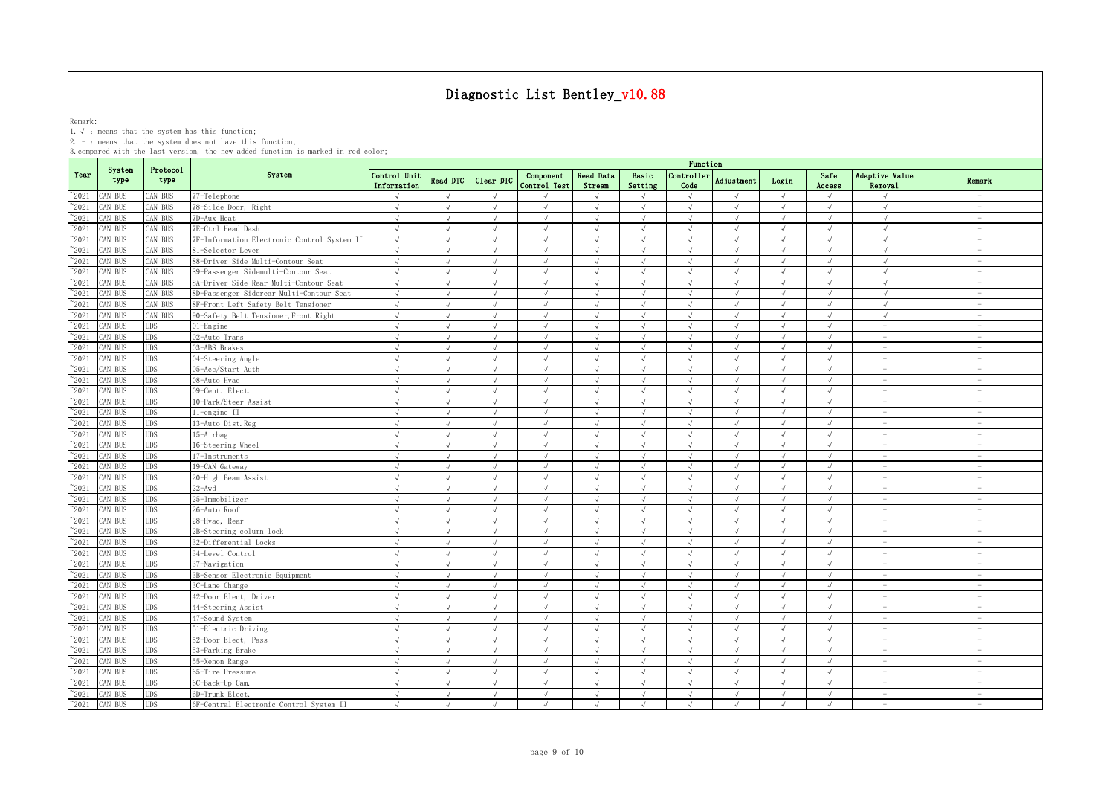Remark:<br>1.√ : means that the system has this function;<br>2. - : means that the system does not have this function;

|                |                |                  |                                             | Function                    |               |            |                           |                     |                  |                             |                   |            |                |                                  |                                 |
|----------------|----------------|------------------|---------------------------------------------|-----------------------------|---------------|------------|---------------------------|---------------------|------------------|-----------------------------|-------------------|------------|----------------|----------------------------------|---------------------------------|
| Year           | System<br>type | Protocol<br>type | System                                      | Control Unit<br>Information | Read DTC      | Clear DTC  | Component<br>Control Test | Read Data<br>Stream | Basic<br>Setting | Controller<br>Code          | <b>Adjustment</b> | Login      | Safe<br>Access | Adaptive Value<br><b>Removal</b> | Remark                          |
| $^{\circ}2021$ | CAN BUS        | CAN BUS          | 77-Telephone                                |                             | $\sqrt{ }$    | $\sqrt{ }$ |                           |                     | $\sqrt{ }$       |                             |                   | $\sqrt{ }$ | $\sqrt{ }$     |                                  | $\sim$                          |
| $^{\sim}2021$  | CAN BUS        | CAN BUS          | 78-Silde Door, Right                        | $\sqrt{ }$                  | $\sqrt{ }$    | $\sqrt{ }$ | $\sqrt{ }$                | $\sqrt{ }$          | $\sqrt{ }$       | $\sqrt{ }$                  | $\sqrt{ }$        | $\sqrt{ }$ | $\sqrt{ }$     | $\sqrt{ }$                       | $\overline{\phantom{a}}$        |
| $^{\sim}2021$  | CAN BUS        | CAN BUS          | 7D-Aux Heat                                 | $\sqrt{ }$                  | $\sqrt{ }$    | $\sqrt{ }$ | $\sqrt{ }$                | $\sqrt{ }$          | $\sqrt{ }$       | $\sqrt{ }$                  | $\sqrt{ }$        | $\sqrt{ }$ | $\sqrt{ }$     | $\sqrt{ }$                       | $\overline{\phantom{a}}$        |
| $^{\sim}2021$  | CAN BUS        | CAN BUS          | 7E-Ctrl Head Dash                           | $\sqrt{ }$                  | $\sqrt{ }$    | $\sqrt{ }$ | $\sqrt{ }$                | $\sqrt{ }$          | $\sqrt{ }$       | $\sqrt{ }$                  | $\sqrt{ }$        | $\sqrt{ }$ | $\sqrt{ }$     | $\sqrt{ }$                       | $\sim$                          |
| $\degree$ 2021 | CAN BUS        | CAN BUS          | 7F-Information Electronic Control System II | $\sqrt{ }$                  | $\sqrt{ }$    | $\sqrt{ }$ | $\sqrt{ }$                | $\sqrt{ }$          | $\sqrt{ }$       | $\sqrt{ }$                  | $\sqrt{ }$        | $\sqrt{ }$ | J              | $\sqrt{ }$                       | $\sim$                          |
| 2021           | CAN BUS        | CAN BUS          | 81-Selector Lever                           | $\sqrt{ }$                  | $\sqrt{ }$    | $\sqrt{ }$ | $\sqrt{ }$                | $\sqrt{ }$          | $\sqrt{ }$       | $\sqrt{}$                   | $\sqrt{ }$        | $\sqrt{ }$ | $\sqrt{ }$     | $\sqrt{ }$                       | $\sim$                          |
| 2021           | CAN BUS        | CAN BUS          | 88-Driver Side Multi-Contour Seat           | $\sqrt{ }$                  |               |            |                           | $\sqrt{ }$          |                  |                             |                   | $\sqrt{ }$ |                |                                  | $\hspace{0.1mm}-\hspace{0.1mm}$ |
| 2021           | CAN BUS        | CAN BUS          | 89-Passenger Sidemulti-Contour Seat         | $\sqrt{ }$                  | $\sqrt{ }$    |            | J                         | $\sqrt{ }$          | $\sqrt{ }$       | $\sqrt{ }$                  | J                 | $\sqrt{ }$ | J              | $\sqrt{ }$                       | $\sim$                          |
| 2021           | CAN BUS        | CAN BUS          | 8A-Driver Side Rear Multi-Contour Seat      | $\sqrt{ }$                  | J             | $\sqrt{ }$ | $\sqrt{ }$                | $\sqrt{ }$          | $\sqrt{ }$       | $\sqrt{ }$                  | $\sqrt{ }$        | $\sqrt{ }$ | $\sqrt{ }$     | $\sqrt{ }$                       | $\overline{\phantom{a}}$        |
| $\degree$ 2021 | CAN BUS        | CAN BUS          | 8D-Passenger Siderear Multi-Contour Seat    | $\sqrt{ }$                  | $\sqrt{ }$    | J          | $\sqrt{}$                 | $\sqrt{ }$          | $\mathcal{L}$    | J                           | J                 | $\sqrt{ }$ |                | $\sqrt{ }$                       | $\overline{\phantom{m}}$        |
| $^{\sim}2021$  | CAN BUS        | CAN BUS          | 8F-Front Left Safety Belt Tensioner         | $\sqrt{ }$                  | $\sqrt{ }$    | $\sqrt{ }$ | $\sqrt{ }$                | $\sqrt{ }$          | $\sqrt{ }$       | $\sqrt{ }$                  | $\sqrt{ }$        | $\sqrt{ }$ | $\sqrt{ }$     | $\sqrt{ }$                       | $\overline{\phantom{a}}$        |
| $\degree$ 2021 | CAN BUS        | CAN BUS          | 90-Safety Belt Tensioner, Front Right       | $\sqrt{ }$                  | $\sqrt{ }$    | $\sqrt{ }$ | $\sqrt{ }$                | $\sqrt{ }$          | $\sqrt{ }$       | $\sqrt{ }$                  | $\sqrt{ }$        | $\sqrt{ }$ | $\sqrt{ }$     | $\sqrt{ }$                       | $\overline{\phantom{a}}$        |
| $^{\sim}2021$  | CAN BUS        | <b>UDS</b>       | $01$ -Engine                                | $\sqrt{ }$                  | $\sqrt{ }$    | $\sqrt{ }$ | $\sqrt{ }$                | $\sqrt{ }$          | $\sqrt{ }$       | $\sqrt{ }$                  | $\sqrt{ }$        | $\sqrt{ }$ | $\sqrt{ }$     | $\sim$                           | $\sim$                          |
| $\degree$ 2021 | CAN BUS        | <b>UDS</b>       | 02-Auto Trans                               | $\sqrt{ }$                  | $\sqrt{ }$    | $\sqrt{ }$ | $\sqrt{ }$                | $\sqrt{ }$          | $\sqrt{ }$       | $\sqrt{ }$                  | $\sqrt{ }$        | $\sqrt{ }$ | $\sqrt{ }$     | $\sim$                           | $\sim$                          |
| $\degree$ 2021 | CAN BUS        | <b>UDS</b>       | 03-ABS Brakes                               | $\sqrt{ }$                  | $\sqrt{ }$    | $\sqrt{ }$ | $\sqrt{ }$                | $\sqrt{ }$          | $\sqrt{ }$       | $\sqrt{ }$                  | $\sqrt{ }$        | $\sqrt{ }$ | $\sqrt{ }$     | $\overline{\phantom{a}}$         | $\overline{\phantom{a}}$        |
| $^{\circ}2021$ | CAN BUS        | <b>UDS</b>       | 04-Steering Angle                           | $\sqrt{ }$                  | $\sqrt{ }$    | $\sqrt{ }$ | $\sqrt{ }$                | $\sqrt{ }$          | $\sqrt{ }$       | $\sqrt{ }$                  | $\sqrt{ }$        | $\sqrt{ }$ | $\sqrt{ }$     | $\sim$                           | $\sim$                          |
| $^{\sim}2021$  | CAN BUS        | <b>UDS</b>       | 05-Acc/Start Auth                           | $\sqrt{ }$                  | $\sqrt{ }$    | $\sqrt{ }$ | $\sqrt{ }$                | $\sqrt{ }$          | $\sqrt{ }$       | $\sqrt{ }$                  | $\sqrt{ }$        | $\sqrt{ }$ | $\sqrt{ }$     | $\sim$                           | $\sim$                          |
| $^{\sim}2021$  | CAN BUS        | <b>UDS</b>       | 08-Auto Hvac                                | $\sqrt{ }$                  | $\sqrt{ }$    | $\sqrt{ }$ | $\sqrt{ }$                | $\sqrt{ }$          | $\sqrt{ }$       | $\sqrt{ }$                  | $\sqrt{ }$        | $\sqrt{ }$ | $\sqrt{ }$     | $\sim$                           | $\sim$                          |
| 2021           | CAN BUS        | <b>UDS</b>       | 09-Cent. Elect.                             | $\sqrt{}$                   | $\sqrt{ }$    | $\sqrt{ }$ | $\sqrt{ }$                | $\sqrt{ }$          | $\sqrt{ }$       | $\sqrt{ }$                  | $\sqrt{ }$        | $\sqrt{ }$ | $\sqrt{ }$     | $\sim$                           | $\sim$                          |
| $^{\sim}2021$  | CAN BUS        | <b>UDS</b>       | 10-Park/Steer Assist                        | $\sqrt{ }$                  | $\sqrt{ }$    | $\sqrt{ }$ | $\sqrt{ }$                | $\sqrt{ }$          | $\sqrt{ }$       | $\sqrt{ }$                  | $\sqrt{ }$        | $\sqrt{ }$ | $\sqrt{ }$     | $\sim$                           | $\sim$                          |
| 2021           | CAN BUS        | <b>UDS</b>       | 11-engine II                                | $\sqrt{ }$                  | $\sqrt{ }$    | $\sqrt{ }$ | $\sqrt{ }$                | $\sqrt{ }$          | $\sqrt{ }$       | $\sqrt{ }$                  | $\sqrt{ }$        | $\sqrt{ }$ | $\sqrt{ }$     | $\sim$                           | $\sim$                          |
| 2021           | CAN BUS        | <b>UDS</b>       | 13-Auto Dist. Reg                           | $\sqrt{2}$                  |               |            |                           |                     |                  |                             |                   |            |                | $\sim$                           | $\sim$                          |
| 2021           | CAN BUS        | <b>UDS</b>       | 15-Airbag                                   | $\sqrt{ }$                  | $\sqrt{ }$    | $\sqrt{ }$ |                           | $\sqrt{ }$          | $\sqrt{ }$       |                             | $\sqrt{ }$        | $\sqrt{ }$ | $\sqrt{ }$     | $\overline{\phantom{a}}$         | $\overline{\phantom{a}}$        |
| 2021           | CAN BUS        | <b>UDS</b>       | 16-Steering Wheel                           | $\sqrt{ }$                  |               |            |                           |                     |                  |                             |                   | $\sqrt{ }$ |                |                                  | $\overline{\phantom{a}}$        |
| $^{\sim}2021$  | CAN BUS        | <b>UDS</b>       | 17-Instruments                              | $\sqrt{ }$                  | $\sqrt{ }$    |            |                           | $\sqrt{ }$          |                  | $\sqrt{ }$                  |                   | $\sqrt{ }$ |                |                                  | $\overline{\phantom{m}}$        |
| $^{\sim}2021$  | CAN BUS        | <b>UDS</b>       | 19-CAN Gateway                              | $\sqrt{ }$                  | $\sqrt{ }$    | $\sqrt{ }$ | $\sqrt{ }$                | $\sqrt{ }$          | $\sqrt{ }$       | $\sqrt{ }$                  | $\sqrt{ }$        | $\sqrt{ }$ | $\sqrt{ }$     |                                  |                                 |
| $^{\circ}2021$ | CAN BUS        | <b>UDS</b>       | 20-High Beam Assist                         | $\sqrt{ }$                  | $\sqrt{ }$    | $\sqrt{ }$ | $\sqrt{ }$                | $\sqrt{ }$          | $\sqrt{ }$       | $\sqrt{ }$                  | $\sqrt{ }$        | $\sqrt{ }$ | $\sqrt{ }$     |                                  | $\sim$                          |
| $^{\sim}2021$  | CAN BUS        | <b>UDS</b>       | $22 - Awd$                                  | $\sqrt{ }$                  | $\sqrt{ }$    | $\sqrt{ }$ | $\sqrt{ }$                | $\sqrt{ }$          | $\sqrt{ }$       | $\sqrt{ }$                  | $\sqrt{ }$        | $\sqrt{ }$ | $\sqrt{ }$     | $\sim$                           | $\sim$                          |
| $\degree$ 2021 | CAN BUS        | <b>UDS</b>       | 25-Immobilizer                              | $\sqrt{ }$                  | $\sqrt{ }$    | $\sqrt{ }$ | $\sqrt{ }$                | $\sqrt{ }$          | $\sqrt{ }$       | $\sqrt{2}$                  | $\sqrt{ }$        | $\sqrt{ }$ | $\sqrt{ }$     | $\sim$                           | $\sim$                          |
| $^{\sim}2021$  | CAN BUS        | <b>UDS</b>       | 26-Auto Roof                                | $\sqrt{ }$                  | $\sqrt{ }$    | $\sqrt{ }$ | $\sqrt{ }$                | $\sqrt{ }$          | $\sqrt{ }$       | $\sqrt{ }$                  | $\sqrt{ }$        | $\sqrt{ }$ | $\sqrt{ }$     | $\sim$                           | $\sim$                          |
| $^{\sim}2021$  | CAN BUS        | <b>UDS</b>       | 28-Hvac, Rear                               | $\sqrt{ }$                  | $\sqrt{ }$    | $\sqrt{ }$ | $\sqrt{ }$                | $\sqrt{ }$          | $\sqrt{ }$       | $\sqrt{ }$                  | $\sqrt{ }$        | $\sqrt{ }$ | $\sqrt{ }$     | $\overline{\phantom{a}}$         | $\overline{\phantom{a}}$        |
| $\degree$ 2021 | CAN BUS        | <b>UDS</b>       | 2B-Steering column lock                     | $\sqrt{}$                   | $\sqrt{ }$    | $\sqrt{ }$ | $\sqrt{ }$                | $\sqrt{ }$          | $\sqrt{ }$       | $\sqrt{ }$                  | $\sqrt{ }$        | $\sqrt{ }$ | $\sqrt{ }$     | $\sim$                           | $\overline{\phantom{a}}$        |
| $^{\sim}2021$  | CAN BUS        | <b>UDS</b>       | 32-Differential Locks                       | $\sqrt{ }$                  | $\sqrt{ }$    | $\sqrt{ }$ | $\sqrt{ }$                | $\sqrt{ }$          | $\sqrt{ }$       | $\sqrt{ }$                  | $\sqrt{ }$        | $\sqrt{ }$ | $\sqrt{ }$     | $\overline{\phantom{a}}$         | $\sim$                          |
| 2021           | CAN BUS        | <b>UDS</b>       | 34-Level Control                            | $\sqrt{ }$                  | $\sqrt{ }$    | $\sqrt{ }$ | $\sqrt{ }$                | $\sqrt{ }$          | $\sqrt{ }$       | $\sqrt{ }$                  | $\sqrt{ }$        | $\sqrt{ }$ | $\sqrt{ }$     | $\hspace{0.1mm}-\hspace{0.1mm}$  | $\overline{\phantom{a}}$        |
| $^{\sim}2021$  | CAN BUS        | <b>UDS</b>       | 37-Navigation                               | $\sqrt{ }$                  | $\sqrt{ }$    | $\sqrt{ }$ | $\sqrt{ }$                | $\sqrt{ }$          | $\sqrt{ }$       | $\sqrt{ }$                  | $\sqrt{ }$        | $\sqrt{ }$ | $\sqrt{ }$     | $\sim$                           | $\sim$                          |
| 2021           | CAN BUS        | <b>UDS</b>       | 3B-Sensor Electronic Equipment              | $\sqrt{ }$                  | $\sqrt{ }$    | $\sqrt{ }$ | $\sqrt{ }$                | $\sqrt{ }$          | $\sqrt{ }$       | $\sqrt{ }$                  | $\sqrt{ }$        | $\sqrt{ }$ | $\sqrt{ }$     | $\hspace{0.1mm}-\hspace{0.1mm}$  | $\sim$                          |
| 2021           | CAN BUS        | <b>UDS</b>       | 3C-Lane Change                              | $\sqrt{ }$                  |               |            |                           | <sup>N</sup>        | $\sqrt{ }$       |                             | J                 | $\sqrt{ }$ | $\sqrt{ }$     |                                  | $\sim$                          |
| 2021           | CAN BUS        | <b>UDS</b>       | 42-Door Elect, Driver                       | $\sqrt{ }$                  | $\sqrt{ }$    |            |                           | $\sqrt{ }$          | $\sqrt{ }$       |                             | J                 | $\sqrt{ }$ |                | $\sim$                           | $\overline{\phantom{a}}$        |
| 2021           | CAN BUS        | UDS              | 44-Steering Assist                          | $\sqrt{ }$                  |               |            |                           | $\lambda$           | $\sqrt{ }$       |                             | $\overline{a}$    | $\sqrt{ }$ |                |                                  | $\sim$                          |
| $^{\circ}2021$ | CAN BUS        | <b>UDS</b>       | 47-Sound System                             | $\sqrt{ }$                  | $\sqrt{ }$    | $\sqrt{ }$ | $\sqrt{ }$                | $\sqrt{ }$          | $\sqrt{ }$       | $\sqrt{ }$                  | $\sqrt{ }$        | $\sqrt{ }$ | $\sqrt{ }$     |                                  | $\overline{\phantom{0}}$        |
| $^{\sim}2021$  | CAN BUS        | <b>UDS</b>       | 51-Electric Driving                         | $\sqrt{ }$                  |               | $\sqrt{ }$ | $\sqrt{ }$                | $\sqrt{ }$          | $\sqrt{ }$       | $\mathcal{N}_{\mathcal{N}}$ | $\sqrt{ }$        | $\sqrt{ }$ |                |                                  |                                 |
| $^{\sim}2021$  | CAN BUS        | <b>UDS</b>       | 52-Door Elect, Pass                         | $\sqrt{ }$                  | $\sqrt{ }$    | $\sqrt{ }$ | $\sqrt{ }$                | $\sqrt{ }$          | $\sqrt{ }$       | $\sqrt{ }$                  | $\sqrt{ }$        | $\sqrt{ }$ | $\sqrt{ }$     |                                  | $\sim$                          |
| $^{\sim}2021$  | CAN BUS        | <b>UDS</b>       | 53-Parking Brake                            | $\sqrt{ }$                  | $\sqrt{ }$    | $\sqrt{ }$ | $\sqrt{ }$                | $\sqrt{ }$          | $\sqrt{ }$       | $\sqrt{ }$                  | $\sqrt{ }$        | $\sqrt{ }$ | $\sqrt{ }$     | $\overline{\phantom{a}}$         | $\sim$                          |
| $\degree$ 2021 | CAN BUS        | <b>UDS</b>       | 55-Xenon Range                              | $\sqrt{ }$                  | $\sqrt{ }$    | $\sqrt{ }$ | $\sqrt{ }$                | $\sqrt{ }$          | $\sqrt{ }$       | $\sqrt{ }$                  | $\sqrt{ }$        | $\sqrt{ }$ | $\sqrt{ }$     | $\overline{\phantom{a}}$         | $\sim$                          |
| $^{\sim}2021$  | CAN BUS        | <b>UDS</b>       | 65-Tire Pressure                            | $\sqrt{ }$                  | $\sqrt{ }$    | $\sqrt{ }$ | $\sqrt{ }$                | $\sqrt{ }$          | $\sqrt{ }$       | $\sqrt{ }$                  | $\sqrt{ }$        | $\sqrt{ }$ | $\sqrt{ }$     | $\hspace{0.1mm}-\hspace{0.1mm}$  | $\overline{\phantom{a}}$        |
| $\degree$ 2021 | CAN BUS        | <b>UDS</b>       | 6C-Back-Up Cam.                             | $\sqrt{ }$                  | $\mathcal{L}$ | $\sqrt{ }$ | $\sqrt{ }$                | $\sqrt{ }$          | $\sqrt{ }$       | $\sqrt{ }$                  | $\sqrt{ }$        | $\sqrt{ }$ | $\sqrt{ }$     | $\overline{\phantom{a}}$         | $\sim$                          |
| $^{\sim}2021$  | CAN BUS        | <b>UDS</b>       | 6D-Trunk Elect.                             | $\sqrt{ }$                  | $\sqrt{ }$    | $\sqrt{ }$ | $\sqrt{ }$                | $\sqrt{ }$          | $\sqrt{ }$       | $\sqrt{ }$                  | $\sqrt{ }$        | $\sqrt{ }$ | $\sqrt{ }$     | $\sim$                           | $\sim$                          |
| $^{\sim}$ 2021 | CAN BUS        | <b>UDS</b>       | 6F-Central Electronic Control System II     | $\sqrt{ }$                  | $\mathcal{L}$ | $\sqrt{ }$ | $\sqrt{ }$                | $\sqrt{ }$          | $\sqrt{ }$       | $\sqrt{ }$                  | $\lambda$         | $\sqrt{ }$ | $\sqrt{ }$     |                                  | $\overline{\phantom{a}}$        |